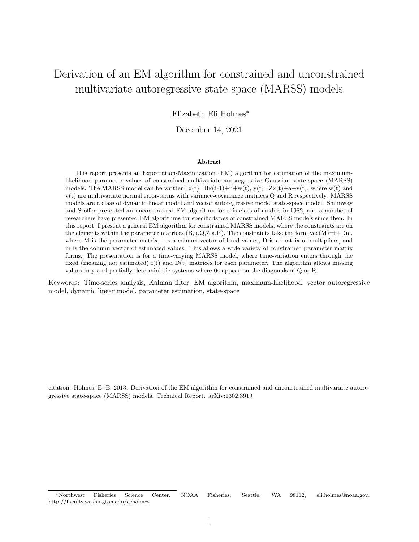# Derivation of an EM algorithm for constrained and unconstrained multivariate autoregressive state-space (MARSS) models

Elizabeth Eli Holmes<sup>∗</sup>

December 14, 2021

#### Abstract

This report presents an Expectation-Maximization (EM) algorithm for estimation of the maximumlikelihood parameter values of constrained multivariate autoregressive Gaussian state-space (MARSS) models. The MARSS model can be written:  $x(t)=Bx(t-1)+u+w(t)$ ,  $y(t)=Zx(t)+a+v(t)$ , where w(t) and v(t) are multivariate normal error-terms with variance-covariance matrices Q and R respectively. MARSS models are a class of dynamic linear model and vector autoregressive model state-space model. Shumway and Stoffer presented an unconstrained EM algorithm for this class of models in 1982, and a number of researchers have presented EM algorithms for specific types of constrained MARSS models since then. In this report, I present a general EM algorithm for constrained MARSS models, where the constraints are on the elements within the parameter matrices  $(B, u, Q, Z, a, R)$ . The constraints take the form vec $(M)=f+Dm$ , where M is the parameter matrix, f is a column vector of fixed values, D is a matrix of multipliers, and m is the column vector of estimated values. This allows a wide variety of constrained parameter matrix forms. The presentation is for a time-varying MARSS model, where time-variation enters through the fixed (meaning not estimated)  $f(t)$  and  $D(t)$  matrices for each parameter. The algorithm allows missing values in y and partially deterministic systems where 0s appear on the diagonals of Q or R.

Keywords: Time-series analysis, Kalman filter, EM algorithm, maximum-likelihood, vector autoregressive model, dynamic linear model, parameter estimation, state-space

citation: Holmes, E. E. 2013. Derivation of the EM algorithm for constrained and unconstrained multivariate autoregressive state-space (MARSS) models. Technical Report. arXiv:1302.3919

<sup>∗</sup>Northwest Fisheries Science Center, NOAA Fisheries, Seattle, WA 98112, eli.holmes@noaa.gov, http://faculty.washington.edu/eeholmes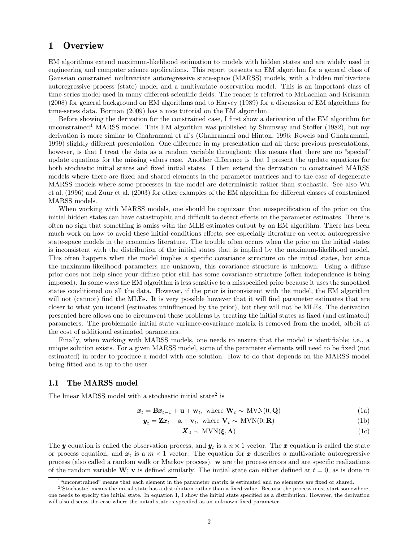## 1 Overview

EM algorithms extend maximum-likelihood estimation to models with hidden states and are widely used in engineering and computer science applications. This report presents an EM algorithm for a general class of Gaussian constrained multivariate autoregressive state-space (MARSS) models, with a hidden multivariate autoregressive process (state) model and a multivariate observation model. This is an important class of time-series model used in many different scientific fields. The reader is referred to McLachlan and Krishnan (2008) for general background on EM algorithms and to Harvey (1989) for a discussion of EM algorithms for time-series data. Borman (2009) has a nice tutorial on the EM algorithm.

Before showing the derivation for the constrained case, I first show a derivation of the EM algorithm for unconstrained<sup>1</sup> MARSS model. This EM algorithm was published by Shumway and Stoffer (1982), but my derivation is more similar to Ghahramani et al's (Ghahramani and Hinton, 1996; Roweis and Ghahramani, 1999) slightly different presentation. One difference in my presentation and all these previous presentations, however, is that I treat the data as a random variable throughout; this means that there are no "special" update equations for the missing values case. Another difference is that I present the update equations for both stochastic initial states and fixed initial states. I then extend the derivation to constrained MARSS models where there are fixed and shared elements in the parameter matrices and to the case of degenerate MARSS models where some processes in the model are deterministic rather than stochastic. See also Wu et al. (1996) and Zuur et al. (2003) for other examples of the EM algorithm for different classes of constrained MARSS models.

When working with MARSS models, one should be cognizant that misspecification of the prior on the initial hidden states can have catastrophic and difficult to detect effects on the parameter estimates. There is often no sign that something is amiss with the MLE estimates output by an EM algorithm. There has been much work on how to avoid these initial conditions effects; see especially literature on vector autoregressive state-space models in the economics literature. The trouble often occurs when the prior on the initial states is inconsistent with the distribution of the initial states that is implied by the maximum-likelihood model. This often happens when the model implies a specific covariance structure on the initial states, but since the maximum-likelihood parameters are unknown, this covariance structure is unknown. Using a diffuse prior does not help since your diffuse prior still has some covariance structure (often independence is being imposed). In some ways the EM algorithm is less sensitive to a misspecified prior because it uses the smoothed states conditioned on all the data. However, if the prior is inconsistent with the model, the EM algorithm will not (cannot) find the MLEs. It is very possible however that it will find parameter estimates that are closer to what you intend (estimates uninfluenced by the prior), but they will not be MLEs. The derivation presented here allows one to circumvent these problems by treating the initial states as fixed (and estimated) parameters. The problematic initial state variance-covariance matrix is removed from the model, albeit at the cost of additional estimated parameters.

Finally, when working with MARSS models, one needs to ensure that the model is identifiable; i.e., a unique solution exists. For a given MARSS model, some of the parameter elements will need to be fixed (not estimated) in order to produce a model with one solution. How to do that depends on the MARSS model being fitted and is up to the user.

### 1.1 The MARSS model

The linear MARSS model with a stochastic initial state<sup>2</sup> is

 $\mathbf{x}_t = \mathbf{B}\mathbf{x}_{t-1} + \mathbf{u} + \mathbf{w}_t$ , where  $\mathbf{W}_t \sim \text{MVN}(0, \mathbf{Q})$  (1a)

$$
\mathbf{y}_t = \mathbf{Z}\mathbf{x}_t + \mathbf{a} + \mathbf{v}_t, \text{ where } \mathbf{V}_t \sim \text{MVN}(0, \mathbf{R})
$$
(1b)

$$
\mathbf{X}_0 \sim \text{MVN}(\xi, \Lambda) \tag{1c}
$$

The **y** equation is called the observation process, and  $y_t$  is a  $n \times 1$  vector. The **x** equation is called the state or process equation, and  $x_t$  is a  $m \times 1$  vector. The equation for x describes a multivariate autoregressive process (also called a random walk or Markov process). w are the process errors and are specific realizations of the random variable  $W$ ; v is defined similarly. The initial state can either defined at  $t = 0$ , as is done in

<sup>&</sup>lt;sup>1"</sup>unconstrained" means that each element in the parameter matrix is estimated and no elements are fixed or shared.

<sup>&</sup>lt;sup>2</sup>'Stochastic' means the initial state has a distribution rather than a fixed value. Because the process must start somewhere, one needs to specify the initial state. In equation 1, I show the initial state specified as a distribution. However, the derivation will also discuss the case where the initial state is specified as an unknown fixed parameter.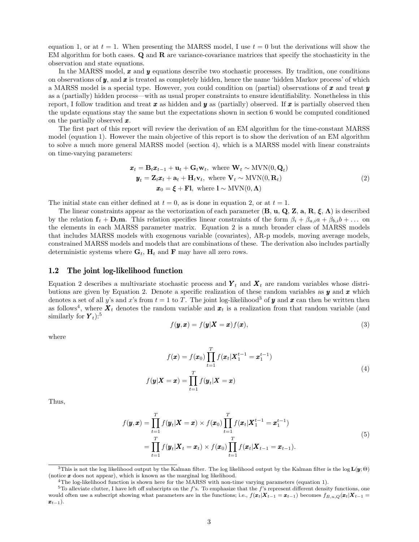equation 1, or at  $t = 1$ . When presenting the MARSS model, I use  $t = 0$  but the derivations will show the EM algorithm for both cases. Q and R are variance-covariance matrices that specify the stochasticity in the observation and state equations.

In the MARSS model,  $x$  and  $y$  equations describe two stochastic processes. By tradition, one conditions on observations of  $y$ , and  $x$  is treated as completely hidden, hence the name 'hidden Markov process' of which a MARSS model is a special type. However, you could condition on (partial) observations of  $\bm{x}$  and treat  $\bm{y}$ as a (partially) hidden process—with as usual proper constraints to ensure identifiability. Nonetheless in this report, I follow tradition and treat  $x$  as hidden and  $y$  as (partially) observed. If  $x$  is partially observed then the update equations stay the same but the expectations shown in section 6 would be computed conditioned on the partially observed  $x$ .

The first part of this report will review the derivation of an EM algorithm for the time-constant MARSS model (equation 1). However the main objective of this report is to show the derivation of an EM algorithm to solve a much more general MARSS model (section 4), which is a MARSS model with linear constraints on time-varying parameters:

$$
\mathbf{x}_t = \mathbf{B}_t \mathbf{x}_{t-1} + \mathbf{u}_t + \mathbf{G}_t \mathbf{w}_t, \text{ where } \mathbf{W}_t \sim \text{MVN}(0, \mathbf{Q}_t)
$$
  
\n
$$
\mathbf{y}_t = \mathbf{Z}_t \mathbf{x}_t + \mathbf{a}_t + \mathbf{H}_t \mathbf{v}_t, \text{ where } \mathbf{V}_t \sim \text{MVN}(0, \mathbf{R}_t)
$$
  
\n
$$
\mathbf{x}_0 = \boldsymbol{\xi} + \mathbf{F} \mathbf{I}, \text{ where } \mathbf{I} \sim \text{MVN}(0, \boldsymbol{\Lambda})
$$
\n(2)

The initial state can either defined at  $t = 0$ , as is done in equation 2, or at  $t = 1$ .

The linear constraints appear as the vectorization of each parameter  $(\mathbf{B}, \mathbf{u}, \mathbf{Q}, \mathbf{Z}, \mathbf{a}, \mathbf{R}, \boldsymbol{\xi}, \boldsymbol{\Lambda})$  is described by the relation  $f_t + D_t m$ . This relation specifies linear constraints of the form  $\beta_i + \beta_{a,i} a + \beta_{b,i} b + \ldots$  on the elements in each MARSS parameter matrix. Equation 2 is a much broader class of MARSS models that includes MARSS models with exogenous variable (covariates), AR-p models, moving average models, constrained MARSS models and models that are combinations of these. The derivation also includes partially deterministic systems where  $\mathbf{G}_t$ ,  $\mathbf{H}_t$  and  $\mathbf{F}$  may have all zero rows.

#### 1.2 The joint log-likelihood function

Equation 2 describes a multivariate stochastic process and  $\boldsymbol{Y}_t$  and  $\boldsymbol{X}_t$  are random variables whose distributions are given by Equation 2. Denote a specific realization of these random variables as  $y$  and  $x$  which denotes a set of all y's and x's from  $t = 1$  to T. The joint log-likelihood<sup>3</sup> of y and x can then be written then as follows<sup>4</sup>, where  $\boldsymbol{X}_t$  denotes the random variable and  $\boldsymbol{x}_t$  is a realization from that random variable (and similarly for  $\boldsymbol{Y}_t$ :<sup>5</sup>

$$
f(\mathbf{y}, \mathbf{x}) = f(\mathbf{y} | \mathbf{X} = \mathbf{x}) f(\mathbf{x}), \tag{3}
$$

where

$$
f(\boldsymbol{x}) = f(\boldsymbol{x}_0) \prod_{t=1}^T f(\boldsymbol{x}_t | \boldsymbol{X}_1^{t-1} = \boldsymbol{x}_1^{t-1})
$$
  

$$
f(\boldsymbol{y} | \boldsymbol{X} = \boldsymbol{x}) = \prod_{t=1}^T f(\boldsymbol{y}_t | \boldsymbol{X} = \boldsymbol{x})
$$
 (4)

Thus,

$$
f(\mathbf{y}, \mathbf{x}) = \prod_{t=1}^{T} f(\mathbf{y}_t | \mathbf{X} = \mathbf{x}) \times f(\mathbf{x}_0) \prod_{t=1}^{T} f(\mathbf{x}_t | \mathbf{X}_1^{t-1} = \mathbf{x}_1^{t-1})
$$
  
= 
$$
\prod_{t=1}^{T} f(\mathbf{y}_t | \mathbf{X}_t = \mathbf{x}_t) \times f(\mathbf{x}_0) \prod_{t=1}^{T} f(\mathbf{x}_t | \mathbf{X}_{t-1} = \mathbf{x}_{t-1}).
$$
 (5)

<sup>3</sup>This is not the log likelihood output by the Kalman filter. The log likelihood output by the Kalman filter is the log  $\mathbf{L}(\mathbf{y}; \Theta)$ (notice  $\boldsymbol{x}$  does not appear), which is known as the marginal log likelihood.

<sup>4</sup>The log-likelihood function is shown here for the MARSS with non-time varying parameters (equation 1).

 $5T$ o alleviate clutter, I have left off subscripts on the f's. To emphasize that the f's represent different density functions, one would often use a subscript showing what parameters are in the functions; i.e.,  $f(\boldsymbol{x}_t|\boldsymbol{X}_{t-1} = \boldsymbol{x}_{t-1})$  becomes  $f_{B,u,Q}(\boldsymbol{x}_t|\boldsymbol{X}_{t-1} = \boldsymbol{x}_{t-1})$  $\boldsymbol{x}_{t-1}$ ).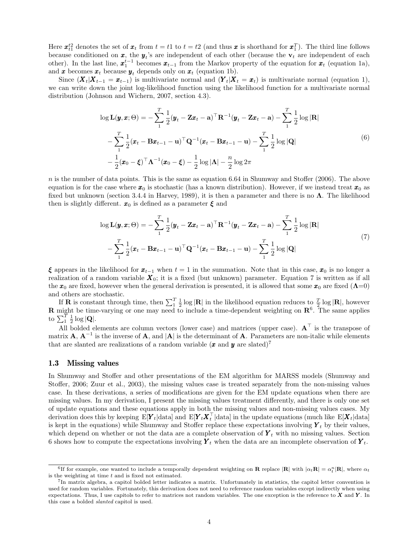Here  $\mathbf{x}_{t1}^{t2}$  denotes the set of  $\mathbf{x}_t$  from  $t = t1$  to  $t = t2$  (and thus  $\mathbf{x}$  is shorthand for  $\mathbf{x}_1^T$ ). The third line follows because conditioned on  $x$ , the  $y_t$ 's are independent of each other (because the  $v_t$  are independent of each other). In the last line,  $\mathbf{x}_1^{t-1}$  becomes  $\mathbf{x}_{t-1}$  from the Markov property of the equation for  $\mathbf{x}_t$  (equation 1a), and **x** becomes  $x_t$  because  $y_t$  depends only on  $x_t$  (equation 1b).

Since  $(X_t|X_{t-1} = x_{t-1})$  is multivariate normal and  $(Y_t|X_t = x_t)$  is multivariate normal (equation 1), we can write down the joint log-likelihood function using the likelihood function for a multivariate normal distribution (Johnson and Wichern, 2007, section 4.3).

$$
\log \mathbf{L}(\mathbf{y}, \mathbf{x}; \Theta) = -\sum_{1}^{T} \frac{1}{2} (\mathbf{y}_t - \mathbf{Z}\mathbf{x}_t - \mathbf{a})^\top \mathbf{R}^{-1} (\mathbf{y}_t - \mathbf{Z}\mathbf{x}_t - \mathbf{a}) - \sum_{1}^{T} \frac{1}{2} \log |\mathbf{R}|
$$
  

$$
-\sum_{1}^{T} \frac{1}{2} (\mathbf{x}_t - \mathbf{B}\mathbf{x}_{t-1} - \mathbf{u})^\top \mathbf{Q}^{-1} (\mathbf{x}_t - \mathbf{B}\mathbf{x}_{t-1} - \mathbf{u}) - \sum_{1}^{T} \frac{1}{2} \log |\mathbf{Q}|
$$
  

$$
-\frac{1}{2} (\mathbf{x}_0 - \boldsymbol{\xi})^\top \mathbf{\Lambda}^{-1} (\mathbf{x}_0 - \boldsymbol{\xi}) - \frac{1}{2} \log |\mathbf{\Lambda}| - \frac{n}{2} \log 2\pi
$$
 (6)

n is the number of data points. This is the same as equation 6.64 in Shumway and Stoffer  $(2006)$ . The above equation is for the case where  $x_0$  is stochastic (has a known distribution). However, if we instead treat  $x_0$  as fixed but unknown (section 3.4.4 in Harvey, 1989), it is then a parameter and there is no  $\Lambda$ . The likelihood then is slightly different.  $x_0$  is defined as a parameter  $\xi$  and

$$
\log \mathbf{L}(\boldsymbol{y}, \boldsymbol{x}; \Theta) = -\sum_{1}^{T} \frac{1}{2} (\boldsymbol{y}_t - \mathbf{Z} \boldsymbol{x}_t - \mathbf{a})^\top \mathbf{R}^{-1} (\boldsymbol{y}_t - \mathbf{Z} \boldsymbol{x}_t - \mathbf{a}) - \sum_{1}^{T} \frac{1}{2} \log |\mathbf{R}|
$$
  
- 
$$
\sum_{1}^{T} \frac{1}{2} (\boldsymbol{x}_t - \mathbf{B} \boldsymbol{x}_{t-1} - \mathbf{u})^\top \mathbf{Q}^{-1} (\boldsymbol{x}_t - \mathbf{B} \boldsymbol{x}_{t-1} - \mathbf{u}) - \sum_{1}^{T} \frac{1}{2} \log |\mathbf{Q}|
$$
(7)

ξ appears in the likelihood for  $x_{t-1}$  when  $t = 1$  in the summation. Note that in this case,  $x_0$  is no longer a realization of a random variable  $X_0$ ; it is a fixed (but unknown) parameter. Equation 7 is written as if all the  $x_0$  are fixed, however when the general derivation is presented, it is allowed that some  $x_0$  are fixed  $(Λ=0)$ and others are stochastic.

If **R** is constant through time, then  $\sum_{1}^{T} \frac{1}{2} \log |\mathbf{R}|$  in the likelihood equation reduces to  $\frac{T}{2} \log |\mathbf{R}|$ , however **R** might be time-varying or one may need to include a time-dependent weighting on  $\mathbb{R}^6$ . The same applies to  $\sum_{1}^{T} \frac{1}{2} \log |\mathbf{Q}|.$ 

All bolded elements are column vectors (lower case) and matrices (upper case).  $A<sup>T</sup>$  is the transpose of matrix  $\mathbf{A}$ ,  $\mathbf{A}^{-1}$  is the inverse of  $\mathbf{A}$ , and  $|\mathbf{A}|$  is the determinant of  $\mathbf{A}$ . Parameters are non-italic while elements that are slanted are realizations of a random variable  $(x \text{ and } y \text{ are stated})^7$ 

#### 1.3 Missing values

In Shumway and Stoffer and other presentations of the EM algorithm for MARSS models (Shumway and Stoffer, 2006; Zuur et al., 2003), the missing values case is treated separately from the non-missing values case. In these derivations, a series of modifications are given for the EM update equations when there are missing values. In my derivation, I present the missing values treatment differently, and there is only one set of update equations and these equations apply in both the missing values and non-missing values cases. My derivation does this by keeping  $E[Y_t|data]$  and  $E[Y_tX_t^{\top}|\text{data}]$  in the update equations (much like  $E[X_t|data]$ is kept in the equations) while Shumway and Stoffer replace these expectations involving  $Y_t$  by their values, which depend on whether or not the data are a complete observation of  $\boldsymbol{Y}_t$  with no missing values. Section 6 shows how to compute the expectations involving  $Y_t$  when the data are an incomplete observation of  $Y_t$ .

<sup>&</sup>lt;sup>6</sup>If for example, one wanted to include a temporally dependent weighting on **R** replace  $|\mathbf{R}|$  with  $|\alpha_t \mathbf{R}| = \alpha_t^n |\mathbf{R}|$ , where  $\alpha_t$ is the weighting at time  $t$  and is fixed not estimated.

<sup>7</sup> In matrix algebra, a capitol bolded letter indicates a matrix. Unfortunately in statistics, the capitol letter convention is used for random variables. Fortunately, this derivation does not need to reference random variables except indirectly when using expectations. Thus, I use capitols to refer to matrices not random variables. The one exception is the reference to  $X$  and  $Y$ . In this case a bolded slanted capitol is used.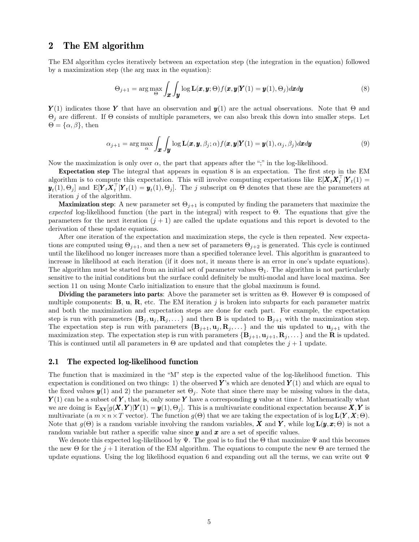### 2 The EM algorithm

The EM algorithm cycles iteratively between an expectation step (the integration in the equation) followed by a maximization step (the arg max in the equation):

$$
\Theta_{j+1} = \arg \max_{\Theta} \int_{\mathbf{x}} \int_{\mathbf{y}} \log \mathbf{L}(\mathbf{x}, \mathbf{y}; \Theta) f(\mathbf{x}, \mathbf{y} | \mathbf{Y}(1) = \mathbf{y}(1), \Theta_j) d\mathbf{x} d\mathbf{y}
$$
(8)

 $Y(1)$  indicates those Y that have an observation and  $y(1)$  are the actual observations. Note that  $\Theta$  and  $\Theta_i$  are different. If  $\Theta$  consists of multiple parameters, we can also break this down into smaller steps. Let  $\Theta = {\alpha, \beta}$ , then

$$
\alpha_{j+1} = \arg \max_{\alpha} \int_{\mathbf{x}} \int_{\mathbf{y}} \log \mathbf{L}(\mathbf{x}, \mathbf{y}, \beta_j; \alpha) f(\mathbf{x}, \mathbf{y} | \mathbf{Y}(1) = \mathbf{y}(1), \alpha_j, \beta_j) d\mathbf{x} d\mathbf{y}
$$
(9)

Now the maximization is only over  $\alpha$ , the part that appears after the ";" in the log-likelihood.

Expectation step The integral that appears in equation 8 is an expectation. The first step in the EM algorithm is to compute this expectation. This will involve computing expectations like  $E[\boldsymbol{X}_t \boldsymbol{X}_t^\top | \boldsymbol{Y}_t(1)] =$  $\mathbf{y}_t(1), \Theta_j$  and  $\text{E}[\boldsymbol{Y}_t \boldsymbol{X}_t^\top | \boldsymbol{Y}_t(1) = \boldsymbol{y}_t(1), \Theta_j]$ . The j subscript on  $\Theta$  denotes that these are the parameters at iteration  $j$  of the algorithm.

**Maximization step:** A new parameter set  $\Theta_{j+1}$  is computed by finding the parameters that maximize the expected log-likelihood function (the part in the integral) with respect to  $\Theta$ . The equations that give the parameters for the next iteration  $(j + 1)$  are called the update equations and this report is devoted to the derivation of these update equations.

After one iteration of the expectation and maximization steps, the cycle is then repeated. New expectations are computed using  $\Theta_{j+1}$ , and then a new set of parameters  $\Theta_{j+2}$  is generated. This cycle is continued until the likelihood no longer increases more than a specified tolerance level. This algorithm is guaranteed to increase in likelihood at each iteration (if it does not, it means there is an error in one's update equations). The algorithm must be started from an initial set of parameter values  $\Theta_1$ . The algorithm is not particularly sensitive to the initial conditions but the surface could definitely be multi-modal and have local maxima. See section 11 on using Monte Carlo initialization to ensure that the global maximum is found.

Dividing the parameters into parts: Above the parameter set is written as  $\Theta$ . However  $\Theta$  is composed of multiple components:  $\mathbf{B}, \mathbf{u}, \mathbf{R}$ , etc. The EM iteration j is broken into subparts for each parameter matrix and both the maximization and expectation steps are done for each part. For example, the expectation step is run with parameters  $\{B_j, u_j, R_j, ...\}$  and then **B** is updated to  $B_{j+1}$  with the maximization step. The expectation step is run with parameters  $\{B_{j+1}, \mathbf{u}_j, \mathbf{R}_j, \dots\}$  and the uis updated to  $\mathbf{u}_{j+1}$  with the maximization step. The expectation step is run with parameters  ${\bf \{B_{j+1}, u_{j+1}, R_j, \ldots\}}$  and the **R** is updated. This is continued until all parameters in  $\Theta$  are updated and that completes the  $j+1$  update.

#### 2.1 The expected log-likelihood function

The function that is maximized in the "M" step is the expected value of the log-likelihood function. This expectation is conditioned on two things: 1) the observed Y's which are denoted  $Y(1)$  and which are equal to the fixed values  $y(1)$  and 2) the parameter set  $\Theta_j$ . Note that since there may be missing values in the data,  $Y(1)$  can be a subset of Y, that is, only some Y have a corresponding y value at time t. Mathematically what we are doing is  $E_{XY}[g(X, Y)|Y(1) = y(1), \Theta_i]$ . This is a multivariate conditional expectation because  $X, Y$  is multivariate (a  $m \times n \times T$  vector). The function  $g(\Theta)$  that we are taking the expectation of is log  $\mathbf{L}(\mathbf{Y}, \mathbf{X}; \Theta)$ . Note that  $g(\Theta)$  is a random variable involving the random variables, X and Y, while  $\log L(\mathbf{y}, \mathbf{x}; \Theta)$  is not a random variable but rather a specific value since  $y$  and  $x$  are a set of specific values.

We denote this expected log-likelihood by  $\Psi$ . The goal is to find the  $\Theta$  that maximize  $\Psi$  and this becomes the new  $\Theta$  for the  $j+1$  iteration of the EM algorithm. The equations to compute the new  $\Theta$  are termed the update equations. Using the log likelihood equation 6 and expanding out all the terms, we can write out  $\Psi$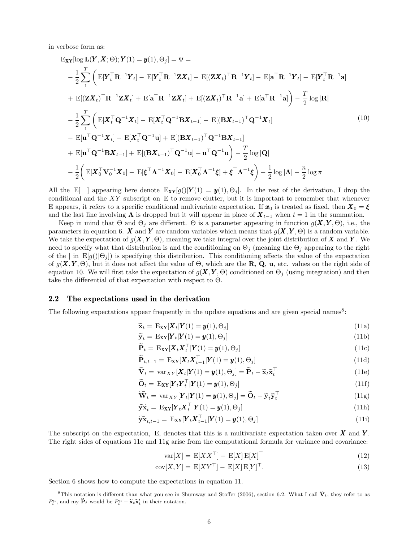in verbose form as:

$$
\begin{split}\n\mathbf{E}_{\mathbf{X}\mathbf{Y}}[\log \mathbf{L}(\mathbf{Y}, \mathbf{X}; \Theta); \mathbf{Y}(1) = \mathbf{y}(1), \Theta_j] &= \Psi = \\
& -\frac{1}{2} \sum_{1}^{T} \left( \mathbf{E}[\mathbf{Y}_t^\top \mathbf{R}^{-1} \mathbf{Y}_t] - \mathbf{E}[\mathbf{Y}_t^\top \mathbf{R}^{-1} \mathbf{Z} \mathbf{X}_t] - \mathbf{E}[(\mathbf{Z}\mathbf{X}_t)^\top \mathbf{R}^{-1} \mathbf{Y}_t] - \mathbf{E}[\mathbf{A}^\top \mathbf{R}^{-1} \mathbf{Y}_t] - \mathbf{E}[\mathbf{Y}_t^\top \mathbf{R}^{-1} \mathbf{A}] \\
& + \mathbf{E}[(\mathbf{Z}\mathbf{X}_t)^\top \mathbf{R}^{-1} \mathbf{Z} \mathbf{X}_t] + \mathbf{E}[\mathbf{a}^\top \mathbf{R}^{-1} \mathbf{Z} \mathbf{X}_t] + \mathbf{E}[(\mathbf{Z}\mathbf{X}_t)^\top \mathbf{R}^{-1} \mathbf{a}] + \mathbf{E}[\mathbf{a}^\top \mathbf{R}^{-1} \mathbf{a}]\n\end{split}\n\begin{split}\n& -\frac{1}{2} \sum_{1}^{T} \left( \mathbf{E}[\mathbf{X}_t^\top \mathbf{Q}^{-1} \mathbf{X}_t] - \mathbf{E}[\mathbf{X}_t^\top \mathbf{Q}^{-1} \mathbf{B} \mathbf{X}_{t-1}] - \mathbf{E}[(\mathbf{B} \mathbf{X}_{t-1})^\top \mathbf{Q}^{-1} \mathbf{X}_t] \\
& - \mathbf{E}[\mathbf{u}^\top \mathbf{Q}^{-1} \mathbf{X}_t] - \mathbf{E}[\mathbf{X}_t^\top \mathbf{Q}^{-1} \mathbf{u}] + \mathbf{E}[(\mathbf{B} \mathbf{X}_{t-1})^\top \mathbf{Q}^{-1} \mathbf{B} \mathbf{X}_{t-1}]\n\end{split}\n\end{split}\n\tag{10}
$$
\n
$$
- \frac{1}{2} \left( \mathbf{E}[\mathbf{X}_t^\top \mathbf{V}_t] - \mathbf
$$

All the E[ ] appearing here denote  $E_{XY}[g()|Y(1) = y(1), \Theta_i]$ . In the rest of the derivation, I drop the conditional and the  $XY$  subscript on E to remove clutter, but it is important to remember that whenever E appears, it refers to a specific conditional multivariate expectation. If  $x_0$  is treated as fixed, then  $X_0 = \xi$ and the last line involving  $\Lambda$  is dropped but it will appear in place of  $X_{t-1}$  when  $t = 1$  in the summation.

Keep in mind that  $\Theta$  and  $\Theta_i$  are different.  $\Theta$  is a parameter appearing in function  $g(\mathbf{X}, \mathbf{Y}, \Theta)$ , i.e., the parameters in equation 6. X and Y are random variables which means that  $g(X, Y, \Theta)$  is a random variable. We take the expectation of  $g(X, Y, \Theta)$ , meaning we take integral over the joint distribution of X and Y. We need to specify what that distribution is and the conditioning on  $\Theta_j$  (meaning the  $\Theta_j$  appearing to the right of the  $|\text{in }\mathbb{E}[g(|\Theta_i])|$  is specifying this distribution. This conditioning affects the value of the expectation of  $g(X, Y, \Theta)$ , but it does not affect the value of  $\Theta$ , which are the R, Q, u, etc. values on the right side of equation 10. We will first take the expectation of  $g(X, Y, \Theta)$  conditioned on  $\Theta_i$  (using integration) and then take the differential of that expectation with respect to  $\Theta$ .

#### 2.2 The expectations used in the derivation

The following expectations appear frequently in the update equations and are given special names<sup>8</sup>:

$$
\widetilde{\mathbf{x}}_t = \mathbf{E}_{\mathbf{X}\mathbf{Y}}[\mathbf{X}_t|\mathbf{Y}(1) = \mathbf{y}(1), \Theta_j]
$$
(11a)

$$
\widetilde{\mathbf{y}}_t = \mathbf{E}_{\mathbf{X}\mathbf{Y}}[\mathbf{Y}_t|\mathbf{Y}(1) = \mathbf{y}(1), \Theta_j]
$$
\n(11b)

$$
\widetilde{\mathbf{P}}_t = \mathbf{E}_{\mathbf{X}\mathbf{Y}}[\mathbf{X}_t \mathbf{X}_t^\top | \mathbf{Y}(1) = \mathbf{y}(1), \Theta_j] \tag{11c}
$$

$$
\widetilde{\mathbf{P}}_{t,t-1} = \mathbf{E}_{\mathbf{X}\mathbf{Y}}[\mathbf{X}_t \mathbf{X}_{t-1}^\top | \mathbf{Y}(1) = \mathbf{y}(1), \Theta_j]
$$
\n(11d)

$$
\widetilde{\mathbf{V}}_t = \text{var}_{XY}[\mathbf{X}_t | \mathbf{Y}(1) = \mathbf{y}(1), \Theta_j] = \widetilde{\mathbf{P}}_t - \widetilde{\mathbf{x}}_t \widetilde{\mathbf{x}}_t^\top
$$
\n(11e)

$$
\widetilde{\mathbf{O}}_t = \mathbf{E}_{\mathbf{X}\mathbf{Y}}[\mathbf{Y}_t \mathbf{Y}_t^\top | \mathbf{Y}(1) = \mathbf{y}(1), \Theta_j] \tag{11f}
$$

$$
\widetilde{\mathbf{W}}_t = \text{var}_{XY}[\mathbf{Y}_t | \mathbf{Y}(1) = \mathbf{y}(1), \Theta_j] = \widetilde{\mathbf{O}}_t - \widetilde{\mathbf{y}}_t \widetilde{\mathbf{y}}_t^\top
$$
\n(11g)

$$
\widetilde{\mathbf{y}}\widetilde{\mathbf{x}}_t = \mathbf{E}_{\mathbf{X}\mathbf{Y}}[\mathbf{Y}_t \mathbf{X}_t^\top | \mathbf{Y}(1) = \mathbf{y}(1), \Theta_j] \tag{11h}
$$

$$
\widetilde{\mathbf{y}}\widetilde{\mathbf{x}}_{t,t-1} = \mathbf{E}_{\mathbf{X}\mathbf{Y}}[\mathbf{Y}_t \mathbf{X}_{t-1}^\top | \mathbf{Y}(1) = \mathbf{y}(1), \Theta_j] \tag{11i}
$$

The subscript on the expectation, E, denotes that this is a multivariate expectation taken over  $X$  and  $Y$ . The right sides of equations 11e and 11g arise from the computational formula for variance and covariance:

$$
var[X] = E[XX^\top] - E[X]E[X]^\top
$$
\n(12)

$$
cov[X, Y] = E[XY^{\top}] - E[X]E[Y]^{\top}.
$$
\n(13)

Section 6 shows how to compute the expectations in equation 11.

<sup>&</sup>lt;sup>8</sup>This notation is different than what you see in Shumway and Stoffer (2006), section 6.2. What I call  $\tilde{V}_t$ , they refer to as  $P_t^n$ , and my  $\widetilde{\mathbf{P}}_t$  would be  $P_t^n + \widetilde{\mathbf{x}}_t \widetilde{\mathbf{x}}_t'$  in their notation.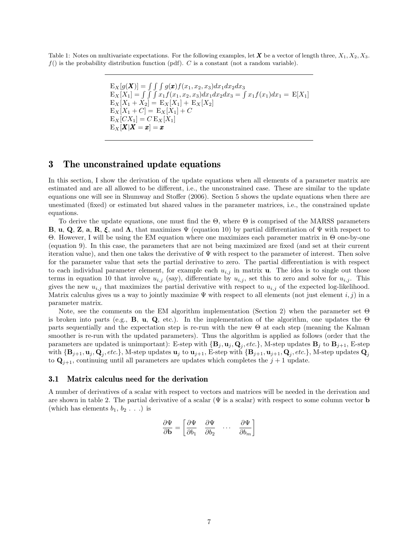Table 1: Notes on multivariate expectations. For the following examples, let X be a vector of length three,  $X_1, X_2, X_3$ .  $f()$  is the probability distribution function (pdf). C is a constant (not a random variable).

$$
E_X[g(\boldsymbol{X})] = \int \int g(\boldsymbol{x}) f(x_1, x_2, x_3) dx_1 dx_2 dx_3
$$
  
\n
$$
E_X[X_1] = \int \int \int x_1 f(x_1, x_2, x_3) dx_1 dx_2 dx_3 = \int x_1 f(x_1) dx_1 = E[X_1]
$$
  
\n
$$
E_X[X_1 + X_2] = E_X[X_1] + E_X[X_2]
$$
  
\n
$$
E_X[X_1 + C] = E_X[X_1] + C
$$
  
\n
$$
E_X[CX_1] = C E_X[X_1]
$$
  
\n
$$
E_X[\boldsymbol{X}|\boldsymbol{X} = \boldsymbol{x}] = \boldsymbol{x}
$$

### 3 The unconstrained update equations

In this section, I show the derivation of the update equations when all elements of a parameter matrix are estimated and are all allowed to be different, i.e., the unconstrained case. These are similar to the update equations one will see in Shumway and Stoffer (2006). Section 5 shows the update equations when there are unestimated (fixed) or estimated but shared values in the parameter matrices, i.e., the constrained update equations.

To derive the update equations, one must find the  $\Theta$ , where  $\Theta$  is comprised of the MARSS parameters **B, u, Q, Z, a, R, ξ,** and  $\Lambda$ , that maximizes  $\Psi$  (equation 10) by partial differentiation of  $\Psi$  with respect to Θ. However, I will be using the EM equation where one maximizes each parameter matrix in Θ one-by-one (equation 9). In this case, the parameters that are not being maximized are fixed (and set at their current iteration value), and then one takes the derivative of Ψ with respect to the parameter of interest. Then solve for the parameter value that sets the partial derivative to zero. The partial differentiation is with respect to each individual parameter element, for example each  $u_{i,j}$  in matrix **u**. The idea is to single out those terms in equation 10 that involve  $u_{i,j}$  (say), differentiate by  $u_{i,j}$ , set this to zero and solve for  $u_{i,j}$ . This gives the new  $u_{i,j}$  that maximizes the partial derivative with respect to  $u_{i,j}$  of the expected log-likelihood. Matrix calculus gives us a way to jointly maximize  $\Psi$  with respect to all elements (not just element i, j) in a parameter matrix.

Note, see the comments on the EM algorithm implementation (Section 2) when the parameter set Θ is broken into parts (e.g., **B**, **u**, **Q**, etc.). In the implementation of the algorithm, one updates the  $\Theta$ parts sequentially and the expectation step is re-run with the new Θ at each step (meaning the Kalman smoother is re-run with the updated parameters). Thus the algorithm is applied as follows (order that the parameters are updated is unimportant): E-step with  $\{B_j, u_j, Q_j, etc.\}$ , M-step updates  $B_j$  to  $B_{j+1}$ , E-step with  $\{B_{j+1}, \mathbf{u}_j, \mathbf{Q}_j, etc.\}$ , M-step updates  $\mathbf{u}_j$  to  $\mathbf{u}_{j+1}$ , E-step with  $\{B_{j+1}, \mathbf{u}_{j+1}, \mathbf{Q}_j, etc.\}$ , M-step updates  $\mathbf{Q}_j$ to  $\mathbf{Q}_{j+1}$ , continuing until all parameters are updates which completes the  $j+1$  update.

#### 3.1 Matrix calculus need for the derivation

A number of derivatives of a scalar with respect to vectors and matrices will be needed in the derivation and are shown in table 2. The partial derivative of a scalar  $(\Psi)$  is a scalar) with respect to some column vector **b** (which has elements  $b_1, b_2 \ldots$ ) is

$$
\frac{\partial \Psi}{\partial \mathbf{b}} = \begin{bmatrix} \frac{\partial \Psi}{\partial b_1} & \frac{\partial \Psi}{\partial b_2} & \cdots & \frac{\partial \Psi}{\partial b_m} \end{bmatrix}
$$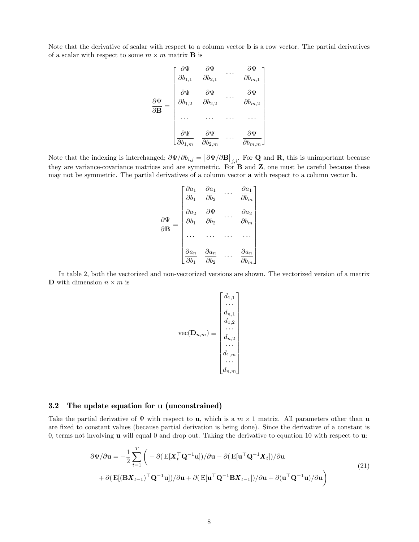Note that the derivative of scalar with respect to a column vector b is a row vector. The partial derivatives of a scalar with respect to some  $m \times m$  matrix **B** is

$$
\frac{\partial \Psi}{\partial \mathbf{B}} = \begin{bmatrix}\n\frac{\partial \Psi}{\partial b_{1,1}} & \frac{\partial \Psi}{\partial b_{2,1}} & \cdots & \frac{\partial \Psi}{\partial b_{m,1}} \\
\frac{\partial \Psi}{\partial b_{1,2}} & \frac{\partial \Psi}{\partial b_{2,2}} & \cdots & \frac{\partial \Psi}{\partial b_{m,2}} \\
\vdots & \vdots & \ddots & \vdots \\
\frac{\partial \Psi}{\partial b_{1,m}} & \frac{\partial \Psi}{\partial b_{2,m}} & \cdots & \frac{\partial \Psi}{\partial b_{m,m}}\n\end{bmatrix}
$$

Note that the indexing is interchanged;  $\partial\Psi/\partial b_{i,j} = [\partial\Psi/\partial \mathbf{B}]_{j,i}$ . For Q and R, this is unimportant because they are variance-covariance matrices and are symmetric. For B and Z, one must be careful because these may not be symmetric. The partial derivatives of a column vector a with respect to a column vector b.

$$
\frac{\partial \Psi}{\partial \mathbf{B}} = \begin{bmatrix}\n\frac{\partial a_1}{\partial b_1} & \frac{\partial a_1}{\partial b_2} & \cdots & \frac{\partial a_1}{\partial b_m} \\
\frac{\partial a_2}{\partial b_1} & \frac{\partial \Psi}{\partial b_2} & \cdots & \frac{\partial a_2}{\partial b_m} \\
\vdots & \vdots & \ddots & \vdots \\
\frac{\partial a_n}{\partial b_1} & \frac{\partial a_n}{\partial b_2} & \cdots & \frac{\partial a_n}{\partial b_m}\n\end{bmatrix}
$$

In table 2, both the vectorized and non-vectorized versions are shown. The vectorized version of a matrix **D** with dimension  $n \times m$  is

$$
\text{vec}(\mathbf{D}_{n,m}) \equiv \begin{bmatrix} d_{1,1} \\ \cdots \\ d_{n,1} \\ \vdots \\ d_{n,2} \\ \cdots \\ d_{1,m} \\ \cdots \\ d_{n,m} \end{bmatrix}
$$

### 3.2 The update equation for u (unconstrained)

Take the partial derivative of  $\Psi$  with respect to **u**, which is a  $m \times 1$  matrix. All parameters other than **u** are fixed to constant values (because partial derivation is being done). Since the derivative of a constant is 0, terms not involving u will equal 0 and drop out. Taking the derivative to equation 10 with respect to u:

$$
\partial \Psi / \partial \mathbf{u} = -\frac{1}{2} \sum_{t=1}^{T} \left( -\partial (\mathbf{E}[\mathbf{X}_{t}^{\top} \mathbf{Q}^{-1} \mathbf{u}]) / \partial \mathbf{u} - \partial (\mathbf{E}[\mathbf{u}^{\top} \mathbf{Q}^{-1} \mathbf{X}_{t}]) / \partial \mathbf{u} \right. \n\left. + \partial (\mathbf{E}[(\mathbf{B}\mathbf{X}_{t-1})^{\top} \mathbf{Q}^{-1} \mathbf{u}]) / \partial \mathbf{u} + \partial (\mathbf{E}[\mathbf{u}^{\top} \mathbf{Q}^{-1} \mathbf{B}\mathbf{X}_{t-1}]) / \partial \mathbf{u} + \partial (\mathbf{u}^{\top} \mathbf{Q}^{-1} \mathbf{u}) / \partial \mathbf{u} \right)
$$
\n(21)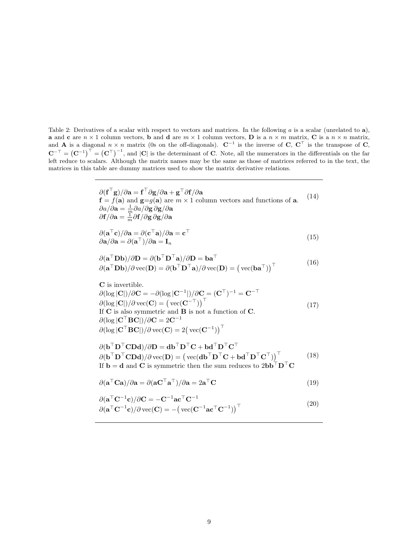Table 2: Derivatives of a scalar with respect to vectors and matrices. In the following a is a scalar (unrelated to a), **a** and **c** are  $n \times 1$  column vectors, **b** and **d** are  $m \times 1$  column vectors, **D** is a  $n \times m$  matrix, **C** is a  $n \times n$  matrix, and **A** is a diagonal  $n \times n$  matrix (0s on the off-diagonals). C<sup>−1</sup> is the inverse of C, C<sup>⊤</sup> is the transpose of C,  $\mathbf{C}^{-\top} = (\mathbf{C}^{-1})^{\top} = (\mathbf{C}^{\top})^{-1}$ , and  $|\mathbf{C}|$  is the determinant of **C**. Note, all the numerators in the differentials on the far left reduce to scalars. Although the matrix names may be the same as those of matrices referred to in the text, the matrices in this table are dummy matrices used to show the matrix derivative relations.

$$
\partial(\mathbf{f}^\top \mathbf{g})/\partial \mathbf{a} = \mathbf{f}^\top \partial \mathbf{g}/\partial \mathbf{a} + \mathbf{g}^\top \partial \mathbf{f}/\partial \mathbf{a}
$$
  
\n
$$
\mathbf{f} = f(\mathbf{a}) \text{ and } \mathbf{g} = g(\mathbf{a}) \text{ are } m \times 1 \text{ column vectors and functions of } \mathbf{a}.
$$
  
\n
$$
\partial a/\partial \mathbf{a} = \frac{1}{m} \partial a/\partial \mathbf{g} \partial \mathbf{g}/\partial \mathbf{a}
$$
  
\n
$$
\partial \mathbf{f}/\partial \mathbf{a} = \frac{1}{m} \partial \mathbf{f}/\partial \mathbf{g} \partial \mathbf{g}/\partial \mathbf{a}
$$

$$
\partial(\mathbf{a}^{\top}\mathbf{c})/\partial \mathbf{a} = \partial(\mathbf{c}^{\top}\mathbf{a})/\partial \mathbf{a} = \mathbf{c}^{\top}
$$
  
\n
$$
\partial \mathbf{a}/\partial \mathbf{a} = \partial(\mathbf{a}^{\top})/\partial \mathbf{a} = \mathbf{I}_n
$$
\n(15)

$$
\partial(\mathbf{a}^{\top} \mathbf{D} \mathbf{b}) / \partial \mathbf{D} = \partial(\mathbf{b}^{\top} \mathbf{D}^{\top} \mathbf{a}) / \partial \mathbf{D} = \mathbf{b} \mathbf{a}^{\top} \n\partial(\mathbf{a}^{\top} \mathbf{D} \mathbf{b}) / \partial \text{vec}(\mathbf{D}) = \partial(\mathbf{b}^{\top} \mathbf{D}^{\top} \mathbf{a}) / \partial \text{vec}(\mathbf{D}) = (\text{vec}(\mathbf{b} \mathbf{a}^{\top}))^{\top}
$$
\n(16)

C is invertible. (17)  $\partial(\log |\mathbf{C}|)/\partial \mathbf{C} = -\partial(\log |\mathbf{C}^{-1}|)/\partial \mathbf{C} = (\mathbf{C}^{\top})^{-1} = \mathbf{C}^{-\top}$  $\partial(\log |\mathbf{C}|)/\partial \text{vec}(\mathbf{C}) = (\text{vec}(\mathbf{C}^{-\top}))^{\top}$ If  $\overrightarrow{C}$  is also symmetric and  $\overrightarrow{B}$  is not a function of  $\overrightarrow{C}$ .  $\partial (\log|\mathbf{C}^\top \mathbf{B} \mathbf{C}|)/\partial \mathbf{C} = 2\mathbf{C}^{-1}$  $\partial (\log |\mathbf{C}^\top \mathbf{B} \mathbf{C}|)/\partial \operatorname{vec}(\mathbf{C}) = 2\big(\operatorname{vec}(\mathbf{C}^{-1})\big)^\top$ 

 $\partial (\mathbf{b}^\top \mathbf{D}^\top \mathbf{C} \mathbf{D} \mathbf{d}) / \partial \mathbf{D} = \mathbf{d} \mathbf{b}^\top \mathbf{D}^\top \mathbf{C} + \mathbf{b} \mathbf{d}^\top \mathbf{D}^\top \mathbf{C}^\top$  $\partial (\mathbf{b}^\top \mathbf{D}^\top \mathbf{C} \mathbf{D} \mathbf{d}) / \partial \text{vec}(\mathbf{D}) = (\text{vec}(\mathbf{d} \mathbf{b}^\top \mathbf{D}^\top \mathbf{C} + \mathbf{b} \mathbf{d}^\top \mathbf{D}^\top \mathbf{C}^\top))^\top$  (18) If **b** = **d** and **C** is symmetric then the sum reduces to  $2b\mathbf{b}^\top \mathbf{D}^\top \mathbf{C}$ 

$$
\partial(\mathbf{a}^{\top}\mathbf{C}\mathbf{a})/\partial\mathbf{a} = \partial(\mathbf{a}\mathbf{C}^{\top}\mathbf{a}^{\top})/\partial\mathbf{a} = 2\mathbf{a}^{\top}\mathbf{C}
$$
\n(19)

$$
\partial(\mathbf{a}^{\top}\mathbf{C}^{-1}\mathbf{c})/\partial\mathbf{C} = -\mathbf{C}^{-1}\mathbf{ac}^{\top}\mathbf{C}^{-1} \n\partial(\mathbf{a}^{\top}\mathbf{C}^{-1}\mathbf{c})/\partial \text{vec}(\mathbf{C}) = -(\text{vec}(\mathbf{C}^{-1}\mathbf{ac}^{\top}\mathbf{C}^{-1}))^{\top}
$$
\n(20)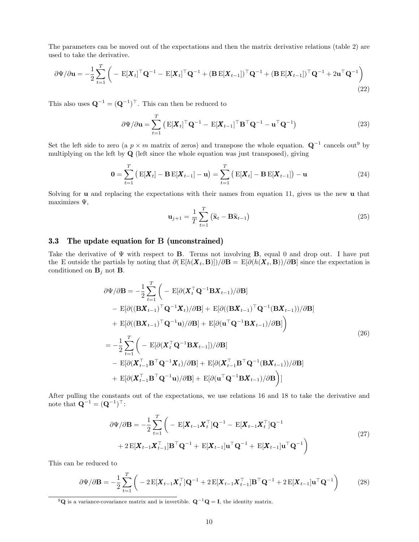The parameters can be moved out of the expectations and then the matrix derivative relations (table 2) are used to take the derivative.

$$
\partial \Psi / \partial \mathbf{u} = -\frac{1}{2} \sum_{t=1}^{T} \left( -\mathbf{E}[\mathbf{X}_t]^\top \mathbf{Q}^{-1} - \mathbf{E}[\mathbf{X}_t]^\top \mathbf{Q}^{-1} + (\mathbf{B} \mathbf{E}[\mathbf{X}_{t-1}])^\top \mathbf{Q}^{-1} + (\mathbf{B} \mathbf{E}[\mathbf{X}_{t-1}])^\top \mathbf{Q}^{-1} + 2 \mathbf{u}^\top \mathbf{Q}^{-1} \right)
$$
\n(22)

This also uses  $\mathbf{Q}^{-1} = (\mathbf{Q}^{-1})^{\top}$ . This can then be reduced to

$$
\partial \Psi / \partial \mathbf{u} = \sum_{t=1}^{T} \left( \mathbf{E} [\mathbf{X}_t]^{\top} \mathbf{Q}^{-1} - \mathbf{E} [\mathbf{X}_{t-1}]^{\top} \mathbf{B}^{\top} \mathbf{Q}^{-1} - \mathbf{u}^{\top} \mathbf{Q}^{-1} \right)
$$
(23)

Set the left side to zero (a  $p \times m$  matrix of zeros) and transpose the whole equation.  $\mathbf{Q}^{-1}$  cancels out<sup>9</sup> by multiplying on the left by Q (left since the whole equation was just transposed), giving

$$
\mathbf{0} = \sum_{t=1}^{T} \left( \mathbf{E}[\mathbf{X}_t] - \mathbf{B} \mathbf{E}[\mathbf{X}_{t-1}] - \mathbf{u} \right) = \sum_{t=1}^{T} \left( \mathbf{E}[\mathbf{X}_t] - \mathbf{B} \mathbf{E}[\mathbf{X}_{t-1}] \right) - \mathbf{u}
$$
(24)

Solving for  $\bf{u}$  and replacing the expectations with their names from equation 11, gives us the new  $\bf{u}$  that maximizes  $\Psi$ ,

$$
\mathbf{u}_{j+1} = \frac{1}{T} \sum_{t=1}^{T} (\tilde{\mathbf{x}}_t - \mathbf{B} \tilde{\mathbf{x}}_{t-1})
$$
(25)

### 3.3 The update equation for B (unconstrained)

Take the derivative of  $\Psi$  with respect to **B**. Terms not involving **B**, equal 0 and drop out. I have put the E outside the partials by noting that  $\partial (E[h(X_t, B)])/\partial B = E[\partial (h(X_t, B))/\partial B]$  since the expectation is conditioned on  $\mathbf{B}_j$  not **B**.

$$
\partial \Psi / \partial \mathbf{B} = -\frac{1}{2} \sum_{t=1}^{T} \left( -\mathbb{E}[\partial (\mathbf{X}_{t}^{\top} \mathbf{Q}^{-1} \mathbf{B} \mathbf{X}_{t-1}) / \partial \mathbf{B}] - \mathbb{E}[\partial ((\mathbf{B} \mathbf{X}_{t-1})^{\top} \mathbf{Q}^{-1} \mathbf{X}_{t}) / \partial \mathbf{B}] + \mathbb{E}[\partial ((\mathbf{B} \mathbf{X}_{t-1})^{\top} \mathbf{Q}^{-1} (\mathbf{B} \mathbf{X}_{t-1})) / \partial \mathbf{B}] + \mathbb{E}[\partial ((\mathbf{B} \mathbf{X}_{t-1})^{\top} \mathbf{Q}^{-1} \mathbf{u}) / \partial \mathbf{B}] + \mathbb{E}[\partial (\mathbf{u}^{\top} \mathbf{Q}^{-1} \mathbf{B} \mathbf{X}_{t-1}) / \partial \mathbf{B}] \right)
$$
  
\n
$$
= -\frac{1}{2} \sum_{t=1}^{T} \left( -\mathbb{E}[\partial (\mathbf{X}_{t}^{\top} \mathbf{Q}^{-1} \mathbf{B} \mathbf{X}_{t-1}]) / \partial \mathbf{B}] - \mathbb{E}[\partial (\mathbf{X}_{t-1}^{\top} \mathbf{B}^{\top} \mathbf{Q}^{-1} \mathbf{X}_{t}) / \partial \mathbf{B}] + \mathbb{E}[\partial (\mathbf{X}_{t-1}^{\top} \mathbf{B}^{\top} \mathbf{Q}^{-1} (\mathbf{B} \mathbf{X}_{t-1})) / \partial \mathbf{B}] + \mathbb{E}[\partial (\mathbf{X}_{t-1}^{\top} \mathbf{B}^{\top} \mathbf{Q}^{-1} \mathbf{u}) / \partial \mathbf{B}] + \mathbb{E}[\partial (\mathbf{u}^{\top} \mathbf{Q}^{-1} \mathbf{B} \mathbf{X}_{t-1}) / \partial \mathbf{B}]
$$

After pulling the constants out of the expectations, we use relations 16 and 18 to take the derivative and note that  $\mathbf{Q}^{-1} = (\mathbf{Q}^{-1})^{\top}$ :

$$
\partial \Psi / \partial \mathbf{B} = -\frac{1}{2} \sum_{t=1}^{T} \left( - \mathbf{E} [\mathbf{X}_{t-1} \mathbf{X}_{t}^{\top}] \mathbf{Q}^{-1} - \mathbf{E} [\mathbf{X}_{t-1} \mathbf{X}_{t}^{\top}] \mathbf{Q}^{-1} + 2 \mathbf{E} [\mathbf{X}_{t-1} \mathbf{X}_{t-1}^{\top}] \mathbf{B}^{\top} \mathbf{Q}^{-1} + \mathbf{E} [\mathbf{X}_{t-1}] \mathbf{u}^{\top} \mathbf{Q}^{-1} + \mathbf{E} [\mathbf{X}_{t-1}] \mathbf{u}^{\top} \mathbf{Q}^{-1} \right)
$$
\n(27)

This can be reduced to

$$
\partial \Psi / \partial \mathbf{B} = -\frac{1}{2} \sum_{t=1}^{T} \left( -2 \mathbf{E} [\mathbf{X}_{t-1} \mathbf{X}_{t}^{\top}] \mathbf{Q}^{-1} + 2 \mathbf{E} [\mathbf{X}_{t-1} \mathbf{X}_{t-1}^{\top}] \mathbf{B}^{\top} \mathbf{Q}^{-1} + 2 \mathbf{E} [\mathbf{X}_{t-1}] \mathbf{u}^{\top} \mathbf{Q}^{-1} \right)
$$
(28)

<sup>9</sup>Q is a variance-covariance matrix and is invertible.  $Q^{-1}Q = I$ , the identity matrix.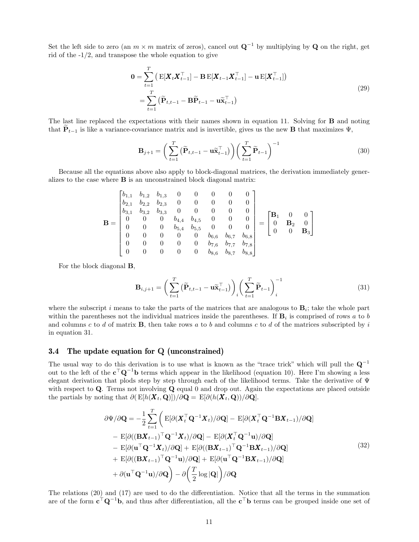Set the left side to zero (an  $m \times m$  matrix of zeros), cancel out  $\mathbf{Q}^{-1}$  by multiplying by  $\mathbf Q$  on the right, get rid of the -1/2, and transpose the whole equation to give

$$
0 = \sum_{t=1}^{T} \left( \mathbf{E}[\mathbf{X}_t \mathbf{X}_{t-1}^\top] - \mathbf{B} \mathbf{E}[\mathbf{X}_{t-1} \mathbf{X}_{t-1}^\top] - \mathbf{u} \mathbf{E}[\mathbf{X}_{t-1}^\top] \right)
$$
  
= 
$$
\sum_{t=1}^{T} \left( \widetilde{\mathbf{P}}_{t,t-1} - \mathbf{B} \widetilde{\mathbf{P}}_{t-1} - \mathbf{u} \widetilde{\mathbf{X}}_{t-1}^\top \right)
$$
 (29)

The last line replaced the expectations with their names shown in equation 11. Solving for B and noting that  $\mathbf{P}_{t-1}$  is like a variance-covariance matrix and is invertible, gives us the new **B** that maximizes  $\Psi$ ,

$$
\mathbf{B}_{j+1} = \left(\sum_{t=1}^{T} \left(\widetilde{\mathbf{P}}_{t,t-1} - \mathbf{u}\widetilde{\mathbf{x}}_{t-1}^{\top}\right)\right) \left(\sum_{t=1}^{T} \widetilde{\mathbf{P}}_{t-1}\right)^{-1} \tag{30}
$$

Because all the equations above also apply to block-diagonal matrices, the derivation immediately generalizes to the case where B is an unconstrained block diagonal matrix:

$$
\mathbf{B} = \begin{bmatrix} b_{1,1} & b_{1,2} & b_{1,3} & 0 & 0 & 0 & 0 & 0 \\ b_{2,1} & b_{2,2} & b_{2,3} & 0 & 0 & 0 & 0 & 0 \\ b_{3,1} & b_{3,2} & b_{3,3} & 0 & 0 & 0 & 0 & 0 \\ 0 & 0 & 0 & b_{4,4} & b_{4,5} & 0 & 0 & 0 \\ 0 & 0 & 0 & b_{5,4} & b_{5,5} & 0 & 0 & 0 \\ 0 & 0 & 0 & 0 & 0 & b_{6,6} & b_{6,7} & b_{6,8} \\ 0 & 0 & 0 & 0 & 0 & b_{7,6} & b_{7,7} & b_{7,8} \\ 0 & 0 & 0 & 0 & 0 & b_{8,6} & b_{8,7} & b_{8,8} \end{bmatrix} = \begin{bmatrix} \mathbf{B}_1 & 0 & 0 \\ 0 & \mathbf{B}_2 & 0 \\ 0 & 0 & \mathbf{B}_3 \end{bmatrix}
$$

For the block diagonal B,

$$
\mathbf{B}_{i,j+1} = \left(\sum_{t=1}^{T} \left(\widetilde{\mathbf{P}}_{t,t-1} - \mathbf{u}\widetilde{\mathbf{x}}_{t-1}^{\top}\right)\right)_i \left(\sum_{t=1}^{T} \widetilde{\mathbf{P}}_{t-1}\right)_i^{-1} \tag{31}
$$

where the subscript i means to take the parts of the matrices that are analogous to  $B_i$ ; take the whole part within the parentheses not the individual matrices inside the parentheses. If  $\mathbf{B}_i$  is comprised of rows a to b and columns c to d of matrix  $\bf{B}$ , then take rows a to b and columns c to d of the matrices subscripted by i in equation 31.

#### 3.4 The update equation for Q (unconstrained)

The usual way to do this derivation is to use what is known as the "trace trick" which will pull the  $\mathbf{Q}^{-1}$ out to the left of the  $c^{\top}Q^{-1}b$  terms which appear in the likelihood (equation 10). Here I'm showing a less elegant derivation that plods step by step through each of the likelihood terms. Take the derivative of  $\Psi$ with respect to  $Q$ . Terms not involving  $Q$  equal 0 and drop out. Again the expectations are placed outside the partials by noting that  $\partial ( E[h(X_t, \mathbf{Q})])/\partial \mathbf{Q} = E[\partial (h(X_t, \mathbf{Q}))/\partial \mathbf{Q}].$ 

$$
\partial \Psi/\partial \mathbf{Q} = -\frac{1}{2} \sum_{t=1}^{T} \left( \mathbf{E}[\partial (\mathbf{X}_{t}^{\top} \mathbf{Q}^{-1} \mathbf{X}_{t}) / \partial \mathbf{Q}] - \mathbf{E}[\partial (\mathbf{X}_{t}^{\top} \mathbf{Q}^{-1} \mathbf{B} \mathbf{X}_{t-1}) / \partial \mathbf{Q}] - \mathbf{E}[\partial ((\mathbf{B} \mathbf{X}_{t-1})^{\top} \mathbf{Q}^{-1} \mathbf{X}_{t}) / \partial \mathbf{Q}] - \mathbf{E}[\partial (\mathbf{X}_{t}^{\top} \mathbf{Q}^{-1} \mathbf{u}) / \partial \mathbf{Q}] - \mathbf{E}[\partial (\mathbf{u}^{\top} \mathbf{Q}^{-1} \mathbf{X}_{t}) / \partial \mathbf{Q}] + \mathbf{E}[\partial ((\mathbf{B} \mathbf{X}_{t-1})^{\top} \mathbf{Q}^{-1} \mathbf{B} \mathbf{X}_{t-1}) / \partial \mathbf{Q}] + \mathbf{E}[\partial ((\mathbf{B} \mathbf{X}_{t-1})^{\top} \mathbf{Q}^{-1} \mathbf{u}) / \partial \mathbf{Q}] + \partial (\mathbf{u}^{\top} \mathbf{Q}^{-1} \mathbf{u}) / \partial \mathbf{Q} - \partial (\frac{T}{2} \log |\mathbf{Q}|) / \partial \mathbf{Q}
$$
\n(32)

The relations (20) and (17) are used to do the differentiation. Notice that all the terms in the summation are of the form  $c^{\top}Q^{-1}b$ , and thus after differentiation, all the  $c^{\top}b$  terms can be grouped inside one set of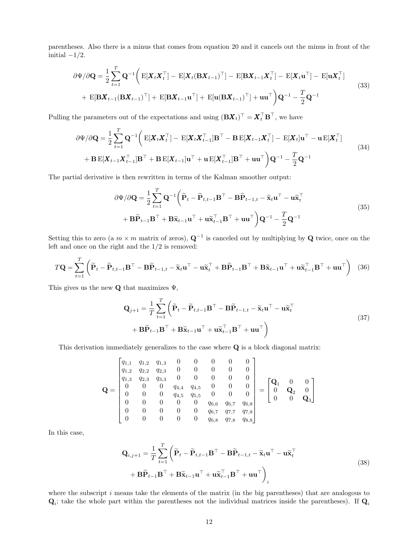parentheses. Also there is a minus that comes from equation 20 and it cancels out the minus in front of the initial  $-1/2$ .

$$
\partial \Psi / \partial \mathbf{Q} = \frac{1}{2} \sum_{t=1}^{T} \mathbf{Q}^{-1} \bigg( \mathbf{E}[\mathbf{X}_t \mathbf{X}_t^\top] - \mathbf{E}[\mathbf{X}_t (\mathbf{B} \mathbf{X}_{t-1})^\top] - \mathbf{E}[\mathbf{B} \mathbf{X}_{t-1} \mathbf{X}_t^\top] - \mathbf{E}[\mathbf{X}_t \mathbf{u}^\top] - \mathbf{E}[\mathbf{u} \mathbf{X}_t^\top] + \mathbf{E}[\mathbf{B} \mathbf{X}_{t-1} (\mathbf{B} \mathbf{X}_{t-1})^\top] + \mathbf{E}[\mathbf{B} \mathbf{X}_{t-1} \mathbf{u}^\top] + \mathbf{E}[\mathbf{u} (\mathbf{B} \mathbf{X}_{t-1})^\top] + \mathbf{u} \mathbf{u}^\top \bigg) \mathbf{Q}^{-1} - \frac{T}{2} \mathbf{Q}^{-1}
$$
\n(33)

Pulling the parameters out of the expectations and using  $(BX_t)^\top = X_t^\top B^\top$ , we have

$$
\partial \Psi / \partial \mathbf{Q} = \frac{1}{2} \sum_{t=1}^{T} \mathbf{Q}^{-1} \bigg( \mathbf{E}[\mathbf{X}_t \mathbf{X}_t^\top] - \mathbf{E}[\mathbf{X}_t \mathbf{X}_{t-1}^\top] \mathbf{B}^\top - \mathbf{B} \mathbf{E}[\mathbf{X}_{t-1} \mathbf{X}_t^\top] - \mathbf{E}[\mathbf{X}_t] \mathbf{u}^\top - \mathbf{u} \mathbf{E}[\mathbf{X}_t^\top] + \mathbf{B} \mathbf{E}[\mathbf{X}_{t-1} \mathbf{X}_{t-1}^\top] \mathbf{B}^\top + \mathbf{B} \mathbf{E}[\mathbf{X}_{t-1}] \mathbf{u}^\top + \mathbf{u} \mathbf{E}[\mathbf{X}_{t-1}^\top] \mathbf{B}^\top + \mathbf{u} \mathbf{u}^\top \bigg) \mathbf{Q}^{-1} - \frac{T}{2} \mathbf{Q}^{-1}
$$
\n(34)

The partial derivative is then rewritten in terms of the Kalman smoother output:

$$
\partial \Psi / \partial \mathbf{Q} = \frac{1}{2} \sum_{t=1}^{T} \mathbf{Q}^{-1} \left( \widetilde{\mathbf{P}}_t - \widetilde{\mathbf{P}}_{t,t-1} \mathbf{B}^{\top} - \mathbf{B} \widetilde{\mathbf{P}}_{t-1,t} - \widetilde{\mathbf{x}}_t \mathbf{u}^{\top} - \mathbf{u} \widetilde{\mathbf{x}}_t^{\top} \right. \\
\left. + \mathbf{B} \widetilde{\mathbf{P}}_{t-1} \mathbf{B}^{\top} + \mathbf{B} \widetilde{\mathbf{x}}_{t-1} \mathbf{u}^{\top} + \mathbf{u} \widetilde{\mathbf{x}}_{t-1}^{\top} \mathbf{B}^{\top} + \mathbf{u} \mathbf{u}^{\top} \right) \mathbf{Q}^{-1} - \frac{T}{2} \mathbf{Q}^{-1}
$$
\n(35)

Setting this to zero (a  $m \times m$  matrix of zeros),  $\mathbf{Q}^{-1}$  is canceled out by multiplying by  $\mathbf{Q}$  twice, once on the left and once on the right and the 1/2 is removed:

$$
T\mathbf{Q} = \sum_{t=1}^{T} \left( \widetilde{\mathbf{P}}_t - \widetilde{\mathbf{P}}_{t,t-1} \mathbf{B}^{\top} - \mathbf{B} \widetilde{\mathbf{P}}_{t-1,t} - \widetilde{\mathbf{x}}_t \mathbf{u}^{\top} - \mathbf{u} \widetilde{\mathbf{x}}_t^{\top} + \mathbf{B} \widetilde{\mathbf{P}}_{t-1} \mathbf{B}^{\top} + \mathbf{B} \widetilde{\mathbf{x}}_{t-1} \mathbf{u}^{\top} + \mathbf{u} \widetilde{\mathbf{x}}_{t-1}^{\top} \mathbf{B}^{\top} + \mathbf{u} \mathbf{u}^{\top} \right)
$$
(36)

This gives us the new  $\mathbf Q$  that maximizes  $\Psi$ ,

$$
\mathbf{Q}_{j+1} = \frac{1}{T} \sum_{t=1}^{T} \left( \widetilde{\mathbf{P}}_t - \widetilde{\mathbf{P}}_{t,t-1} \mathbf{B}^{\top} - \mathbf{B} \widetilde{\mathbf{P}}_{t-1,t} - \widetilde{\mathbf{x}}_t \mathbf{u}^{\top} - \mathbf{u} \widetilde{\mathbf{x}}_t^{\top} + \mathbf{B} \widetilde{\mathbf{P}}_{t-1} \mathbf{B}^{\top} + \mathbf{B} \widetilde{\mathbf{x}}_{t-1} \mathbf{u}^{\top} + \mathbf{u} \widetilde{\mathbf{x}}_{t-1}^{\top} \mathbf{B}^{\top} + \mathbf{u} \mathbf{u}^{\top} \right)
$$
\n(37)

This derivation immediately generalizes to the case where Q is a block diagonal matrix:

$$
\mathbf{Q} = \begin{bmatrix} q_{1,1} & q_{1,2} & q_{1,3} & 0 & 0 & 0 & 0 & 0 \\ q_{1,2} & q_{2,2} & q_{2,3} & 0 & 0 & 0 & 0 & 0 \\ q_{1,3} & q_{2,3} & q_{3,3} & 0 & 0 & 0 & 0 & 0 \\ 0 & 0 & 0 & q_{4,4} & q_{4,5} & 0 & 0 & 0 \\ 0 & 0 & 0 & q_{4,5} & q_{5,5} & 0 & 0 & 0 \\ 0 & 0 & 0 & 0 & 0 & q_{6,6} & q_{6,7} & q_{6,8} \\ 0 & 0 & 0 & 0 & 0 & q_{6,8} & q_{7,8} & q_{8,8} \\ 0 & 0 & 0 & 0 & 0 & q_{6,8} & q_{7,8} & q_{8,8} \end{bmatrix} = \begin{bmatrix} \mathbf{Q}_1 & 0 & 0 \\ 0 & \mathbf{Q}_2 & 0 \\ 0 & 0 & \mathbf{Q}_3 \end{bmatrix}
$$

In this case,

$$
\mathbf{Q}_{i,j+1} = \frac{1}{T} \sum_{t=1}^{T} \left( \widetilde{\mathbf{P}}_t - \widetilde{\mathbf{P}}_{t,t-1} \mathbf{B}^{\top} - \mathbf{B} \widetilde{\mathbf{P}}_{t-1,t} - \widetilde{\mathbf{x}}_t \mathbf{u}^{\top} - \mathbf{u} \widetilde{\mathbf{x}}_t^{\top} + \mathbf{B} \widetilde{\mathbf{P}}_{t-1} \mathbf{B}^{\top} + \mathbf{B} \widetilde{\mathbf{x}}_{t-1} \mathbf{u}^{\top} + \mathbf{u} \widetilde{\mathbf{x}}_{t-1}^{\top} \mathbf{B}^{\top} + \mathbf{u} \mathbf{u}^{\top} \right)_i
$$
\n(38)

where the subscript  $i$  means take the elements of the matrix (in the big parentheses) that are analogous to  $\mathbf{Q}_i$ ; take the whole part within the parentheses not the individual matrices inside the parentheses). If  $\mathbf{Q}_i$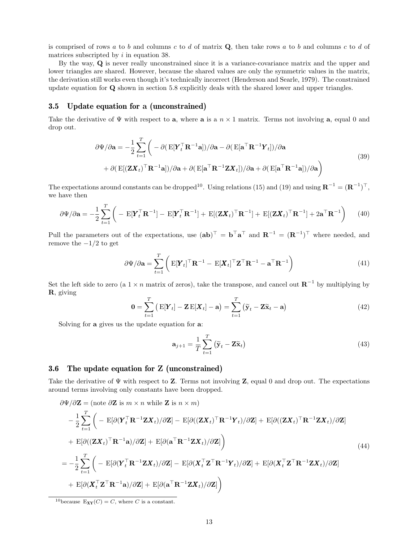is comprised of rows a to b and columns c to d of matrix  $\mathbf{Q}$ , then take rows a to b and columns c to d of matrices subscripted by  $i$  in equation 38.

By the way, Q is never really unconstrained since it is a variance-covariance matrix and the upper and lower triangles are shared. However, because the shared values are only the symmetric values in the matrix, the derivation still works even though it's technically incorrect (Henderson and Searle, 1979). The constrained update equation for Q shown in section 5.8 explicitly deals with the shared lower and upper triangles.

### 3.5 Update equation for a (unconstrained)

Take the derivative of  $\Psi$  with respect to **a**, where **a** is a  $n \times 1$  matrix. Terms not involving **a**, equal 0 and drop out.

$$
\partial \Psi / \partial \mathbf{a} = -\frac{1}{2} \sum_{t=1}^{T} \left( -\partial (\mathbf{E}[\mathbf{Y}_t^\top \mathbf{R}^{-1} \mathbf{a}]) / \partial \mathbf{a} - \partial (\mathbf{E}[\mathbf{a}^\top \mathbf{R}^{-1} \mathbf{Y}_t] ) / \partial \mathbf{a} \right. \n\left. + \partial (\mathbf{E}[(\mathbf{Z}\mathbf{X}_t)^\top \mathbf{R}^{-1} \mathbf{a}]) / \partial \mathbf{a} + \partial (\mathbf{E}[\mathbf{a}^\top \mathbf{R}^{-1} \mathbf{Z}\mathbf{X}_t]) / \partial \mathbf{a} + \partial (\mathbf{E}[\mathbf{a}^\top \mathbf{R}^{-1} \mathbf{a}]) / \partial \mathbf{a} \right)
$$
\n(39)

The expectations around constants can be dropped<sup>10</sup>. Using relations (15) and (19) and using  $\mathbf{R}^{-1} = (\mathbf{R}^{-1})^{\top}$ , we have then

$$
\partial \Psi / \partial \mathbf{a} = -\frac{1}{2} \sum_{t=1}^{T} \left( -\mathbf{E}[\mathbf{Y}_t^\top \mathbf{R}^{-1}] - \mathbf{E}[\mathbf{Y}_t^\top \mathbf{R}^{-1}] + \mathbf{E}[(\mathbf{Z}\mathbf{X}_t)^\top \mathbf{R}^{-1}] + \mathbf{E}[(\mathbf{Z}\mathbf{X}_t)^\top \mathbf{R}^{-1}] + 2\mathbf{a}^\top \mathbf{R}^{-1} \right) \tag{40}
$$

Pull the parameters out of the expectations, use  $(ab)^{\top} = b^{\top}a^{\top}$  and  $R^{-1} = (R^{-1})^{\top}$  where needed, and remove the  $-1/2$  to get

$$
\partial \Psi / \partial \mathbf{a} = \sum_{t=1}^{T} \left( \mathbf{E} [\mathbf{Y}_t]^\top \mathbf{R}^{-1} - \mathbf{E} [\mathbf{X}_t]^\top \mathbf{Z}^\top \mathbf{R}^{-1} - \mathbf{a}^\top \mathbf{R}^{-1} \right)
$$
(41)

Set the left side to zero (a  $1 \times n$  matrix of zeros), take the transpose, and cancel out  $\mathbb{R}^{-1}$  by multiplying by R, giving

$$
\mathbf{0} = \sum_{t=1}^{T} \left( \mathbf{E}[\mathbf{Y}_t] - \mathbf{Z} \mathbf{E}[\mathbf{X}_t] - \mathbf{a} \right) = \sum_{t=1}^{T} \left( \widetilde{\mathbf{y}}_t - \mathbf{Z} \widetilde{\mathbf{x}}_t - \mathbf{a} \right)
$$
(42)

Solving for a gives us the update equation for a:

$$
\mathbf{a}_{j+1} = \frac{1}{T} \sum_{t=1}^{T} (\widetilde{\mathbf{y}}_t - \mathbf{Z}\widetilde{\mathbf{x}}_t)
$$
(43)

### 3.6 The update equation for Z (unconstrained)

Take the derivative of  $\Psi$  with respect to **Z**. Terms not involving **Z**, equal 0 and drop out. The expectations around terms involving only constants have been dropped.

$$
\partial \Psi / \partial \mathbf{Z} = (\text{note } \partial \mathbf{Z} \text{ is } m \times n \text{ while } \mathbf{Z} \text{ is } n \times m)
$$
\n
$$
- \frac{1}{2} \sum_{t=1}^{T} \left( - \mathrm{E}[\partial (\mathbf{Y}_{t}^{\top} \mathbf{R}^{-1} \mathbf{Z} \mathbf{X}_{t}) / \partial \mathbf{Z}] - \mathrm{E}[\partial ((\mathbf{Z} \mathbf{X}_{t})^{\top} \mathbf{R}^{-1} \mathbf{Y}_{t}) / \partial \mathbf{Z}] + \mathrm{E}[\partial ((\mathbf{Z} \mathbf{X}_{t})^{\top} \mathbf{R}^{-1} \mathbf{Z} \mathbf{X}_{t}) / \partial \mathbf{Z}] \right)
$$
\n
$$
+ \mathrm{E}[\partial ((\mathbf{Z} \mathbf{X}_{t})^{\top} \mathbf{R}^{-1} \mathbf{a}) / \partial \mathbf{Z}] + \mathrm{E}[\partial (\mathbf{a}^{\top} \mathbf{R}^{-1} \mathbf{Z} \mathbf{X}_{t}) / \partial \mathbf{Z}] \right)
$$
\n
$$
= - \frac{1}{2} \sum_{t=1}^{T} \left( - \mathrm{E}[\partial (\mathbf{Y}_{t}^{\top} \mathbf{R}^{-1} \mathbf{Z} \mathbf{X}_{t}) / \partial \mathbf{Z}] - \mathrm{E}[\partial (\mathbf{X}_{t}^{\top} \mathbf{Z}^{\top} \mathbf{R}^{-1} \mathbf{Y}_{t}) / \partial \mathbf{Z}] + \mathrm{E}[\partial (\mathbf{X}_{t}^{\top} \mathbf{Z}^{\top} \mathbf{R}^{-1} \mathbf{Z} \mathbf{X}_{t}) / \partial \mathbf{Z}] + \mathrm{E}[\partial (\mathbf{X}_{t}^{\top} \mathbf{Z}^{\top} \mathbf{R}^{-1} \mathbf{a}) / \partial \mathbf{Z}] + \mathrm{E}[\partial (\mathbf{a}^{\top} \mathbf{R}^{-1} \mathbf{Z} \mathbf{X}_{t}) / \partial \mathbf{Z}] \right)
$$
\n(44)

<sup>10</sup>because E<sub>XY</sub>(C) = C, where C is a constant.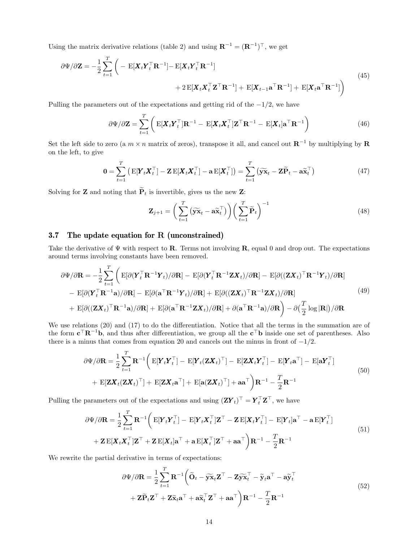Using the matrix derivative relations (table 2) and using  $\mathbf{R}^{-1} = (\mathbf{R}^{-1})^{\top}$ , we get

$$
\partial \Psi / \partial \mathbf{Z} = -\frac{1}{2} \sum_{t=1}^{T} \left( - \mathbf{E}[\mathbf{X}_t \mathbf{Y}_t^\top \mathbf{R}^{-1}] - \mathbf{E}[\mathbf{X}_t \mathbf{Y}_t^\top \mathbf{R}^{-1}] + \mathbf{E}[\mathbf{X}_{t-1} \mathbf{a}^\top \mathbf{R}^{-1}] + \mathbf{E}[\mathbf{X}_t \mathbf{a}^\top \mathbf{R}^{-1}] \right)
$$
(45)

Pulling the parameters out of the expectations and getting rid of the  $-1/2$ , we have

$$
\partial \Psi / \partial \mathbf{Z} = \sum_{t=1}^{T} \left( \mathbf{E} [\mathbf{X}_t \mathbf{Y}_t^\top] \mathbf{R}^{-1} - \mathbf{E} [\mathbf{X}_t \mathbf{X}_t^\top] \mathbf{Z}^\top \mathbf{R}^{-1} - \mathbf{E} [\mathbf{X}_t] \mathbf{a}^\top \mathbf{R}^{-1} \right)
$$
(46)

Set the left side to zero (a  $m \times n$  matrix of zeros), transpose it all, and cancel out  $\mathbb{R}^{-1}$  by multiplying by  $\mathbb{R}$ on the left, to give

$$
\mathbf{0} = \sum_{t=1}^{T} \left( \mathbf{E}[\mathbf{Y}_t \mathbf{X}_t^\top] - \mathbf{Z} \mathbf{E}[\mathbf{X}_t \mathbf{X}_t^\top] - \mathbf{a} \mathbf{E}[\mathbf{X}_t^\top] \right) = \sum_{t=1}^{T} \left( \widetilde{\mathbf{y}} \widetilde{\mathbf{x}}_t - \mathbf{Z} \widetilde{\mathbf{P}}_t - \mathbf{a} \widetilde{\mathbf{x}}_t^\top \right)
$$
(47)

Solving for **Z** and noting that  $\tilde{P}_t$  is invertible, gives us the new **Z**:

$$
\mathbf{Z}_{j+1} = \left(\sum_{t=1}^{T} \left(\widetilde{\mathbf{y}} \widetilde{\mathbf{x}}_t - \mathbf{a} \widetilde{\mathbf{x}}_t^{\top}\right)\right) \left(\sum_{t=1}^{T} \widetilde{\mathbf{P}}_t\right)^{-1} \tag{48}
$$

#### 3.7 The update equation for R (unconstrained)

Take the derivative of  $\Psi$  with respect to **R**. Terms not involving **R**, equal 0 and drop out. The expectations around terms involving constants have been removed.

$$
\partial \Psi / \partial \mathbf{R} = -\frac{1}{2} \sum_{t=1}^{T} \left( \mathbf{E} [\partial (\mathbf{Y}_{t}^{\top} \mathbf{R}^{-1} \mathbf{Y}_{t}) / \partial \mathbf{R}] - \mathbf{E} [\partial (\mathbf{Y}_{t}^{\top} \mathbf{R}^{-1} \mathbf{Z} \mathbf{X}_{t}) / \partial \mathbf{R}] - \mathbf{E} [\partial ((\mathbf{Z} \mathbf{X}_{t})^{\top} \mathbf{R}^{-1} \mathbf{Y}_{t}) / \partial \mathbf{R}] - \mathbf{E} [\partial (\mathbf{Y}_{t}^{\top} \mathbf{R}^{-1} \mathbf{a}) / \partial \mathbf{R}] - \mathbf{E} [\partial (\mathbf{a}^{\top} \mathbf{R}^{-1} \mathbf{Y}_{t}) / \partial \mathbf{R}] + \mathbf{E} [\partial ((\mathbf{Z} \mathbf{X}_{t})^{\top} \mathbf{R}^{-1} \mathbf{Z} \mathbf{X}_{t}) / \partial \mathbf{R}] + \mathbf{E} [\partial ((\mathbf{Z} \mathbf{X}_{t})^{\top} \mathbf{R}^{-1} \mathbf{a}) / \partial \mathbf{R}] + \mathbf{E} [\partial ((\mathbf{Z} \mathbf{X}_{t})^{\top} \mathbf{R}^{-1} \mathbf{a}) / \partial \mathbf{R}] + \mathbf{E} [\partial (\mathbf{a}^{\top} \mathbf{R}^{-1} \mathbf{Z} \mathbf{X}_{t}) / \partial \mathbf{R}] + \partial (\mathbf{a}^{\top} \mathbf{R}^{-1} \mathbf{a}) / \partial \mathbf{R} - \partial (\frac{T}{2} \log |\mathbf{R}|) / \partial \mathbf{R}
$$
\n(49)

We use relations (20) and (17) to do the differentiation. Notice that all the terms in the summation are of the form  $c^{\top}R^{-1}b$ , and thus after differentiation, we group all the  $c^{\top}b$  inside one set of parentheses. Also there is a minus that comes from equation 20 and cancels out the minus in front of  $-1/2$ .

$$
\partial \Psi / \partial \mathbf{R} = \frac{1}{2} \sum_{t=1}^{T} \mathbf{R}^{-1} \bigg( \mathbf{E}[\mathbf{Y}_t \mathbf{Y}_t^\top] - \mathbf{E}[\mathbf{Y}_t (\mathbf{Z} \mathbf{X}_t)^\top] - \mathbf{E}[\mathbf{Z} \mathbf{X}_t \mathbf{Y}_t^\top] - \mathbf{E}[\mathbf{Y}_t \mathbf{a}^\top] - \mathbf{E}[\mathbf{a} \mathbf{Y}_t^\top] + \mathbf{E}[\mathbf{Z} \mathbf{X}_t (\mathbf{Z} \mathbf{X}_t)^\top] + \mathbf{E}[\mathbf{Z} \mathbf{X}_t \mathbf{a}^\top] + \mathbf{E}[\mathbf{a} (\mathbf{Z} \mathbf{X}_t)^\top] + \mathbf{a} \mathbf{a}^\top \bigg) \mathbf{R}^{-1} - \frac{T}{2} \mathbf{R}^{-1}
$$
\n(50)

Pulling the parameters out of the expectations and using  $({\bf ZY}_t)^{\top} = {\bf Y}_t^{\top} {\bf Z}^{\top}$ , we have

$$
\partial \Psi / \partial \mathbf{R} = \frac{1}{2} \sum_{t=1}^{T} \mathbf{R}^{-1} \bigg( \mathbf{E}[\mathbf{Y}_t \mathbf{Y}_t^\top] - \mathbf{E}[\mathbf{Y}_t \mathbf{X}_t^\top] \mathbf{Z}^\top - \mathbf{Z} \mathbf{E}[\mathbf{X}_t \mathbf{Y}_t^\top] - \mathbf{E}[\mathbf{Y}_t] \mathbf{a}^\top - \mathbf{a} \mathbf{E}[\mathbf{Y}_t^\top] + \mathbf{Z} \mathbf{E}[\mathbf{X}_t \mathbf{X}_t^\top] \mathbf{Z}^\top + \mathbf{Z} \mathbf{E}[\mathbf{X}_t] \mathbf{a}^\top + \mathbf{a} \mathbf{E}[\mathbf{X}_t^\top] \mathbf{Z}^\top + \mathbf{a} \mathbf{a}^\top \bigg) \mathbf{R}^{-1} - \frac{T}{2} \mathbf{R}^{-1}
$$
\n(51)

We rewrite the partial derivative in terms of expectations:

$$
\partial \Psi / \partial \mathbf{R} = \frac{1}{2} \sum_{t=1}^{T} \mathbf{R}^{-1} \left( \widetilde{\mathbf{O}}_t - \widetilde{\mathbf{y}} \widetilde{\mathbf{x}}_t \mathbf{Z}^{\top} - \mathbf{Z} \widetilde{\mathbf{y}} \widetilde{\mathbf{x}}_t^{\top} - \widetilde{\mathbf{y}}_t \mathbf{a}^{\top} - \mathbf{a} \widetilde{\mathbf{y}}_t^{\top} + \mathbf{Z} \widetilde{\mathbf{P}}_t \mathbf{Z}^{\top} + \mathbf{Z} \widetilde{\mathbf{x}}_t \mathbf{a}^{\top} + \mathbf{a} \widetilde{\mathbf{x}}_t^{\top} \mathbf{Z}^{\top} + \mathbf{a} \mathbf{a}^{\top} \right) \mathbf{R}^{-1} - \frac{T}{2} \mathbf{R}^{-1}
$$
\n(52)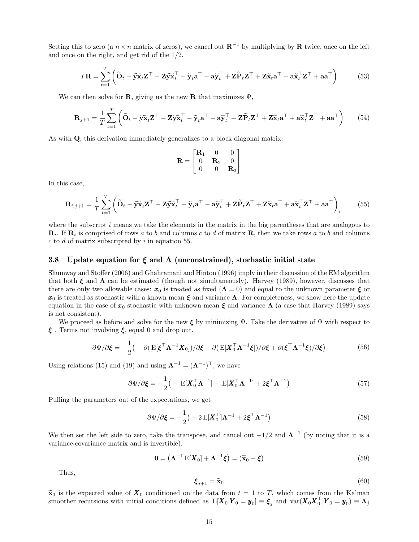Setting this to zero (a  $n \times n$  matrix of zeros), we cancel out  $\mathbb{R}^{-1}$  by multiplying by  $\mathbb{R}$  twice, once on the left and once on the right, and get rid of the 1/2.

$$
T\mathbf{R} = \sum_{t=1}^{T} \left( \widetilde{\mathbf{O}}_t - \widetilde{\mathbf{y}} \widetilde{\mathbf{x}}_t \mathbf{Z}^{\top} - \mathbf{Z} \widetilde{\mathbf{y}} \widetilde{\mathbf{x}}_t^{\top} - \widetilde{\mathbf{y}}_t \mathbf{a}^{\top} - \mathbf{a} \widetilde{\mathbf{y}}_t^{\top} + \mathbf{Z} \widetilde{\mathbf{P}}_t \mathbf{Z}^{\top} + \mathbf{Z} \widetilde{\mathbf{x}}_t \mathbf{a}^{\top} + \mathbf{a} \widetilde{\mathbf{x}}_t^{\top} \mathbf{Z}^{\top} + \mathbf{a} \mathbf{a}^{\top} \right)
$$
(53)

We can then solve for **R**, giving us the new **R** that maximizes  $\Psi$ ,

$$
\mathbf{R}_{j+1} = \frac{1}{T} \sum_{t=1}^{T} \left( \widetilde{\mathbf{O}}_t - \widetilde{\mathbf{y}} \widetilde{\mathbf{x}}_t \mathbf{Z}^{\top} - \mathbf{Z} \widetilde{\mathbf{y}} \widetilde{\mathbf{x}}_t^{\top} - \widetilde{\mathbf{y}}_t \mathbf{a}^{\top} - \mathbf{a} \widetilde{\mathbf{y}}_t^{\top} + \mathbf{Z} \widetilde{\mathbf{P}}_t \mathbf{Z}^{\top} + \mathbf{Z} \widetilde{\mathbf{x}}_t \mathbf{a}^{\top} + \mathbf{a} \widetilde{\mathbf{x}}_t^{\top} \mathbf{Z}^{\top} + \mathbf{a} \mathbf{a}^{\top} \right)
$$
(54)

As with Q, this derivation immediately generalizes to a block diagonal matrix:

$$
\mathbf{R} = \begin{bmatrix} \mathbf{R}_1 & 0 & 0 \\ 0 & \mathbf{R}_2 & 0 \\ 0 & 0 & \mathbf{R}_3 \end{bmatrix}
$$

In this case,

$$
\mathbf{R}_{i,j+1} = \frac{1}{T} \sum_{t=1}^{T} \left( \widetilde{\mathbf{O}}_t - \widetilde{\mathbf{y}} \widetilde{\mathbf{x}}_t \mathbf{Z}^{\top} - \mathbf{Z} \widetilde{\mathbf{y}} \widetilde{\mathbf{x}}_t^{\top} - \widetilde{\mathbf{y}}_t \mathbf{a}^{\top} - \mathbf{a} \widetilde{\mathbf{y}}_t^{\top} + \mathbf{Z} \widetilde{\mathbf{P}}_t \mathbf{Z}^{\top} + \mathbf{Z} \widetilde{\mathbf{x}}_t \mathbf{a}^{\top} + \mathbf{a} \widetilde{\mathbf{x}}_t^{\top} \mathbf{Z}^{\top} + \mathbf{a} \mathbf{a}^{\top} \right)_i
$$
(55)

where the subscript  $i$  means we take the elements in the matrix in the big parentheses that are analogous to  $\mathbf{R}_i$ . If  $\mathbf{R}_i$  is comprised of rows a to b and columns c to d of matrix  $\mathbf{R}$ , then we take rows a to b and columns  $c$  to  $d$  of matrix subscripted by  $i$  in equation 55.

#### 3.8 Update equation for  $\xi$  and  $\Lambda$  (unconstrained), stochastic initial state

Shumway and Stoffer (2006) and Ghahramani and Hinton (1996) imply in their discussion of the EM algorithm that both  $\xi$  and  $\Lambda$  can be estimated (though not simultaneously). Harvey (1989), however, discusses that there are only two allowable cases:  $x_0$  is treated as fixed  $(Λ = 0)$  and equal to the unknown parameter  $ξ$  or  $x_0$  is treated as stochastic with a known mean  $\xi$  and variance  $\Lambda$ . For completeness, we show here the update equation in the case of  $x_0$  stochastic with unknown mean  $\xi$  and variance  $\Lambda$  (a case that Harvey (1989) says is not consistent).

We proceed as before and solve for the new  $\xi$  by minimizing  $\Psi$ . Take the derivative of  $\Psi$  with respect to  $\xi$ . Terms not involving  $\xi$ , equal 0 and drop out.

$$
\partial \Psi / \partial \xi = -\frac{1}{2} \left( -\partial \left( \mathbf{E}[\xi^\top \mathbf{\Lambda}^{-1} \mathbf{X}_0] \right) / \partial \xi - \partial \left( \mathbf{E}[\mathbf{X}_0^\top \mathbf{\Lambda}^{-1} \xi] \right) / \partial \xi + \partial (\xi^\top \mathbf{\Lambda}^{-1} \xi) / \partial \xi \right)
$$
(56)

Using relations (15) and (19) and using  $\Lambda^{-1} = (\Lambda^{-1})^{\top}$ , we have

$$
\partial \Psi / \partial \xi = -\frac{1}{2} \left( - \mathbf{E} [\mathbf{X}_0^\top \mathbf{\Lambda}^{-1}] - \mathbf{E} [\mathbf{X}_0^\top \mathbf{\Lambda}^{-1}] + 2 \xi^\top \mathbf{\Lambda}^{-1} \right) \tag{57}
$$

Pulling the parameters out of the expectations, we get

$$
\partial \Psi / \partial \xi = -\frac{1}{2} \left( -2 \mathbf{E} [\mathbf{X}_0^\top] \mathbf{\Lambda}^{-1} + 2 \xi^\top \mathbf{\Lambda}^{-1} \right)
$$
(58)

We then set the left side to zero, take the transpose, and cancel out  $-1/2$  and  $\Lambda^{-1}$  (by noting that it is a variance-covariance matrix and is invertible).

$$
\mathbf{0} = \left(\mathbf{\Lambda}^{-1} \mathbf{E}[\mathbf{X}_0] + \mathbf{\Lambda}^{-1} \boldsymbol{\xi}\right) = (\widetilde{\mathbf{x}}_0 - \boldsymbol{\xi}) \tag{59}
$$

Thus,

$$
\boldsymbol{\xi}_{j+1} = \widetilde{\mathbf{x}}_0 \tag{60}
$$

 $\tilde{\mathbf{x}}_0$  is the expected value of  $\mathbf{X}_0$  conditioned on the data from  $t = 1$  to T, which comes from the Kalman smoother recursions with initial conditions defined as  $\mathbb{E}[X_0|Y_0 = y_0] \equiv \boldsymbol{\xi}_j$  and  $\text{var}(X_0 X_0^\top | Y_0 = y_0) \equiv \boldsymbol{\Lambda}_j$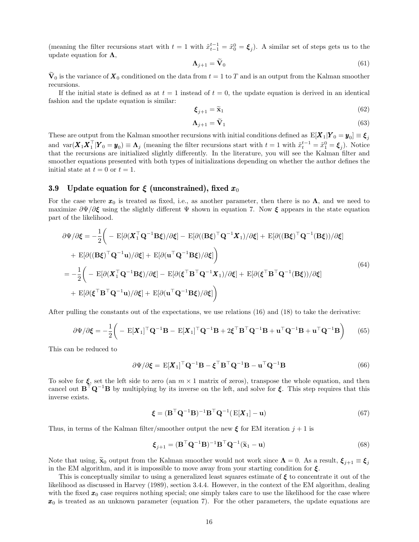(meaning the filter recursions start with  $t = 1$  with  $\tilde{x}_{t-1}^{t-1} = \tilde{x}_0^0 = \xi_j$ ). A similar set of steps gets us to the update equation for  $\Lambda$ ,

$$
\Lambda_{j+1} = \mathbf{V}_0 \tag{61}
$$

 $\tilde{\mathbf{V}}_0$  is the variance of  $\mathbf{X}_0$  conditioned on the data from  $t = 1$  to T and is an output from the Kalman smoother recursions.

If the initial state is defined as at  $t = 1$  instead of  $t = 0$ , the update equation is derived in an identical fashion and the update equation is similar:

$$
\boldsymbol{\xi}_{j+1} = \widetilde{\mathbf{x}}_1 \tag{62}
$$

$$
\Lambda_{j+1} = \widetilde{\mathbf{V}}_1 \tag{63}
$$

These are output from the Kalman smoother recursions with initial conditions defined as  $\text{E}[\bm{X}_1|\bm{Y}_0=\bm{y}_0]\equiv \bm{\xi}_j$ and  $\text{var}(\boldsymbol{X}_1 \boldsymbol{X}_1^\top | \boldsymbol{Y}_0 = \boldsymbol{y}_0) \equiv \boldsymbol{\Lambda}_j$  (meaning the filter recursions start with  $t = 1$  with  $\tilde{x}_t^{t-1} = \tilde{x}_1^0 = \boldsymbol{\xi}_j$ ). Notice that the recursions are initialized slightly differently. In the literature, you will see the Kalman filter and smoother equations presented with both types of initializations depending on whether the author defines the initial state at  $t = 0$  or  $t = 1$ .

### 3.9 Update equation for  $\xi$  (unconstrained), fixed  $x_0$

For the case where  $x_0$  is treated as fixed, i.e., as another parameter, then there is no  $\Lambda$ , and we need to maximize  $\partial \Psi / \partial \xi$  using the slightly different  $\Psi$  shown in equation 7. Now  $\xi$  appears in the state equation part of the likelihood.

$$
\partial \Psi / \partial \xi = -\frac{1}{2} \Big( - \mathbf{E} [\partial (\mathbf{X}_1^\top \mathbf{Q}^{-1} \mathbf{B} \xi) / \partial \xi] - \mathbf{E} [\partial ((\mathbf{B} \xi)^\top \mathbf{Q}^{-1} \mathbf{X}_1) / \partial \xi] + \mathbf{E} [\partial ((\mathbf{B} \xi)^\top \mathbf{Q}^{-1} (\mathbf{B} \xi)) / \partial \xi] \n+ \mathbf{E} [\partial ((\mathbf{B} \xi)^\top \mathbf{Q}^{-1} \mathbf{u}) / \partial \xi] + \mathbf{E} [\partial (\mathbf{u}^\top \mathbf{Q}^{-1} \mathbf{B} \xi) / \partial \xi] \Big)
$$
\n
$$
= -\frac{1}{2} \Big( - \mathbf{E} [\partial (\mathbf{X}_1^\top \mathbf{Q}^{-1} \mathbf{B} \xi) / \partial \xi] - \mathbf{E} [\partial (\xi^\top \mathbf{B}^\top \mathbf{Q}^{-1} \mathbf{X}_1) / \partial \xi] + \mathbf{E} [\partial (\xi^\top \mathbf{B}^\top \mathbf{Q}^{-1} (\mathbf{B} \xi)) / \partial \xi] \n+ \mathbf{E} [\partial (\xi^\top \mathbf{B}^\top \mathbf{Q}^{-1} \mathbf{u}) / \partial \xi] + \mathbf{E} [\partial (\mathbf{u}^\top \mathbf{Q}^{-1} \mathbf{B} \xi) / \partial \xi] \Big)
$$
\n(64)

After pulling the constants out of the expectations, we use relations (16) and (18) to take the derivative:

$$
\partial \Psi / \partial \xi = -\frac{1}{2} \left( - \mathbf{E}[\mathbf{X}_1]^{\top} \mathbf{Q}^{-1} \mathbf{B} - \mathbf{E}[\mathbf{X}_1]^{\top} \mathbf{Q}^{-1} \mathbf{B} + 2 \xi^{\top} \mathbf{B}^{\top} \mathbf{Q}^{-1} \mathbf{B} + \mathbf{u}^{\top} \mathbf{Q}^{-1} \mathbf{B} + \mathbf{u}^{\top} \mathbf{Q}^{-1} \mathbf{B} \right)
$$
(65)

This can be reduced to

$$
\partial \Psi / \partial \xi = \mathbf{E} [\mathbf{X}_1]^\top \mathbf{Q}^{-1} \mathbf{B} - \xi^\top \mathbf{B}^\top \mathbf{Q}^{-1} \mathbf{B} - \mathbf{u}^\top \mathbf{Q}^{-1} \mathbf{B}
$$
(66)

To solve for  $\xi$ , set the left side to zero (an  $m \times 1$  matrix of zeros), transpose the whole equation, and then cancel out  $B^{\top} Q^{-1}B$  by multiplying by its inverse on the left, and solve for  $\xi$ . This step requires that this inverse exists.

$$
\boldsymbol{\xi} = (\mathbf{B}^\top \mathbf{Q}^{-1} \mathbf{B})^{-1} \mathbf{B}^\top \mathbf{Q}^{-1} (\mathbf{E}[\boldsymbol{X}_1] - \mathbf{u}) \tag{67}
$$

Thus, in terms of the Kalman filter/smoother output the new  $\xi$  for EM iteration  $j + 1$  is

$$
\boldsymbol{\xi}_{j+1} = (\mathbf{B}^\top \mathbf{Q}^{-1} \mathbf{B})^{-1} \mathbf{B}^\top \mathbf{Q}^{-1} (\tilde{\mathbf{x}}_1 - \mathbf{u})
$$
\n(68)

Note that using,  $\widetilde{\mathbf{x}}_0$  output from the Kalman smoother would not work since  $\mathbf{\Lambda} = 0$ . As a result,  $\boldsymbol{\xi}_{j+1} \equiv \boldsymbol{\xi}_j$ in the EM algorithm, and it is impossible to move away from your starting condition for  $\xi$ .

This is conceptually similar to using a generalized least squares estimate of  $\xi$  to concentrate it out of the likelihood as discussed in Harvey (1989), section 3.4.4. However, in the context of the EM algorithm, dealing with the fixed  $x_0$  case requires nothing special; one simply takes care to use the likelihood for the case where  $x_0$  is treated as an unknown parameter (equation 7). For the other parameters, the update equations are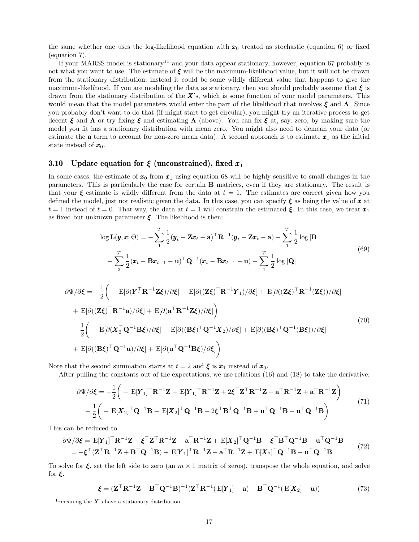the same whether one uses the log-likelihood equation with  $x_0$  treated as stochastic (equation 6) or fixed (equation 7).

If your MARSS model is stationary<sup>11</sup> and your data appear stationary, however, equation 67 probably is not what you want to use. The estimate of  $\xi$  will be the maximum-likelihood value, but it will not be drawn from the stationary distribution; instead it could be some wildly different value that happens to give the maximum-likelihood. If you are modeling the data as stationary, then you should probably assume that  $\xi$  is drawn from the stationary distribution of the  $\mathbf{X}$ 's, which is some function of your model parameters. This would mean that the model parameters would enter the part of the likelihood that involves  $\xi$  and  $\Lambda$ . Since you probably don't want to do that (if might start to get circular), you might try an iterative process to get decent  $\xi$  and  $\Lambda$  or try fixing  $\xi$  and estimating  $\Lambda$  (above). You can fix  $\xi$  at, say, zero, by making sure the model you fit has a stationary distribution with mean zero. You might also need to demean your data (or estimate the **a** term to account for non-zero mean data). A second approach is to estimate  $x_1$  as the initial state instead of  $x_0$ .

### 3.10 Update equation for  $\xi$  (unconstrained), fixed  $x_1$

In some cases, the estimate of  $x_0$  from  $x_1$  using equation 68 will be highly sensitive to small changes in the parameters. This is particularly the case for certain B matrices, even if they are stationary. The result is that your  $\xi$  estimate is wildly different from the data at  $t = 1$ . The estimates are correct given how you defined the model, just not realistic given the data. In this case, you can specify  $\xi$  as being the value of x at  $t = 1$  instead of  $t = 0$ . That way, the data at  $t = 1$  will constrain the estimated  $\xi$ . In this case, we treat  $x_1$ as fixed but unknown parameter  $\xi$ . The likelihood is then:

$$
\log \mathbf{L}(\boldsymbol{y}, \boldsymbol{x}; \Theta) = -\sum_{1}^{T} \frac{1}{2} (\boldsymbol{y}_t - \mathbf{Z} \boldsymbol{x}_t - \mathbf{a})^\top \mathbf{R}^{-1} (\boldsymbol{y}_t - \mathbf{Z} \boldsymbol{x}_t - \mathbf{a}) - \sum_{1}^{T} \frac{1}{2} \log |\mathbf{R}|
$$
  
- 
$$
\sum_{2}^{T} \frac{1}{2} (\boldsymbol{x}_t - \mathbf{B} \boldsymbol{x}_{t-1} - \mathbf{u})^\top \mathbf{Q}^{-1} (\boldsymbol{x}_t - \mathbf{B} \boldsymbol{x}_{t-1} - \mathbf{u}) - \sum_{1}^{T} \frac{1}{2} \log |\mathbf{Q}|
$$
(69)

$$
\partial \Psi / \partial \xi = -\frac{1}{2} \Big( - \mathbf{E} [\partial (\mathbf{Y}_1^{\top} \mathbf{R}^{-1} \mathbf{Z} \xi) / \partial \xi] - \mathbf{E} [\partial ((\mathbf{Z} \xi)^{\top} \mathbf{R}^{-1} \mathbf{Y}_1) / \partial \xi] + \mathbf{E} [\partial ((\mathbf{Z} \xi)^{\top} \mathbf{R}^{-1} (\mathbf{Z} \xi)) / \partial \xi] \n+ \mathbf{E} [\partial ((\mathbf{Z} \xi)^{\top} \mathbf{R}^{-1} \mathbf{a}) / \partial \xi] + \mathbf{E} [\partial (\mathbf{a}^{\top} \mathbf{R}^{-1} \mathbf{Z} \xi) / \partial \xi] \Big) \n- \frac{1}{2} \Big( - \mathbf{E} [\partial (\mathbf{X}_2^{\top} \mathbf{Q}^{-1} \mathbf{B} \xi) / \partial \xi] - \mathbf{E} [\partial ((\mathbf{B} \xi)^{\top} \mathbf{Q}^{-1} \mathbf{X}_2) / \partial \xi] + \mathbf{E} [\partial ((\mathbf{B} \xi)^{\top} \mathbf{Q}^{-1} (\mathbf{B} \xi)) / \partial \xi] \n+ \mathbf{E} [\partial ((\mathbf{B} \xi)^{\top} \mathbf{Q}^{-1} \mathbf{u}) / \partial \xi] + \mathbf{E} [\partial (\mathbf{u}^{\top} \mathbf{Q}^{-1} \mathbf{B} \xi) / \partial \xi] \Big)
$$
\n(70)

Note that the second summation starts at  $t = 2$  and  $\xi$  is  $x_1$  instead of  $x_0$ .

After pulling the constants out of the expectations, we use relations (16) and (18) to take the derivative:

$$
\partial \Psi / \partial \xi = -\frac{1}{2} \left( - \mathbf{E} [\mathbf{Y}_1]^{\top} \mathbf{R}^{-1} \mathbf{Z} - \mathbf{E} [\mathbf{Y}_1]^{\top} \mathbf{R}^{-1} \mathbf{Z} + 2 \xi^{\top} \mathbf{Z}^{\top} \mathbf{R}^{-1} \mathbf{Z} + \mathbf{a}^{\top} \mathbf{R}^{-1} \mathbf{Z} + \mathbf{a}^{\top} \mathbf{R}^{-1} \mathbf{Z} \right)
$$

$$
- \frac{1}{2} \left( - \mathbf{E} [\mathbf{X}_2]^{\top} \mathbf{Q}^{-1} \mathbf{B} - \mathbf{E} [\mathbf{X}_2]^{\top} \mathbf{Q}^{-1} \mathbf{B} + 2 \xi^{\top} \mathbf{B}^{\top} \mathbf{Q}^{-1} \mathbf{B} + \mathbf{u}^{\top} \mathbf{Q}^{-1} \mathbf{B} + \mathbf{u}^{\top} \mathbf{Q}^{-1} \mathbf{B} \right)
$$
(71)

This can be reduced to

$$
\partial \Psi / \partial \xi = \mathbf{E} [\mathbf{Y}_1]^{\top} \mathbf{R}^{-1} \mathbf{Z} - \xi^{\top} \mathbf{Z}^{\top} \mathbf{R}^{-1} \mathbf{Z} - \mathbf{a}^{\top} \mathbf{R}^{-1} \mathbf{Z} + \mathbf{E} [\mathbf{X}_2]^{\top} \mathbf{Q}^{-1} \mathbf{B} - \xi^{\top} \mathbf{B}^{\top} \mathbf{Q}^{-1} \mathbf{B} - \mathbf{u}^{\top} \mathbf{Q}^{-1} \mathbf{B}
$$
  
=  $-\xi^{\top} (\mathbf{Z}^{\top} \mathbf{R}^{-1} \mathbf{Z} + \mathbf{B}^{\top} \mathbf{Q}^{-1} \mathbf{B}) + \mathbf{E} [\mathbf{Y}_1]^{\top} \mathbf{R}^{-1} \mathbf{Z} - \mathbf{a}^{\top} \mathbf{R}^{-1} \mathbf{Z} + \mathbf{E} [\mathbf{X}_2]^{\top} \mathbf{Q}^{-1} \mathbf{B} - \mathbf{u}^{\top} \mathbf{Q}^{-1} \mathbf{B}$  (72)

To solve for  $\xi$ , set the left side to zero (an  $m \times 1$  matrix of zeros), transpose the whole equation, and solve for  $\xi$ .

$$
\boldsymbol{\xi} = (\mathbf{Z}^\top \mathbf{R}^{-1} \mathbf{Z} + \mathbf{B}^\top \mathbf{Q}^{-1} \mathbf{B})^{-1} (\mathbf{Z}^\top \mathbf{R}^{-1} (\mathbf{E}[\mathbf{Y}_1] - \mathbf{a}) + \mathbf{B}^\top \mathbf{Q}^{-1} (\mathbf{E}[\mathbf{X}_2] - \mathbf{u}))
$$
(73)

<sup>&</sup>lt;sup>11</sup> meaning the  $X$ 's have a stationary distribution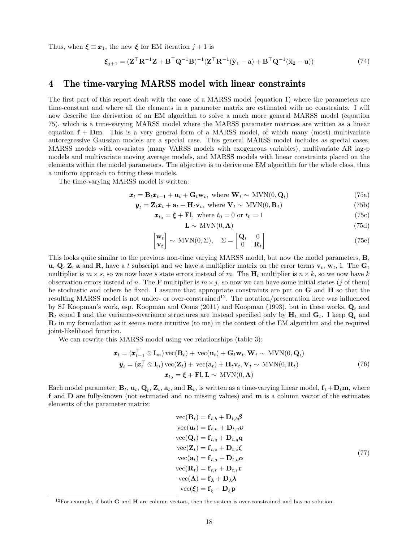Thus, when  $\xi \equiv x_1$ , the new  $\xi$  for EM iteration  $j+1$  is

$$
\boldsymbol{\xi}_{j+1} = (\mathbf{Z}^\top \mathbf{R}^{-1} \mathbf{Z} + \mathbf{B}^\top \mathbf{Q}^{-1} \mathbf{B})^{-1} (\mathbf{Z}^\top \mathbf{R}^{-1} (\tilde{\mathbf{y}}_1 - \mathbf{a}) + \mathbf{B}^\top \mathbf{Q}^{-1} (\tilde{\mathbf{x}}_2 - \mathbf{u}))
$$
(74)

## 4 The time-varying MARSS model with linear constraints

The first part of this report dealt with the case of a MARSS model (equation 1) where the parameters are time-constant and where all the elements in a parameter matrix are estimated with no constraints. I will now describe the derivation of an EM algorithm to solve a much more general MARSS model (equation 75), which is a time-varying MARSS model where the MARSS parameter matrices are written as a linear equation  $f + Dm$ . This is a very general form of a MARSS model, of which many (most) multivariate autoregressive Gaussian models are a special case. This general MARSS model includes as special cases, MARSS models with covariates (many VARSS models with exogeneous variables), multivariate AR lag-p models and multivariate moving average models, and MARSS models with linear constraints placed on the elements within the model parameters. The objective is to derive one EM algorithm for the whole class, thus a uniform approach to fitting these models.

The time-varying MARSS model is written:

$$
\boldsymbol{x}_t = \mathbf{B}_t \boldsymbol{x}_{t-1} + \mathbf{u}_t + \mathbf{G}_t \mathbf{w}_t, \text{ where } \mathbf{W}_t \sim \text{MVN}(0, \mathbf{Q}_t)
$$
\n(75a)

$$
\mathbf{y}_t = \mathbf{Z}_t \mathbf{x}_t + \mathbf{a}_t + \mathbf{H}_t \mathbf{v}_t, \text{ where } \mathbf{V}_t \sim \text{MVN}(0, \mathbf{R}_t)
$$
\n(75b)

$$
\boldsymbol{x}_{t_0} = \boldsymbol{\xi} + \mathbf{Fl}, \text{ where } t_0 = 0 \text{ or } t_0 = 1 \tag{75c}
$$

$$
\mathbf{L} \sim \text{MVN}(0, \Lambda) \tag{75d}
$$

$$
\begin{bmatrix} \mathbf{w}_t \\ \mathbf{v}_t \end{bmatrix} \sim \text{MVN}(0, \Sigma), \quad \Sigma = \begin{bmatrix} \mathbf{Q}_t & 0 \\ 0 & \mathbf{R}_t \end{bmatrix}
$$
(75e)

This looks quite similar to the previous non-time varying MARSS model, but now the model parameters, B, **u, Q, Z, a** and **R**, have a t subscript and we have a multiplier matrix on the error terms  $\mathbf{v}_t$ ,  $\mathbf{w}_t$ , l. The  $\mathbf{G}_t$ multiplier is  $m \times s$ , so we now have s state errors instead of m. The  $H_t$  multiplier is  $n \times k$ , so we now have k observation errors instead of n. The F multiplier is  $m \times j$ , so now we can have some initial states (j of them) be stochastic and others be fixed. I assume that appropriate constraints are put on G and H so that the resulting MARSS model is not under- or over-constrained<sup>12</sup>. The notation/presentation here was influenced by SJ Koopman's work, esp. Koopman and Ooms (2011) and Koopman (1993), but in these works,  $Q_t$  and  $\mathbf{R}_t$  equal I and the variance-covariance structures are instead specified only by  $\mathbf{H}_t$  and  $\mathbf{G}_t$ . I keep  $\mathbf{Q}_t$  and  $\mathbf{R}_t$  in my formulation as it seems more intuitive (to me) in the context of the EM algorithm and the required joint-likelihood function.

We can rewrite this MARSS model using vec relationships (table 3):

$$
\mathbf{x}_t = (\mathbf{x}_{t-1}^\top \otimes \mathbf{I}_m) \operatorname{vec}(\mathbf{B}_t) + \operatorname{vec}(\mathbf{u}_t) + \mathbf{G}_t \mathbf{w}_t, \mathbf{W}_t \sim \operatorname{MVN}(0, \mathbf{Q}_t)
$$
  

$$
\mathbf{y}_t = (\mathbf{x}_t^\top \otimes \mathbf{I}_n) \operatorname{vec}(\mathbf{Z}_t) + \operatorname{vec}(\mathbf{a}_t) + \mathbf{H}_t \mathbf{v}_t, \mathbf{V}_t \sim \operatorname{MVN}(0, \mathbf{R}_t)
$$
  

$$
\mathbf{x}_{t_0} = \boldsymbol{\xi} + \mathbf{F} \mathbf{l}, \mathbf{L} \sim \operatorname{MVN}(0, \mathbf{\Lambda})
$$
 (76)

Each model parameter,  $B_t$ ,  $\mathbf{u}_t$ ,  $\mathbf{Q}_t$ ,  $\mathbf{Z}_t$ ,  $\mathbf{a}_t$ , and  $\mathbf{R}_t$ , is written as a time-varying linear model,  $\mathbf{f}_t + \mathbf{D}_t \mathbf{m}$ , where f and D are fully-known (not estimated and no missing values) and m is a column vector of the estimates elements of the parameter matrix:

$$
vec(\mathbf{B}_t) = \mathbf{f}_{t,b} + \mathbf{D}_{t,b}\boldsymbol{\beta}
$$
  
\n
$$
vec(\mathbf{u}_t) = \mathbf{f}_{t,u} + \mathbf{D}_{t,u}\boldsymbol{v}
$$
  
\n
$$
vec(\mathbf{Q}_t) = \mathbf{f}_{t,q} + \mathbf{D}_{t,q}\mathbf{q}
$$
  
\n
$$
vec(\mathbf{Z}_t) = \mathbf{f}_{t,z} + \mathbf{D}_{t,z}\boldsymbol{\zeta}
$$
  
\n
$$
vec(\mathbf{a}_t) = \mathbf{f}_{t,a} + \mathbf{D}_{t,a}\boldsymbol{\alpha}
$$
  
\n
$$
vec(\mathbf{R}_t) = \mathbf{f}_{t,r} + \mathbf{D}_{t,r}\mathbf{r}
$$
  
\n
$$
vec(\mathbf{\Lambda}) = \mathbf{f}_{\lambda} + \mathbf{D}_{\lambda}\boldsymbol{\lambda}
$$
  
\n
$$
vec(\boldsymbol{\xi}) = \mathbf{f}_{\xi} + \mathbf{D}_{\xi}\mathbf{p}
$$

 $12$ For example, if both G and H are column vectors, then the system is over-constrained and has no solution.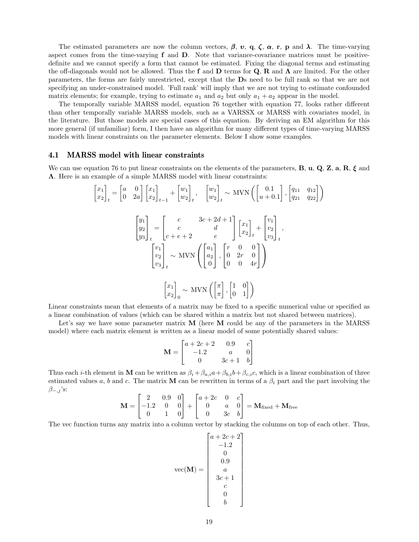The estimated parameters are now the column vectors,  $\beta$ ,  $v$ ,  $q$ ,  $\zeta$ ,  $\alpha$ ,  $r$ ,  $p$  and  $\lambda$ . The time-varying aspect comes from the time-varying f and D. Note that variance-covariance matrices must be positivedefinite and we cannot specify a form that cannot be estimated. Fixing the diagonal terms and estimating the off-diagonals would not be allowed. Thus the f and D terms for  $\mathbf{Q}$ , R and  $\mathbf{\Lambda}$  are limited. For the other parameters, the forms are fairly unrestricted, except that the Ds need to be full rank so that we are not specifying an under-constrained model. 'Full rank' will imply that we are not trying to estimate confounded matrix elements; for example, trying to estimate  $a_1$  and  $a_2$  but only  $a_1 + a_2$  appear in the model.

The temporally variable MARSS model, equation 76 together with equation 77, looks rather different than other temporally variable MARSS models, such as a VARSSX or MARSS with covariates model, in the literature. But those models are special cases of this equation. By deriving an EM algorithm for this more general (if unfamiliar) form, I then have an algorithm for many different types of time-varying MARSS models with linear constraints on the parameter elements. Below I show some examples.

#### 4.1 MARSS model with linear constraints

We can use equation 76 to put linear constraints on the elements of the parameters, **B**, **u**, **Q**, **Z**, **a**, **R**,  $\xi$  and Λ. Here is an example of a simple MARSS model with linear constraints:

$$
\begin{bmatrix} x_1 \\ x_2 \end{bmatrix}_t = \begin{bmatrix} a & 0 \\ 0 & 2a \end{bmatrix} \begin{bmatrix} x_1 \\ x_2 \end{bmatrix}_{t-1} + \begin{bmatrix} w_1 \\ w_2 \end{bmatrix}_t, \quad \begin{bmatrix} w_1 \\ w_2 \end{bmatrix}_t \sim \text{MVN}\left( \begin{bmatrix} 0.1 \\ u + 0.1 \end{bmatrix}, \begin{bmatrix} q_{11} & q_{12} \\ q_{21} & q_{22} \end{bmatrix} \right)
$$

$$
\begin{bmatrix} y_1 \\ y_2 \\ y_3 \end{bmatrix}_t = \begin{bmatrix} c & 3c + 2d + 1 \\ c + e + 2 & e \end{bmatrix} \begin{bmatrix} x_1 \\ x_2 \end{bmatrix}_t + \begin{bmatrix} v_1 \\ v_2 \\ v_3 \end{bmatrix}_t,
$$

$$
\begin{bmatrix} v_1 \\ v_2 \\ v_3 \end{bmatrix}_t \sim \text{MVN}\left( \begin{bmatrix} a_1 \\ a_2 \\ 0 \end{bmatrix}, \begin{bmatrix} r & 0 & 0 \\ 0 & 2r & 0 \\ 0 & 0 & 4r \end{bmatrix} \right)
$$

$$
\begin{bmatrix} x_1 \\ x_2 \end{bmatrix}_0 \sim \text{MVN}\left( \begin{bmatrix} \pi \\ \pi \end{bmatrix}, \begin{bmatrix} 1 & 0 \\ 0 & 1 \end{bmatrix} \right)
$$

Linear constraints mean that elements of a matrix may be fixed to a specific numerical value or specified as a linear combination of values (which can be shared within a matrix but not shared between matrices).

Let's say we have some parameter matrix  $M$  (here  $M$  could be any of the parameters in the MARSS model) where each matrix element is written as a linear model of some potentially shared values:

$$
\mathbf{M} = \begin{bmatrix} a + 2c + 2 & 0.9 & c \\ -1.2 & a & 0 \\ 0 & 3c + 1 & b \end{bmatrix}
$$

Thus each *i*-th element in M can be written as  $\beta_i + \beta_{a,i}a + \beta_{b,i}b + \beta_{c,i}c$ , which is a linear combination of three estimated values a, b and c. The matrix M can be rewritten in terms of a  $\beta_i$  part and the part involving the  $\beta_{-,j}$ 's:

$$
\mathbf{M} = \begin{bmatrix} 2 & 0.9 & 0 \\ -1.2 & 0 & 0 \\ 0 & 1 & 0 \end{bmatrix} + \begin{bmatrix} a + 2c & 0 & c \\ 0 & a & 0 \\ 0 & 3c & b \end{bmatrix} = \mathbf{M}_{\text{fixed}} + \mathbf{M}_{\text{free}}
$$

The vec function turns any matrix into a column vector by stacking the columns on top of each other. Thus,

$$
\text{vec}(\mathbf{M}) = \begin{bmatrix} a + 2c + 2 \\ -1.2 \\ 0 \\ 0.9 \\ a \\ 3c + 1 \\ c \\ 0 \\ b \end{bmatrix}
$$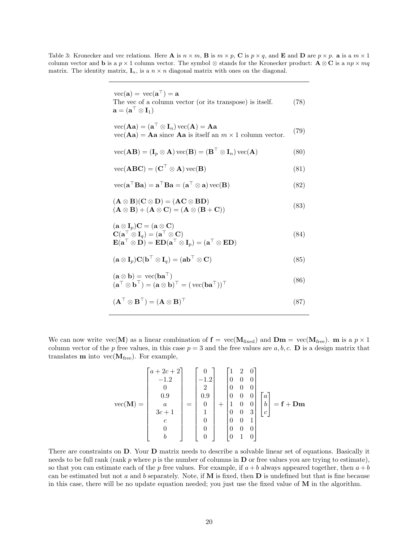Table 3: Kronecker and vec relations. Here **A** is  $n \times m$ , **B** is  $m \times p$ , **C** is  $p \times q$ , and **E** and **D** are  $p \times p$ . **a** is a  $m \times 1$ column vector and **b** is a  $p \times 1$  column vector. The symbol ⊗ stands for the Kronecker product:  $\mathbf{A} \otimes \mathbf{C}$  is a  $np \times mq$ matrix. The identity matrix,  $I_n$ , is a  $n \times n$  diagonal matrix with ones on the diagonal.

> $\text{vec}(\mathbf{a}) = \text{vec}(\mathbf{a}^{\top}) = \mathbf{a}$ The vec of a column vector (or its transpose) is itself.  $(78)$  $\mathbf{a} = (\mathbf{a}^\top \otimes \mathbf{I}_1)$  $\text{vec}(\mathbf{A}\mathbf{a}) = (\mathbf{a}^\top \otimes \mathbf{I}_n)\,\text{vec}(\mathbf{A}) = \mathbf{A}\mathbf{a}$ vec(Aa) =  $\langle \mathbf{a} \otimes \mathbf{I}_n \rangle$  vec(A) = Aa<br>vec(Aa) = Aa since Aa is itself an  $m \times 1$  column vector. (79)  $\text{vec}(\mathbf{A}\mathbf{B}) = (\mathbf{I}_p \otimes \mathbf{A}) \text{vec}(\mathbf{B}) = (\mathbf{B}^\top \otimes \mathbf{I}_n) \text{vec}(\mathbf{A})$  (80)  $\text{vec}(\mathbf{A}\mathbf{B}\mathbf{C}) = (\mathbf{C}^\top \otimes \mathbf{A}) \text{vec}(\mathbf{B})$  (81)  $\text{vec}(\mathbf{a}^\top \mathbf{B} \mathbf{a}) = \mathbf{a}^\top \mathbf{B} \mathbf{a} = (\mathbf{a}^\top \otimes \mathbf{a}) \text{vec}(\mathbf{B})$  (82)  $(A \otimes B)(C \otimes D) = (AC \otimes BD)$  $(A \otimes B) + (A \otimes C) = (A \otimes (B + C))$  (83)  $(a \otimes I_p)C = (a \otimes C)$  $\mathbf{C}(\mathbf{a}^\top \otimes \mathbf{I}_q) = (\mathbf{a}^\top \otimes \mathbf{C})$  (84)  $\mathbf{E}(\mathbf{a}^\top \otimes \mathbf{D}) = \mathbf{E} \mathbf{D} (\mathbf{a}^\top \otimes \mathbf{I}_p) = (\mathbf{a}^\top \otimes \mathbf{E} \mathbf{D})$  $(\mathbf{a} \otimes \mathbf{I}_p)\mathbf{C}(\mathbf{b}^\top \otimes \mathbf{I}_q) = (\mathbf{a}\mathbf{b}^\top \otimes \mathbf{C})$  (85)  $(\mathbf{a} \otimes \mathbf{b}) = \text{vec}(\mathbf{b} \mathbf{a}^{\top})$ <br>  $(\mathbf{a}^{\top} \otimes \mathbf{b}^{\top}) = (\mathbf{a} \otimes \mathbf{b})^{\top} = (\text{vec}(\mathbf{b} \mathbf{a}^{\top}))^{\top}$  (86)

$$
(\mathbf{A}^{\top} \otimes \mathbf{B}^{\top}) = (\mathbf{A} \otimes \mathbf{B})^{\top}
$$
 (87)

We can now write  $\text{vec}(\mathbf{M})$  as a linear combination of  $\mathbf{f} = \text{vec}(\mathbf{M}_{\text{fixed}})$  and  $\mathbf{Dm} = \text{vec}(\mathbf{M}_{\text{free}})$ . m is a  $p \times 1$ column vector of the p free values, in this case  $p = 3$  and the free values are  $a, b, c$ . D is a design matrix that translates **m** into  $vec(\mathbf{M}_{free})$ . For example,

$$
vec(\mathbf{M}) = \begin{bmatrix} a+2c+2 \\ -1.2 \\ 0 \\ 0.9 \\ a \\ 3c+1 \\ c \\ 0 \\ 0 \\ b \end{bmatrix} = \begin{bmatrix} 0 \\ -1.2 \\ 2 \\ 0.9 \\ 0.9 \\ 1 \\ 1 \\ 0 \\ 0 \\ 0 \end{bmatrix} + \begin{bmatrix} 1 & 2 & 0 \\ 0 & 0 & 0 \\ 0 & 0 & 0 \\ 0 & 0 & 0 \\ 1 & 0 & 0 \\ 0 & 0 & 3 \\ 0 & 0 & 1 \\ 0 & 0 & 0 \\ 0 & 0 & 0 \\ 0 & 1 & 0 \end{bmatrix} \begin{bmatrix} a \\ b \\ c \end{bmatrix} = \mathbf{f} + \mathbf{Dm}
$$

There are constraints on D. Your D matrix needs to describe a solvable linear set of equations. Basically it needs to be full rank (rank  $p$  where  $p$  is the number of columns in  $D$  or free values you are trying to estimate), so that you can estimate each of the p free values. For example, if  $a + b$  always appeared together, then  $a + b$ can be estimated but not a and b separately. Note, if  $M$  is fixed, then  $D$  is undefined but that is fine because in this case, there will be no update equation needed; you just use the fixed value of  $M$  in the algorithm.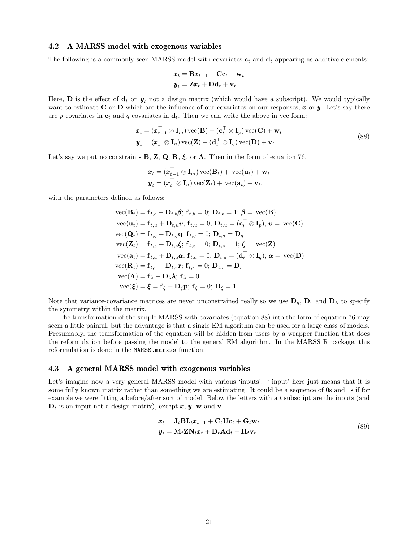#### 4.2 A MARSS model with exogenous variables

The following is a commonly seen MARSS model with covariates  $\mathbf{c}_t$  and  $\mathbf{d}_t$  appearing as additive elements:

$$
\begin{aligned} \boldsymbol{x}_t &= \mathbf{B}\boldsymbol{x}_{t-1} + \mathbf{C}\mathbf{c}_t + \mathbf{w}_t \\ \boldsymbol{y}_t &= \mathbf{Z}\boldsymbol{x}_t + \mathbf{D}\mathbf{d}_t + \mathbf{v}_t \end{aligned}
$$

Here, **D** is the effect of  $\mathbf{d}_t$  on  $\mathbf{y}_t$  not a design matrix (which would have a subscript). We would typically want to estimate C or D which are the influence of our covariates on our responses,  $x$  or  $y$ . Let's say there are p covariates in  $c_t$  and q covariates in  $d_t$ . Then we can write the above in vec form:

$$
\mathbf{x}_t = (\mathbf{x}_{t-1}^\top \otimes \mathbf{I}_m) \operatorname{vec}(\mathbf{B}) + (\mathbf{c}_t^\top \otimes \mathbf{I}_p) \operatorname{vec}(\mathbf{C}) + \mathbf{w}_t
$$
  

$$
\mathbf{y}_t = (\mathbf{x}_t^\top \otimes \mathbf{I}_n) \operatorname{vec}(\mathbf{Z}) + (\mathbf{d}_t^\top \otimes \mathbf{I}_q) \operatorname{vec}(\mathbf{D}) + \mathbf{v}_t
$$
(88)

Let's say we put no constraints **B**, **Z**, **Q**, **R**, **ξ**, or  $\Lambda$ . Then in the form of equation 76,

$$
\mathbf{x}_t = (\mathbf{x}_{t-1}^\top \otimes \mathbf{I}_m) \operatorname{vec}(\mathbf{B}_t) + \operatorname{vec}(\mathbf{u}_t) + \mathbf{w}_t
$$
  

$$
\mathbf{y}_t = (\mathbf{x}_t^\top \otimes \mathbf{I}_n) \operatorname{vec}(\mathbf{Z}_t) + \operatorname{vec}(\mathbf{a}_t) + \mathbf{v}_t,
$$

with the parameters defined as follows:

vec(
$$
\mathbf{B}_t
$$
) =  $\mathbf{f}_{t,b} + \mathbf{D}_{t,b}\boldsymbol{\beta}$ ;  $\mathbf{f}_{t,b} = 0$ ;  $\mathbf{D}_{t,b} = 1$ ;  $\boldsymbol{\beta} = \text{vec}(\mathbf{B})$   
\nvec( $\mathbf{u}_t$ ) =  $\mathbf{f}_{t,u} + \mathbf{D}_{t,u}\mathbf{v}$ ;  $\mathbf{f}_{t,u} = 0$ ;  $\mathbf{D}_{t,u} = (\mathbf{c}_t^\top \otimes \mathbf{I}_p)$ ;  $\mathbf{v} = \text{vec}(\mathbf{C})$   
\nvec( $\mathbf{Q}_t$ ) =  $\mathbf{f}_{t,q} + \mathbf{D}_{t,q}\mathbf{q}$ ;  $\mathbf{f}_{t,q} = 0$ ;  $\mathbf{D}_{t,q} = \mathbf{D}_q$   
\nvec( $\mathbf{Z}_t$ ) =  $\mathbf{f}_{t,z} + \mathbf{D}_{t,z}\boldsymbol{\zeta}$ ;  $\mathbf{f}_{t,z} = 0$ ;  $\mathbf{D}_{t,z} = 1$ ;  $\boldsymbol{\zeta} = \text{vec}(\mathbf{Z})$   
\nvec( $\mathbf{a}_t$ ) =  $\mathbf{f}_{t,a} + \mathbf{D}_{t,a}\mathbf{\alpha}$ ;  $\mathbf{f}_{t,a} = 0$ ;  $\mathbf{D}_{t,a} = (\mathbf{d}_t^\top \otimes \mathbf{I}_q)$ ;  $\mathbf{\alpha} = \text{vec}(\mathbf{D})$   
\nvec( $\mathbf{R}_t$ ) =  $\mathbf{f}_{t,r} + \mathbf{D}_{t,r}\mathbf{r}$ ;  $\mathbf{f}_{t,r} = 0$ ;  $\mathbf{D}_{t,r} = \mathbf{D}_r$   
\nvec( $\Lambda$ ) =  $\mathbf{f}_{\lambda} + \mathbf{D}_{\lambda}\lambda$ ;  $\mathbf{f}_{\lambda} = 0$   
\nvec( $\boldsymbol{\xi}$ ) =  $\boldsymbol{\xi} = \mathbf{f}_{\xi} + \mathbf{D}_{\xi}\mathbf{p}$ ;  $\mathbf{f}_{\xi} = 0$ ;  $\mathbf{D}_{\xi} = 1$ 

Note that variance-covariance matrices are never unconstrained really so we use  $D_q$ ,  $D_r$  and  $D_\lambda$  to specify the symmetry within the matrix.

The transformation of the simple MARSS with covariates (equation 88) into the form of equation 76 may seem a little painful, but the advantage is that a single EM algorithm can be used for a large class of models. Presumably, the transformation of the equation will be hidden from users by a wrapper function that does the reformulation before passing the model to the general EM algorithm. In the MARSS R package, this reformulation is done in the MARSS.marxss function.

### 4.3 A general MARSS model with exogenous variables

Let's imagine now a very general MARSS model with various 'inputs'. ' input' here just means that it is some fully known matrix rather than something we are estimating. It could be a sequence of 0s and 1s if for example we were fitting a before/after sort of model. Below the letters with a t subscript are the inputs (and  $\mathbf{D}_t$  is an input not a design matrix), except  $\mathbf{x}, \mathbf{y}, \mathbf{w}$  and  $\mathbf{v}$ .

$$
\boldsymbol{x}_t = \mathbf{J}_t \mathbf{B} \mathbf{L}_t \boldsymbol{x}_{t-1} + \mathbf{C}_t \mathbf{U} \mathbf{c}_t + \mathbf{G}_t \mathbf{w}_t \n\boldsymbol{y}_t = \mathbf{M}_t \mathbf{Z} \mathbf{N}_t \boldsymbol{x}_t + \mathbf{D}_t \mathbf{A} \mathbf{d}_t + \mathbf{H}_t \mathbf{v}_t
$$
\n(89)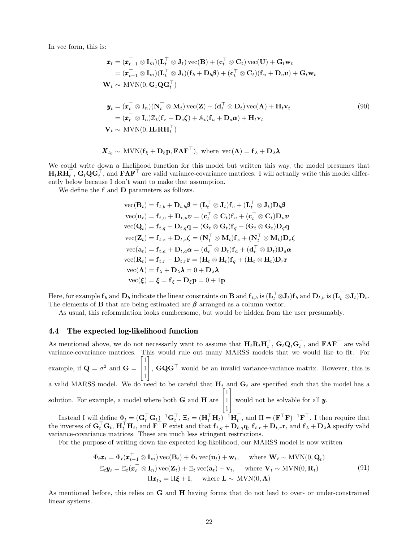In vec form, this is:

$$
\mathbf{x}_{t} = (\mathbf{x}_{t-1}^{\top} \otimes \mathbf{I}_{m})(\mathbf{L}_{t}^{\top} \otimes \mathbf{J}_{t}) \operatorname{vec}(\mathbf{B}) + (\mathbf{c}_{t}^{\top} \otimes \mathbf{C}_{t}) \operatorname{vec}(\mathbf{U}) + \mathbf{G}_{t} \mathbf{w}_{t} \n= (\mathbf{x}_{t-1}^{\top} \otimes \mathbf{I}_{m})(\mathbf{L}_{t}^{\top} \otimes \mathbf{J}_{t})(\mathbf{f}_{b} + \mathbf{D}_{b} \boldsymbol{\beta}) + (\mathbf{c}_{t}^{\top} \otimes \mathbf{C}_{t})(\mathbf{f}_{u} + \mathbf{D}_{u} \mathbf{v}) + \mathbf{G}_{t} \mathbf{w}_{t} \n\mathbf{W}_{t} \sim \operatorname{MVN}(0, \mathbf{G}_{t} \mathbf{Q} \mathbf{G}_{t}^{\top}) \n\mathbf{y}_{t} = (\mathbf{x}_{t}^{\top} \otimes \mathbf{I}_{n})(\mathbf{N}_{t}^{\top} \otimes \mathbf{M}_{t}) \operatorname{vec}(\mathbf{Z}) + (\mathbf{d}_{t}^{\top} \otimes \mathbf{D}_{t}) \operatorname{vec}(\mathbf{A}) + \mathbf{H}_{t} \mathbf{v}_{t} \n= (\mathbf{x}_{t}^{\top} \otimes \mathbf{I}_{n}) \mathbb{Z}_{t} (\mathbf{f}_{z} + \mathbf{D}_{z} \boldsymbol{\zeta}) + \mathbb{A}_{t} (\mathbf{f}_{a} + \mathbf{D}_{a} \boldsymbol{\alpha}) + \mathbf{H}_{t} \mathbf{v}_{t}
$$
\n
$$
\mathbf{V}_{t} \sim \operatorname{MVN}(0, \mathbf{H}_{t} \mathbf{R} \mathbf{H}_{t}^{\top})
$$
\n(90)

$$
\mathbf{X}_{t_0} \sim \text{MVN}(\mathbf{f}_{\xi} + \mathbf{D}_{\xi} \mathbf{p}, \mathbf{F} \mathbf{\Lambda} \mathbf{F}^{\top}), \text{ where } \text{vec}(\mathbf{\Lambda}) = \mathbf{f}_{\lambda} + \mathbf{D}_{\lambda} \boldsymbol{\lambda}
$$

We could write down a likelihood function for this model but written this way, the model presumes that  $H_t R H_t^{\top}, G_t Q G_t^{\top}$ , and  $F \Lambda F^{\top}$  are valid variance-covariance matrices. I will actually write this model differently below because I don't want to make that assumption.

We define the **f** and **D** parameters as follows.

$$
\begin{aligned}\n\text{vec}(\mathbf{B}_t) &= \mathbf{f}_{t,b} + \mathbf{D}_{t,b}\boldsymbol{\beta} = (\mathbf{L}_t^\top \otimes \mathbf{J}_t)\mathbf{f}_b + (\mathbf{L}_t^\top \otimes \mathbf{J}_t)\mathbf{D}_b\boldsymbol{\beta} \\
\text{vec}(\mathbf{u}_t) &= \mathbf{f}_{t,u} + \mathbf{D}_{t,u}\boldsymbol{v} = (\mathbf{c}_t^\top \otimes \mathbf{C}_t)\mathbf{f}_u + (\mathbf{c}_t^\top \otimes \mathbf{C}_t)\mathbf{D}_u\boldsymbol{v} \\
\text{vec}(\mathbf{Q}_t) &= \mathbf{f}_{t,q} + \mathbf{D}_{t,q}\mathbf{q} = (\mathbf{G}_t \otimes \mathbf{G}_t)\mathbf{f}_q + (\mathbf{G}_t \otimes \mathbf{G}_t)\mathbf{D}_q\mathbf{q} \\
\text{vec}(\mathbf{Z}_t) &= \mathbf{f}_{t,z} + \mathbf{D}_{t,z}\boldsymbol{\zeta} = (\mathbf{N}_t^\top \otimes \mathbf{M}_t)\mathbf{f}_z + (\mathbf{N}_t^\top \otimes \mathbf{M}_t)\mathbf{D}_z\boldsymbol{\zeta} \\
\text{vec}(\mathbf{a}_t) &= \mathbf{f}_{t,a} + \mathbf{D}_{t,a}\boldsymbol{\alpha} = (\mathbf{d}_t^\top \otimes \mathbf{D}_t)\mathbf{f}_a + (\mathbf{d}_t^\top \otimes \mathbf{D}_t)\mathbf{D}_a\boldsymbol{\alpha} \\
\text{vec}(\mathbf{R}_t) &= \mathbf{f}_{t,r} + \mathbf{D}_{t,r}\mathbf{r} = (\mathbf{H}_t \otimes \mathbf{H}_t)\mathbf{f}_q + (\mathbf{H}_t \otimes \mathbf{H}_t)\mathbf{D}_r\mathbf{r} \\
\text{vec}(\mathbf{\Lambda}) &= \mathbf{f}_{\lambda} + \mathbf{D}_{\lambda}\boldsymbol{\lambda} = 0 + \mathbf{D}_{\lambda}\boldsymbol{\lambda} \\
\text{vec}(\boldsymbol{\xi}) &= \boldsymbol{\xi} = \mathbf{f}_{\xi} + \mathbf{D}_{\xi}\mathbf{p} = 0 + \mathbf{1}\mathbf{p}\n\end{aligned}
$$

Here, for example  $\mathbf{f}_b$  and  $\mathbf{D}_b$  indicate the linear constraints on  $\mathbf{B}$  and  $\mathbf{f}_{t,b}$  is  $(\mathbf{L}_t^{\top} \otimes \mathbf{J}_t) \mathbf{f}_b$  and  $\mathbf{D}_{t,b}$  is  $(\mathbf{L}_t^{\top} \otimes \mathbf{J}_t) \mathbf{D}_b$ . The elements of **B** that are being estimated are  $\beta$  arranged as a column vector.

As usual, this reformulation looks cumbersome, but would be hidden from the user presumably.

### 4.4 The expected log-likelihood function

As mentioned above, we do not necessarily want to assume that  $H_t \mathbf{R}_t \mathbf{H}_t^\top$ ,  $\mathbf{G}_t \mathbf{Q}_t \mathbf{G}_t^\top$ , and  $\mathbf{F} \mathbf{\Lambda} \mathbf{F}^\top$  are valid As mentioned above, we do not necessarily want to assume that  $\mathbf{H}_t \mathbf{R}_t \mathbf{H}_t$ ,  $\mathbf{G}_t \mathbf{Q}_t \mathbf{G}_t$ , and  $\mathbf{F} \mathbf{A} \mathbf{F}$  are valid variance-covariance matrices. This would rule out many MARSS models that w example, if  $\mathbf{Q} = \sigma^2$  and  $\mathbf{G} =$  $\sqrt{ }$  $\overline{1}$ 1 1 1 1 ,  **would be an invalid variance-variance matrix. However, this is** a valid MARSS model. We do need to be careful that  $H_t$  and  $G_t$  are specified such that the model has a solution. For example, a model where both  $G$  and  $H$  are  $\lceil$  $\overline{1}$ 1 1 1 1 would not be solvable for all  $y$ .

Instead I will define  $\Phi_t = (\mathbf{G}_t^{\top} \mathbf{G}_t)^{-1} \mathbf{G}_t^{\top}$ ,  $\Xi_t = (\mathbf{H}_t^{\top} \mathbf{H}_t)^{-1} \mathbf{H}_t^{\top}$ , and  $\Pi = (\mathbf{F}^{\top} \mathbf{F})^{-1} \mathbf{F}^{\top}$ . I then require that the inverses of  $G_t^{\top} G_t$ ,  $H_t^{\top} H_t$ , and  $\mathbf{F}^{\top} \mathbf{F}$  exist and that  $\mathbf{f}_{t,q} + \mathbf{D}_{t,q} \mathbf{q}$ ,  $\mathbf{f}_{t,r} + \mathbf{D}_{t,r} \mathbf{r}$ , and  $\mathbf{f}_{\lambda} + \mathbf{D}_{\lambda} \lambda$  specify valid variance-covariance matrices. These are much less stringent restrictions.

For the purpose of writing down the expected log-likelihood, our MARSS model is now written

$$
\Phi_t \mathbf{x}_t = \Phi_t(\mathbf{x}_{t-1}^\top \otimes \mathbf{I}_m) \operatorname{vec}(\mathbf{B}_t) + \Phi_t \operatorname{vec}(\mathbf{u}_t) + \mathbf{w}_t, \quad \text{where } \mathbf{W}_t \sim \text{MVN}(0, \mathbf{Q}_t)
$$
\n
$$
\Xi_t \mathbf{y}_t = \Xi_t(\mathbf{x}_t^\top \otimes \mathbf{I}_n) \operatorname{vec}(\mathbf{Z}_t) + \Xi_t \operatorname{vec}(\mathbf{a}_t) + \mathbf{v}_t, \quad \text{where } \mathbf{V}_t \sim \text{MVN}(0, \mathbf{R}_t)
$$
\n
$$
\Pi \mathbf{x}_{t_0} = \Pi \mathbf{\xi} + \mathbf{I}, \quad \text{where } \mathbf{L} \sim \text{MVN}(0, \Lambda)
$$
\n(91)

As mentioned before, this relies on G and H having forms that do not lead to over- or under-constrained linear systems.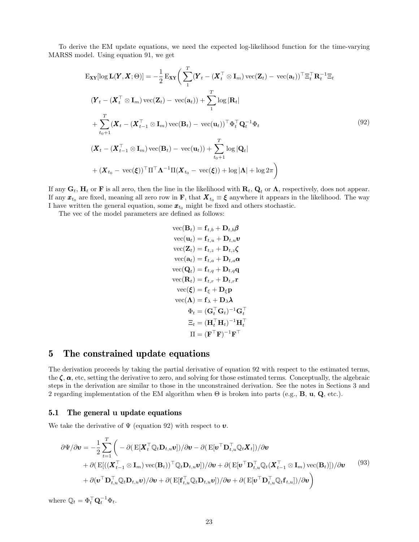To derive the EM update equations, we need the expected log-likelihood function for the time-varying MARSS model. Using equation 91, we get

$$
\begin{split}\n\mathbf{E}_{\mathbf{X}\mathbf{Y}}[\log \mathbf{L}(\mathbf{Y}, \mathbf{X}; \Theta)] &= -\frac{1}{2} \mathbf{E}_{\mathbf{X}\mathbf{Y}} \bigg( \sum_{1}^{T} (\mathbf{Y}_t - (\mathbf{X}_t^{\top} \otimes \mathbf{I}_m) \operatorname{vec}(\mathbf{Z}_t) - \operatorname{vec}(\mathbf{a}_t))^{\top} \Xi_t^{\top} \mathbf{R}_t^{-1} \Xi_t \\
(\mathbf{Y}_t - (\mathbf{X}_t^{\top} \otimes \mathbf{I}_m) \operatorname{vec}(\mathbf{Z}_t) - \operatorname{vec}(\mathbf{a}_t)) + \sum_{1}^{T} \log |\mathbf{R}_t| \\
&+ \sum_{t_0+1}^{T} (\mathbf{X}_t - (\mathbf{X}_{t-1}^{\top} \otimes \mathbf{I}_m) \operatorname{vec}(\mathbf{B}_t) - \operatorname{vec}(\mathbf{u}_t))^{\top} \Phi_t^{\top} \mathbf{Q}_t^{-1} \Phi_t \\
(\mathbf{X}_t - (\mathbf{X}_{t-1}^{\top} \otimes \mathbf{I}_m) \operatorname{vec}(\mathbf{B}_t) - \operatorname{vec}(\mathbf{u}_t)) + \sum_{t_0+1}^{T} \log |\mathbf{Q}_t| \\
&+ (\mathbf{X}_{t_0} - \operatorname{vec}(\xi))^{\top} \Pi^{\top} \mathbf{\Lambda}^{-1} \Pi (\mathbf{X}_{t_0} - \operatorname{vec}(\xi)) + \log |\mathbf{\Lambda}| + \log 2\pi\n\end{split}
$$
\n(92)

If any  $G_t$ ,  $H_t$  or F is all zero, then the line in the likelihood with  $R_t$ ,  $Q_t$  or  $\Lambda$ , respectively, does not appear. If any  $x_{t_0}$  are fixed, meaning all zero row in F, that  $X_{t_0} \equiv \xi$  anywhere it appears in the likelihood. The way I have written the general equation, some  $\mathbf{x}_{t_0}$  might be fixed and others stochastic.

The vec of the model parameters are defined as follows:

$$
\begin{aligned} \text{vec}(\mathbf{B}_t) &= \mathbf{f}_{t,b} + \mathbf{D}_{t,b}\boldsymbol{\beta} \\ \text{vec}(\mathbf{u}_t) &= \mathbf{f}_{t,u} + \mathbf{D}_{t,u}\boldsymbol{v} \\ \text{vec}(\mathbf{Z}_t) &= \mathbf{f}_{t,z} + \mathbf{D}_{t,z}\boldsymbol{\zeta} \\ \text{vec}(\mathbf{a}_t) &= \mathbf{f}_{t,a} + \mathbf{D}_{t,a}\boldsymbol{\alpha} \\ \text{vec}(\mathbf{Q}_t) &= \mathbf{f}_{t,q} + \mathbf{D}_{t,q}\mathbf{q} \\ \text{vec}(\mathbf{R}_t) &= \mathbf{f}_{t,r} + \mathbf{D}_{t,r}\mathbf{r} \\ \text{vec}(\boldsymbol{\xi}) &= \mathbf{f}_{\boldsymbol{\xi}} + \mathbf{D}_{\boldsymbol{\xi}}\mathbf{p} \\ \text{vec}(\boldsymbol{\Lambda}) &= \mathbf{f}_{\boldsymbol{\lambda}} + \mathbf{D}_{\boldsymbol{\lambda}}\boldsymbol{\lambda} \\ \boldsymbol{\Phi}_t &= (\mathbf{G}_t^\top \mathbf{G}_t)^{-1}\mathbf{G}_t^\top \\ \boldsymbol{\Xi}_t &= (\mathbf{H}_t^\top \mathbf{H}_t)^{-1}\mathbf{H}_t^\top \\ \boldsymbol{\Pi} &= (\mathbf{F}^\top \mathbf{F})^{-1}\mathbf{F}^\top \end{aligned}
$$

## 5 The constrained update equations

The derivation proceeds by taking the partial derivative of equation 92 with respect to the estimated terms, the  $\zeta$ ,  $\alpha$ , etc, setting the derivative to zero, and solving for those estimated terms. Conceptually, the algebraic steps in the derivation are similar to those in the unconstrained derivation. See the notes in Sections 3 and 2 regarding implementation of the EM algorithm when  $\Theta$  is broken into parts (e.g., **B**, **u**, **Q**, etc.).

### 5.1 The general u update equations

We take the derivative of  $\Psi$  (equation 92) with respect to  $v$ .

$$
\partial \Psi / \partial \mathbf{v} = -\frac{1}{2} \sum_{t=1}^{T} \left( -\partial (\mathbf{E}[\mathbf{X}_t^\top \mathbb{Q}_t \mathbf{D}_{t,u} \mathbf{v}]) / \partial \mathbf{v} - \partial (\mathbf{E}[\mathbf{v}^\top \mathbf{D}_{t,u}^\top \mathbb{Q}_t \mathbf{X}_t]) / \partial \mathbf{v} \right. \\
\left. + \partial (\mathbf{E}[(\mathbf{X}_{t-1}^\top \otimes \mathbf{I}_m) \operatorname{vec}(\mathbf{B}_t))^\top \mathbb{Q}_t \mathbf{D}_{t,u} \mathbf{v}]) / \partial \mathbf{v} + \partial (\mathbf{E}[\mathbf{v}^\top \mathbf{D}_{t,u}^\top \mathbb{Q}_t (\mathbf{X}_{t-1}^\top \otimes \mathbf{I}_m) \operatorname{vec}(\mathbf{B}_t)]) / \partial \mathbf{v} \right. \\
\left. + \partial (\mathbf{v}^\top \mathbf{D}_{t,u}^\top \mathbb{Q}_t \mathbf{D}_{t,u} \mathbf{v}) / \partial \mathbf{v} + \partial (\mathbf{E}[\mathbf{f}_{t,u}^\top \mathbb{Q}_t \mathbf{D}_{t,u} \mathbf{v}]) / \partial \mathbf{v} + \partial (\mathbf{E}[\mathbf{v}^\top \mathbf{D}_{t,u}^\top \mathbb{Q}_t \mathbf{f}_{t,u}]) / \partial \mathbf{v} \right)
$$
\n
$$
(93)
$$

where  $\mathbb{Q}_t = \Phi_t^{\top} \mathbf{Q}_t^{-1} \Phi_t$ .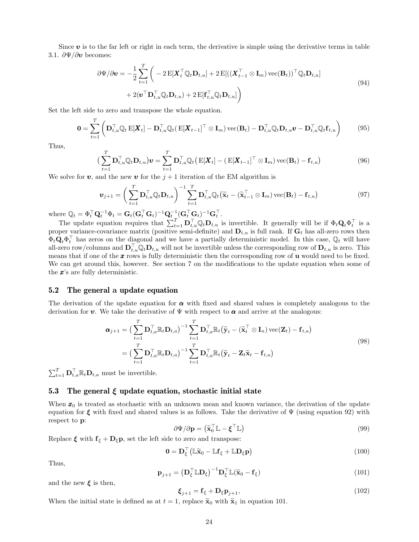Since  $\bf{v}$  is to the far left or right in each term, the derivative is simple using the derivative terms in table 3.1.  $\partial \Psi / \partial v$  becomes:

$$
\partial \Psi / \partial \mathbf{v} = -\frac{1}{2} \sum_{t=1}^{T} \left( -2 \mathbf{E} [\mathbf{X}_t^\top \mathbb{Q}_t \mathbf{D}_{t,u}] + 2 \mathbf{E} [((\mathbf{X}_{t-1}^\top \otimes \mathbf{I}_m) \mathbf{vec}(\mathbf{B}_t))^\top \mathbb{Q}_t \mathbf{D}_{t,u}] + 2 (\mathbf{v}^\top \mathbf{D}_{t,u}^\top \mathbb{Q}_t \mathbf{D}_{t,u}) + 2 \mathbf{E} [\mathbf{f}_{t,u}^\top \mathbb{Q}_t \mathbf{D}_{t,u}] \right)
$$
\n(94)

Set the left side to zero and transpose the whole equation.

$$
\mathbf{0} = \sum_{t=1}^{T} \left( \mathbf{D}_{t,u}^{\top} \mathbb{Q}_t \mathbf{E}[\mathbf{X}_t] - \mathbf{D}_{t,u}^{\top} \mathbb{Q}_t (\mathbf{E}[\mathbf{X}_{t-1}]^{\top} \otimes \mathbf{I}_m) \mathbf{vec}(\mathbf{B}_t) - \mathbf{D}_{t,u}^{\top} \mathbb{Q}_t \mathbf{D}_{t,u} \mathbf{v} - \mathbf{D}_{t,u}^{\top} \mathbb{Q}_t \mathbf{f}_{t,u} \right)
$$
(95)

Thus,

$$
\left(\sum_{t=1}^{T} \mathbf{D}_{t,u}^{\top} \mathbb{Q}_t \mathbf{D}_{t,u}\right) \mathbf{v} = \sum_{t=1}^{T} \mathbf{D}_{t,u}^{\top} \mathbb{Q}_t \left(\mathrm{E}[\mathbf{X}_t] - \left(\mathrm{E}[\mathbf{X}_{t-1}]^{\top} \otimes \mathbf{I}_m\right) \mathrm{vec}(\mathbf{B}_t) - \mathbf{f}_{t,u}\right) \tag{96}
$$

We solve for **v**, and the new **v** for the  $j + 1$  iteration of the EM algorithm is

$$
\boldsymbol{v}_{j+1} = \left(\sum_{t=1}^{T} \mathbf{D}_{t,u}^{\top} \mathbb{Q}_t \mathbf{D}_{t,u}\right)^{-1} \sum_{t=1}^{T} \mathbf{D}_{t,u}^{\top} \mathbb{Q}_t \big(\widetilde{\mathbf{x}}_t - (\widetilde{\mathbf{x}}_{t-1}^{\top} \otimes \mathbf{I}_m) \operatorname{vec}(\mathbf{B}_t) - \mathbf{f}_{t,u}\big) \tag{97}
$$

where  $\mathbb{Q}_t = \Phi_t^\top \mathbf{Q}_t^{-1} \Phi_t = \mathbf{G}_t (\mathbf{G}_t^\top \mathbf{G}_t)^{-1} \mathbf{Q}_t^{-1} (\mathbf{G}_t^\top \mathbf{G}_t)^{-1} \mathbf{G}_t^\top.$ 

The update equation requires that  $\sum_{t=1}^T \mathbf{D}_{t,u}^\top \mathbb{Q}_t \mathbf{D}_{t,u}$  is invertible. It generally will be if  $\Phi_t \mathbf{Q}_t \Phi_t^\top$  is a proper variance-covariance matrix (positive semi-definite) and  $D_{t,u}$  is full rank. If  $G_t$  has all-zero rows then  $\Phi_t \mathbf{Q}_t \Phi_t^\top$  has zeros on the diagonal and we have a partially deterministic model. In this case,  $\mathbb{Q}_t$  will have all-zero row/columns and  $\mathbf{D}_{t,u}^{\top} \mathbb{Q}_t \mathbf{D}_{t,u}$  will not be invertible unless the corresponding row of  $\mathbf{D}_{t,u}$  is zero. This means that if one of the  $x$  rows is fully deterministic then the corresponding row of  $u$  would need to be fixed. We can get around this, however. See section 7 on the modifications to the update equation when some of the x's are fully deterministic.

#### 5.2 The general a update equation

The derivation of the update equation for  $\alpha$  with fixed and shared values is completely analogous to the derivation for **v**. We take the derivative of  $\Psi$  with respect to  $\alpha$  and arrive at the analogous:

$$
\boldsymbol{\alpha}_{j+1} = \left(\sum_{t=1}^{T} \mathbf{D}_{t,a}^{\top} \mathbb{R}_{t} \mathbf{D}_{t,a}\right)^{-1} \sum_{t=1}^{T} \mathbf{D}_{t,a}^{\top} \mathbb{R}_{t} \left(\widetilde{\mathbf{y}}_{t} - (\widetilde{\mathbf{x}}_{t}^{\top} \otimes \mathbf{I}_{n}) \operatorname{vec}(\mathbf{Z}_{t}) - \mathbf{f}_{t,a}\right)
$$
\n
$$
= \left(\sum_{t=1}^{T} \mathbf{D}_{t,a}^{\top} \mathbb{R}_{t} \mathbf{D}_{t,a}\right)^{-1} \sum_{t=1}^{T} \mathbf{D}_{t,a}^{\top} \mathbb{R}_{t} \left(\widetilde{\mathbf{y}}_{t} - \mathbf{Z}_{t} \widetilde{\mathbf{x}}_{t} - \mathbf{f}_{t,a}\right)
$$
\n(98)

 $\sum_{t=1}^{T} \mathbf{D}_{t,a}^{\top} \mathbb{R}_t \mathbf{D}_{t,a}$  must be invertible.

### 5.3 The general  $\xi$  update equation, stochastic initial state

When  $x_0$  is treated as stochastic with an unknown mean and known variance, the derivation of the update equation for  $\xi$  with fixed and shared values is as follows. Take the derivative of  $\Psi$  (using equation 92) with respect to p:

$$
\partial \Psi / \partial \mathbf{p} = (\widetilde{\mathbf{x}}_0^\top \mathbb{L} - \boldsymbol{\xi}^\top \mathbb{L}) \tag{99}
$$

Replace  $\xi$  with  $f_{\xi} + D_{\xi}p$ , set the left side to zero and transpose:

$$
\mathbf{0} = \mathbf{D}_{\xi}^{\top} \left( \mathbb{L} \widetilde{\mathbf{x}}_0 - \mathbb{L} \mathbf{f}_{\xi} + \mathbb{L} \mathbf{D}_{\xi} \mathbf{p} \right)
$$
(100)

Thus,

$$
\mathbf{p}_{j+1} = \left(\mathbf{D}_{\xi}^{\top} \mathbb{L} \mathbf{D}_{\xi}\right)^{-1} \mathbf{D}_{\xi}^{\top} \mathbb{L}(\widetilde{\mathbf{x}}_{0} - \mathbf{f}_{\xi})
$$
\n(101)

and the new  $\xi$  is then,

$$
\boldsymbol{\xi}_{j+1} = \mathbf{f}_{\xi} + \mathbf{D}_{\xi} \mathbf{p}_{j+1},\tag{102}
$$

When the initial state is defined as at  $t = 1$ , replace  $\tilde{\mathbf{x}}_0$  with  $\tilde{\mathbf{x}}_1$  in equation 101.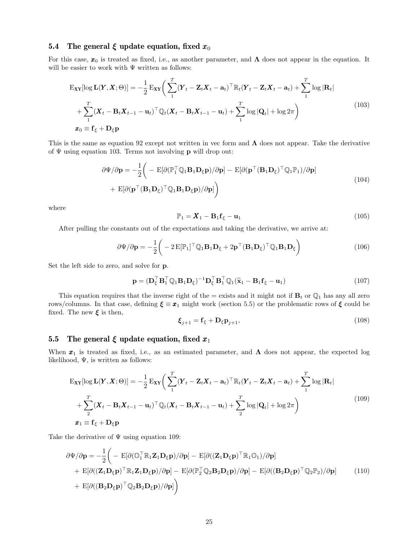### 5.4 The general  $\xi$  update equation, fixed  $x_0$

For this case,  $x_0$  is treated as fixed, i.e., as another parameter, and  $\Lambda$  does not appear in the equation. It will be easier to work with  $\Psi$  written as follows:

$$
\mathbf{E}_{\mathbf{X}\mathbf{Y}}[\log \mathbf{L}(\mathbf{Y}, \mathbf{X}; \Theta)] = -\frac{1}{2} \mathbf{E}_{\mathbf{X}\mathbf{Y}} \bigg( \sum_{1}^{T} (\mathbf{Y}_t - \mathbf{Z}_t \mathbf{X}_t - \mathbf{a}_t)^{\top} \mathbb{R}_t (\mathbf{Y}_t - \mathbf{Z}_t \mathbf{X}_t - \mathbf{a}_t) + \sum_{1}^{T} \log |\mathbf{R}_t| + \sum_{1}^{T} (\mathbf{X}_t - \mathbf{B}_t \mathbf{X}_{t-1} - \mathbf{u}_t)^{\top} \mathbb{Q}_t (\mathbf{X}_t - \mathbf{B}_t \mathbf{X}_{t-1} - \mathbf{u}_t) + \sum_{1}^{T} \log |\mathbf{Q}_t| + \log 2\pi \bigg)
$$
\n
$$
\mathbf{x}_0 \equiv \mathbf{f}_{\xi} + \mathbf{D}_{\xi} \mathbf{p}
$$
\n(103)

This is the same as equation 92 except not written in vec form and  $\Lambda$  does not appear. Take the derivative of  $\Psi$  using equation 103. Terms not involving **p** will drop out:

$$
\partial \Psi / \partial \mathbf{p} = -\frac{1}{2} \bigg( - \mathbf{E} [\partial (\mathbb{P}_1^{\top} \mathbb{Q}_1 \mathbf{B}_1 \mathbf{D}_\xi \mathbf{p}) / \partial \mathbf{p}] - \mathbf{E} [\partial (\mathbf{p}^{\top} (\mathbf{B}_1 \mathbf{D}_\xi)^{\top} \mathbb{Q}_1 \mathbb{P}_1) / \partial \mathbf{p}] + \mathbf{E} [\partial (\mathbf{p}^{\top} (\mathbf{B}_1 \mathbf{D}_\xi)^{\top} \mathbb{Q}_1 \mathbf{B}_1 \mathbf{D}_\xi \mathbf{p}) / \partial \mathbf{p}] \bigg)
$$
(104)

where

$$
\mathbb{P}_1 = \boldsymbol{X}_1 - \mathbf{B}_1 \mathbf{f}_{\xi} - \mathbf{u}_1 \tag{105}
$$

After pulling the constants out of the expectations and taking the derivative, we arrive at:

$$
\partial \Psi / \partial \mathbf{p} = -\frac{1}{2} \left( -2 \mathbf{E} [\mathbb{P}_1]^{\top} \mathbb{Q}_1 \mathbf{B}_1 \mathbf{D}_\xi + 2 \mathbf{p}^{\top} (\mathbf{B}_1 \mathbf{D}_\xi)^{\top} \mathbb{Q}_1 \mathbf{B}_1 \mathbf{D}_\xi \right)
$$
(106)

Set the left side to zero, and solve for p.

$$
\mathbf{p} = (\mathbf{D}_{\xi}^{\top} \mathbf{B}_{1}^{\top} \mathbb{Q}_{1} \mathbf{B}_{1} \mathbf{D}_{\xi})^{-1} \mathbf{D}_{\xi}^{\top} \mathbf{B}_{1}^{\top} \mathbb{Q}_{1} (\widetilde{\mathbf{x}}_{1} - \mathbf{B}_{1} \mathbf{f}_{\xi} - \mathbf{u}_{1})
$$
(107)

This equation requires that the inverse right of the = exists and it might not if  $\mathbf{B}_t$  or  $\mathbb{Q}_1$  has any all zero rows/columns. In that case, defining  $\xi \equiv x_1$  might work (section 5.5) or the problematic rows of  $\xi$  could be fixed. The new  $\xi$  is then,

$$
\boldsymbol{\xi}_{j+1} = \mathbf{f}_{\xi} + \mathbf{D}_{\xi} \mathbf{p}_{j+1},\tag{108}
$$

#### 5.5 The general  $\xi$  update equation, fixed  $x_1$

When  $x_1$  is treated as fixed, i.e., as an estimated parameter, and  $\Lambda$  does not appear, the expected log likelihood,  $\Psi$ , is written as follows:

$$
\mathbf{E}_{\mathbf{X}\mathbf{Y}}[\log \mathbf{L}(\mathbf{Y}, \mathbf{X}; \Theta)] = -\frac{1}{2} \mathbf{E}_{\mathbf{X}\mathbf{Y}} \bigg( \sum_{1}^{T} (\mathbf{Y}_t - \mathbf{Z}_t \mathbf{X}_t - \mathbf{a}_t)^{\top} \mathbb{R}_t (\mathbf{Y}_t - \mathbf{Z}_t \mathbf{X}_t - \mathbf{a}_t) + \sum_{1}^{T} \log |\mathbf{R}_t| + \sum_{2}^{T} (\mathbf{X}_t - \mathbf{B}_t \mathbf{X}_{t-1} - \mathbf{u}_t)^{\top} \mathbb{Q}_t (\mathbf{X}_t - \mathbf{B}_t \mathbf{X}_{t-1} - \mathbf{u}_t) + \sum_{2}^{T} \log |\mathbf{Q}_t| + \log 2\pi \bigg)
$$
\n
$$
\mathbf{x}_1 \equiv \mathbf{f}_{\xi} + \mathbf{D}_{\xi} \mathbf{p}
$$
\n(109)

Take the derivative of  $\Psi$  using equation 109:

$$
\partial \Psi / \partial \mathbf{p} = -\frac{1}{2} \bigg( - \mathbf{E} [\partial (\mathbb{O}_1^\top \mathbb{R}_1 \mathbf{Z}_1 \mathbf{D}_\xi \mathbf{p}) / \partial \mathbf{p}] - \mathbf{E} [\partial ((\mathbf{Z}_1 \mathbf{D}_\xi \mathbf{p})^\top \mathbb{R}_1 \mathbb{O}_1) / \partial \mathbf{p}] + \mathbf{E} [\partial ((\mathbf{Z}_1 \mathbf{D}_\xi \mathbf{p})^\top \mathbb{R}_1 \mathbf{Z}_1 \mathbf{D}_\xi \mathbf{p}) / \partial \mathbf{p}] - \mathbf{E} [\partial (\mathbb{P}_2^\top \mathbb{Q}_2 \mathbf{B}_2 \mathbf{D}_\xi \mathbf{p}) / \partial \mathbf{p}] - \mathbf{E} [\partial ((\mathbf{B}_2 \mathbf{D}_\xi \mathbf{p})^\top \mathbb{Q}_2 \mathbb{P}_2) / \partial \mathbf{p}] \qquad (110) + \mathbf{E} [\partial ((\mathbf{B}_2 \mathbf{D}_\xi \mathbf{p})^\top \mathbb{Q}_2 \mathbf{B}_2 \mathbf{D}_\xi \mathbf{p}) / \partial \mathbf{p}]
$$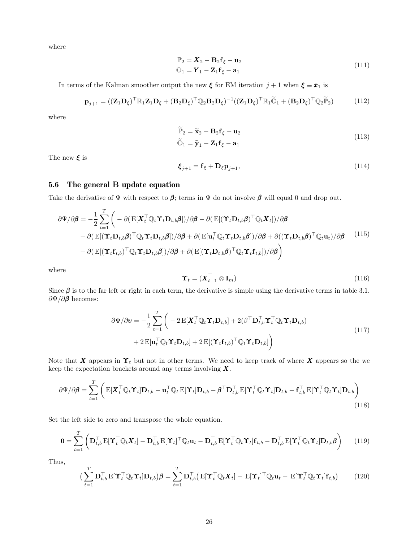where

$$
\mathbb{P}_2 = \mathbf{X}_2 - \mathbf{B}_2 \mathbf{f}_\xi - \mathbf{u}_2
$$
  
\n
$$
\mathbb{O}_1 = \mathbf{Y}_1 - \mathbf{Z}_1 \mathbf{f}_\xi - \mathbf{a}_1
$$
\n(111)

In terms of the Kalman smoother output the new  $\xi$  for EM iteration  $j + 1$  when  $\xi \equiv x_1$  is

$$
\mathbf{p}_{j+1} = ((\mathbf{Z}_1 \mathbf{D}_\xi)^\top \mathbb{R}_1 \mathbf{Z}_1 \mathbf{D}_\xi + (\mathbf{B}_2 \mathbf{D}_\xi)^\top \mathbb{Q}_2 \mathbf{B}_2 \mathbf{D}_\xi)^{-1} ((\mathbf{Z}_1 \mathbf{D}_\xi)^\top \mathbb{R}_1 \widetilde{\mathbb{O}}_1 + (\mathbf{B}_2 \mathbf{D}_\xi)^\top \mathbb{Q}_2 \widetilde{\mathbb{P}}_2)
$$
(112)

where

$$
\widetilde{\mathbb{P}}_2 = \widetilde{\mathbf{x}}_2 - \mathbf{B}_2 \mathbf{f}_{\xi} - \mathbf{u}_2
$$
\n
$$
\widetilde{\mathbb{O}}_1 = \widetilde{\mathbf{y}}_1 - \mathbf{Z}_1 \mathbf{f}_{\xi} - \mathbf{a}_1
$$
\n(113)

The new  $\xi$  is

$$
\boldsymbol{\xi}_{j+1} = \mathbf{f}_{\xi} + \mathbf{D}_{\xi} \mathbf{p}_{j+1},\tag{114}
$$

### 5.6 The general B update equation

Take the derivative of  $\Psi$  with respect to  $\beta$ ; terms in  $\Psi$  do not involve  $\beta$  will equal 0 and drop out.

$$
\partial \Psi / \partial \beta = -\frac{1}{2} \sum_{t=1}^{T} \left( -\partial (\mathbf{E}[\mathbf{X}_{t}^{\top} \mathbb{Q}_{t} \mathbf{\Upsilon}_{t} \mathbf{D}_{t,b} \beta] ) / \partial \beta - \partial (\mathbf{E}[(\mathbf{\Upsilon}_{t} \mathbf{D}_{t,b} \beta)^{\top} \mathbb{Q}_{t} \mathbf{X}_{t} ] ) / \partial \beta \right. \\
\left. + \partial (\mathbf{E}[(\mathbf{\Upsilon}_{t} \mathbf{D}_{t,b} \beta)^{\top} \mathbb{Q}_{t} \mathbf{\Upsilon}_{t} \mathbf{D}_{t,b} \beta] ) / \partial \beta + \partial (\mathbf{E}[\mathbf{u}_{t}^{\top} \mathbb{Q}_{t} \mathbf{\Upsilon}_{t} \mathbf{D}_{t,b} \beta] ) / \partial \beta + \partial ((\mathbf{\Upsilon}_{t} \mathbf{D}_{t,b} \beta)^{\top} \mathbb{Q}_{t} \mathbf{u}_{t} ) / \partial \beta \right) \\
+ \partial (\mathbf{E}[(\mathbf{\Upsilon}_{t} \mathbf{f}_{t,b})^{\top} \mathbb{Q}_{t} \mathbf{\Upsilon}_{t} \mathbf{D}_{t,b} \beta] ) / \partial \beta + \partial (\mathbf{E}[(\mathbf{\Upsilon}_{t} \mathbf{D}_{t,b} \beta)^{\top} \mathbb{Q}_{t} \mathbf{\Upsilon}_{t} \mathbf{f}_{t,b} ] ) / \partial \beta \right)
$$
\n(115)

where

$$
\Upsilon_t = (\boldsymbol{X}_{t-1}^\top \otimes \mathbf{I}_m) \tag{116}
$$

Since  $\beta$  is to the far left or right in each term, the derivative is simple using the derivative terms in table 3.1.  $\partial \Psi / \partial \beta$  becomes:

$$
\partial \Psi / \partial \mathbf{v} = -\frac{1}{2} \sum_{t=1}^{T} \left( -2 \mathbf{E} [\mathbf{X}_t^{\top} \mathbb{Q}_t \mathbf{\Upsilon}_t \mathbf{D}_{t,b}] + 2 (\boldsymbol{\beta}^{\top} \mathbf{D}_{t,b}^{\top} \mathbf{\Upsilon}_t^{\top} \mathbb{Q}_t \mathbf{\Upsilon}_t \mathbf{D}_{t,b}) + 2 \mathbf{E} [\mathbf{u}_t^{\top} \mathbb{Q}_t \mathbf{\Upsilon}_t \mathbf{D}_{t,b}] + 2 \mathbf{E} [(\mathbf{\Upsilon}_t \mathbf{f}_{t,b})^{\top} \mathbb{Q}_t \mathbf{\Upsilon}_t \mathbf{D}_{t,b}] \right)
$$
\n(117)

Note that X appears in  $\Upsilon_t$  but not in other terms. We need to keep track of where X appears so the we keep the expectation brackets around any terms involving  $X$ .

$$
\partial \Psi / \partial \beta = \sum_{t=1}^{T} \left( \mathbf{E} [\mathbf{X}_{t}^{\top} \mathbb{Q}_{t} \mathbf{\hat{\Upsilon}}_{t}] \mathbf{D}_{t,b} - \mathbf{u}_{t}^{\top} \mathbb{Q}_{t} \mathbf{E} [\mathbf{\hat{\Upsilon}}_{t}] \mathbf{D}_{t,b} - \boldsymbol{\beta}^{\top} \mathbf{D}_{t,b}^{\top} \mathbf{E} [\mathbf{\hat{\Upsilon}}_{t}^{\top} \mathbb{Q}_{t} \mathbf{\hat{\Upsilon}}_{t}] \mathbf{D}_{t,b} - \mathbf{f}_{t,b}^{\top} \mathbf{E} [\mathbf{\hat{\Upsilon}}_{t}^{\top} \mathbb{Q}_{t} \mathbf{\hat{\Upsilon}}_{t}] \mathbf{D}_{t,b} \right)
$$
(118)

Set the left side to zero and transpose the whole equation.

$$
\mathbf{0} = \sum_{t=1}^{T} \left( \mathbf{D}_{t,b}^{\top} \mathbf{E} [\mathbf{\Upsilon}_{t}^{\top} \mathbb{Q}_{t} \mathbf{X}_{t}] - \mathbf{D}_{t,b}^{\top} \mathbf{E} [\mathbf{\Upsilon}_{t}]^{\top} \mathbb{Q}_{t} \mathbf{u}_{t} - \mathbf{D}_{t,b}^{\top} \mathbf{E} [\mathbf{\Upsilon}_{t}^{\top} \mathbb{Q}_{t} \mathbf{\Upsilon}_{t}] \mathbf{f}_{t,b} - \mathbf{D}_{t,b}^{\top} \mathbf{E} [\mathbf{\Upsilon}_{t}^{\top} \mathbb{Q}_{t} \mathbf{\Upsilon}_{t}] \mathbf{D}_{t,b} \boldsymbol{\beta} \right)
$$
(119)

Thus,

$$
\left(\sum_{t=1}^{T} \mathbf{D}_{t,b}^{\top} \mathbf{E}[\mathbf{\Upsilon}_t^{\top} \mathbb{Q}_t \mathbf{\Upsilon}_t] \mathbf{D}_{t,b}\right) \boldsymbol{\beta} = \sum_{t=1}^{T} \mathbf{D}_{t,b}^{\top} \left(\mathbf{E}[\mathbf{\Upsilon}_t^{\top} \mathbb{Q}_t \mathbf{X}_t] - \mathbf{E}[\mathbf{\Upsilon}_t^{\top} \mathbb{Q}_t \mathbf{u}_t - \mathbf{E}[\mathbf{\Upsilon}_t^{\top} \mathbb{Q}_t \mathbf{\Upsilon}_t] \mathbf{f}_{t,b}\right) \tag{120}
$$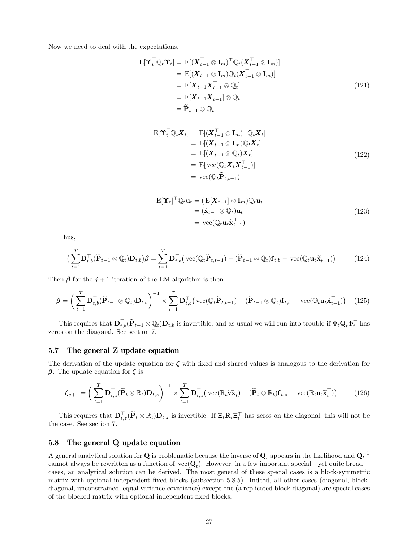Now we need to deal with the expectations.

$$
\begin{aligned}\n\mathbf{E}[\mathbf{Y}_t^\top \mathbb{Q}_t \mathbf{Y}_t] &= \mathbf{E}[(\mathbf{X}_{t-1}^\top \otimes \mathbf{I}_m)^\top \mathbb{Q}_t (\mathbf{X}_{t-1}^\top \otimes \mathbf{I}_m)] \\
&= \mathbf{E}[(\mathbf{X}_{t-1} \otimes \mathbf{I}_m) \mathbb{Q}_t (\mathbf{X}_{t-1}^\top \otimes \mathbf{I}_m)] \\
&= \mathbf{E}[\mathbf{X}_{t-1} \mathbf{X}_{t-1}^\top \otimes \mathbb{Q}_t] \\
&= \mathbf{E}[\mathbf{X}_{t-1} \mathbf{X}_{t-1}^\top] \otimes \mathbb{Q}_t \\
&= \widetilde{\mathbf{P}}_{t-1} \otimes \mathbb{Q}_t\n\end{aligned} \tag{121}
$$

$$
\begin{aligned} \mathbf{E}[\mathbf{Y}_t^\top \mathbb{Q}_t \mathbf{X}_t] &= \mathbf{E}[(\mathbf{X}_{t-1}^\top \otimes \mathbf{I}_m)^\top \mathbb{Q}_t \mathbf{X}_t] \\ &= \mathbf{E}[(\mathbf{X}_{t-1} \otimes \mathbf{I}_m) \mathbb{Q}_t \mathbf{X}_t] \\ &= \mathbf{E}[(\mathbf{X}_{t-1} \otimes \mathbb{Q}_t) \mathbf{X}_t] \\ &= \mathbf{E}[\text{vec}(\mathbb{Q}_t \mathbf{X}_t \mathbf{X}_{t-1}^\top)] \\ &= \text{vec}(\mathbb{Q}_t \widetilde{\mathbf{P}}_{t,t-1}) \end{aligned} \tag{122}
$$

$$
\begin{aligned} \mathbf{E}[\mathbf{\Upsilon}_t]^{\top} \mathbb{Q}_t \mathbf{u}_t &= \left( \mathbf{E}[\mathbf{X}_{t-1}] \otimes \mathbf{I}_m \right) \mathbb{Q}_t \mathbf{u}_t \\ &= (\widetilde{\mathbf{x}}_{t-1} \otimes \mathbb{Q}_t) \mathbf{u}_t \\ &= \text{vec}(\mathbb{Q}_t \mathbf{u}_t \widetilde{\mathbf{x}}_{t-1}^{\top}) \end{aligned} \tag{123}
$$

Thus,

$$
\left(\sum_{t=1}^{T} \mathbf{D}_{t,b}^{\top}(\widetilde{\mathbf{P}}_{t-1} \otimes \mathbb{Q}_t) \mathbf{D}_{t,b}\right) \boldsymbol{\beta} = \sum_{t=1}^{T} \mathbf{D}_{t,b}^{\top} \left(\text{vec}(\mathbb{Q}_t \widetilde{\mathbf{P}}_{t,t-1}) - (\widetilde{\mathbf{P}}_{t-1} \otimes \mathbb{Q}_t) \mathbf{f}_{t,b} - \text{vec}(\mathbb{Q}_t \mathbf{u}_t \widetilde{\mathbf{x}}_{t-1}^{\top})\right) \tag{124}
$$

Then  $\beta$  for the  $j+1$  iteration of the EM algorithm is then:

$$
\boldsymbol{\beta} = \left(\sum_{t=1}^{T} \mathbf{D}_{t,b}^{\top}(\widetilde{\mathbf{P}}_{t-1} \otimes \mathbb{Q}_t) \mathbf{D}_{t,b}\right)^{-1} \times \sum_{t=1}^{T} \mathbf{D}_{t,b}^{\top} \left(\text{vec}(\mathbb{Q}_t \widetilde{\mathbf{P}}_{t,t-1}) - (\widetilde{\mathbf{P}}_{t-1} \otimes \mathbb{Q}_t) \mathbf{f}_{t,b} - \text{vec}(\mathbb{Q}_t \mathbf{u}_t \widetilde{\mathbf{x}}_{t-1}^{\top})\right) \tag{125}
$$

This requires that  $\mathbf{D}_{t,b}^{\top}(\widetilde{\mathbf{P}}_{t-1} \otimes \mathbb{Q}_t) \mathbf{D}_{t,b}$  is invertible, and as usual we will run into trouble if  $\Phi_t \mathbf{Q}_t \Phi_t^{\top}$  has zeros on the diagonal. See section 7.

#### 5.7 The general Z update equation

The derivation of the update equation for  $\zeta$  with fixed and shared values is analogous to the derivation for  $\beta$ . The update equation for  $\zeta$  is

$$
\boldsymbol{\zeta}_{j+1} = \left(\sum_{t=1}^{T} \mathbf{D}_{t,z}^{\top}(\widetilde{\mathbf{P}}_t \otimes \mathbb{R}_t) \mathbf{D}_{t,z}\right)^{-1} \times \sum_{t=1}^{T} \mathbf{D}_{t,z}^{\top} \left(\text{vec}(\mathbb{R}_t \widetilde{\mathbf{y}} \widetilde{\mathbf{x}}_t) - (\widetilde{\mathbf{P}}_t \otimes \mathbb{R}_t) \mathbf{f}_{t,z} - \text{vec}(\mathbb{R}_t \mathbf{a}_t \widetilde{\mathbf{x}}_t^{\top})\right) \tag{126}
$$

This requires that  $\mathbf{D}_{t,z}^{\top}(\widetilde{\mathbf{P}}_t \otimes \mathbb{R}_t) \mathbf{D}_{t,z}$  is invertible. If  $\Xi_t \mathbf{R}_t \Xi_t^{\top}$  has zeros on the diagonal, this will not be the case. See section 7.

### 5.8 The general Q update equation

A general analytical solution for **Q** is problematic because the inverse of  $\mathbf{Q}_t$  appears in the likelihood and  $\mathbf{Q}_t^{-1}$ cannot always be rewritten as a function of  $\text{vec}(\mathbf{Q}_t)$ . However, in a few important special—yet quite broad cases, an analytical solution can be derived. The most general of these special cases is a block-symmetric matrix with optional independent fixed blocks (subsection 5.8.5). Indeed, all other cases (diagonal, blockdiagonal, unconstrained, equal variance-covariance) except one (a replicated block-diagonal) are special cases of the blocked matrix with optional independent fixed blocks.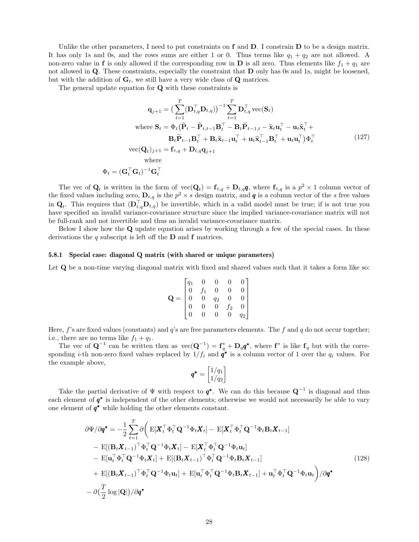Unlike the other parameters, I need to put constraints on f and D. I constrain D to be a design matrix. It has only 1s and 0s, and the rows sums are either 1 or 0. Thus terms like  $q_1 + q_2$  are not allowed. A non-zero value in **f** is only allowed if the corresponding row in **D** is all zero. Thus elements like  $f_1 + q_1$  are not allowed in Q. These constraints, especially the constraint that D only has 0s and 1s, might be loosened, but with the addition of  $G_t$ , we still have a very wide class of Q matrices.

The general update equation for Q with these constraints is

$$
\mathbf{q}_{j+1} = \left(\sum_{t=1}^{T} (\mathbf{D}_{t,q}^{\top} \mathbf{D}_{t,q})\right)^{-1} \sum_{t=1}^{T} \mathbf{D}_{t,q}^{\top} \text{vec}(\mathbf{S}_{t})
$$
\nwhere  $\mathbf{S}_{t} = \Phi_{t} (\widetilde{\mathbf{P}}_{t} - \widetilde{\mathbf{P}}_{t,t-1} \mathbf{B}_{t}^{\top} - \mathbf{B}_{t} \widetilde{\mathbf{P}}_{t-1,t} - \widetilde{\mathbf{x}}_{t} \mathbf{u}_{t}^{\top} - \mathbf{u}_{t} \widetilde{\mathbf{x}}_{t}^{\top} + \mathbf{B}_{t} \widetilde{\mathbf{P}}_{t-1} \mathbf{B}_{t}^{\top} + \mathbf{B}_{t} \widetilde{\mathbf{x}}_{t-1} \mathbf{u}_{t}^{\top} + \mathbf{u}_{t} \widetilde{\mathbf{x}}_{t-1}^{\top} \mathbf{B}_{t}^{\top} + \mathbf{u}_{t} \mathbf{u}_{t}^{\top}) \Phi_{t}^{\top}$ \n
$$
\text{vec}(\mathbf{Q}_{t})_{j+1} = \mathbf{f}_{t,q} + \mathbf{D}_{t,q} \mathbf{q}_{j+1}
$$
\nwhere\n
$$
\Phi_{t} = (\mathbf{G}_{t}^{\top} \mathbf{G}_{t})^{-1} \mathbf{G}_{t}^{\top}
$$
\n(127)

The vec of  $\mathbf{Q}_t$  is written in the form of  $\text{vec}(\mathbf{Q}_t) = \mathbf{f}_{t,q} + \mathbf{D}_{t,q}\mathbf{q}$ , where  $\mathbf{f}_{t,q}$  is a  $p^2 \times 1$  column vector of the fixed values including zero,  $\mathbf{D}_{t,q}$  is the  $p^2 \times s$  design matrix, and **q** is a column vector of the s free values in  $\mathbf{Q}_t$ . This requires that  $(\mathbf{D}_{t,q}^{\top} \mathbf{D}_{t,q})$  be invertible, which in a valid model must be true; if is not true you have specified an invalid variance-covariance structure since the implied variance-covariance matrix will not be full-rank and not invertible and thus an invalid variance-covariance matrix.

Below I show how the Q update equation arises by working through a few of the special cases. In these derivations the  $q$  subscript is left off the  $D$  and  $f$  matrices.

#### 5.8.1 Special case: diagonal Q matrix (with shared or unique parameters)

Let Q be a non-time varying diagonal matrix with fixed and shared values such that it takes a form like so:

$$
\mathbf{Q} = \begin{bmatrix} q_1 & 0 & 0 & 0 & 0 \\ 0 & f_1 & 0 & 0 & 0 \\ 0 & 0 & q_2 & 0 & 0 \\ 0 & 0 & 0 & f_2 & 0 \\ 0 & 0 & 0 & 0 & q_2 \end{bmatrix}
$$

Here, f's are fixed values (constants) and  $q$ 's are free parameters elements. The f and  $q$  do not occur together; i.e., there are no terms like  $f_1 + q_1$ .

The vec of  $\mathbf{Q}^{-1}$  can be written then as  $\text{vec}(\mathbf{Q}^{-1}) = \mathbf{f}_q^* + \mathbf{D}_q \mathbf{q}^*$ , where  $\mathbf{f}^*$  is like  $\mathbf{f}_q$  but with the corresponding *i*-th non-zero fixed values replaced by  $1/f_i$  and  $\dot{q}^*$  is a column vector of 1 over the  $q_i$  values. For the example above,

$$
\boldsymbol{q^*} = \begin{bmatrix} 1/q_1 \\ 1/q_2 \end{bmatrix}
$$

Take the partial derivative of  $\Psi$  with respect to  $\boldsymbol{q}^*$ . We can do this because  $\mathbf{Q}^{-1}$  is diagonal and thus each element of  $q^*$  is independent of the other elements; otherwise we would not necessarily be able to vary one element of  $q^*$  while holding the other elements constant.

$$
\partial \Psi / \partial \mathbf{q}^* = -\frac{1}{2} \sum_{t=1}^T \partial \Big( \mathbf{E} [\mathbf{X}_t^\top \Phi_t^\top \mathbf{Q}^{-1} \Phi_t \mathbf{X}_t] - \mathbf{E} [\mathbf{X}_t^\top \Phi_t^\top \mathbf{Q}^{-1} \Phi_t \mathbf{B}_t \mathbf{X}_{t-1}]
$$
  
\n
$$
- \mathbf{E} [(\mathbf{B}_t \mathbf{X}_{t-1})^\top \Phi_t^\top \mathbf{Q}^{-1} \Phi_t \mathbf{X}_t] - \mathbf{E} [\mathbf{X}_t^\top \Phi_t^\top \mathbf{Q}^{-1} \Phi_t \mathbf{u}_t]
$$
  
\n
$$
- \mathbf{E} [\mathbf{u}_t^\top \Phi_t^\top \mathbf{Q}^{-1} \Phi_t \mathbf{X}_t] + \mathbf{E} [(\mathbf{B}_t \mathbf{X}_{t-1})^\top \Phi_t^\top \mathbf{Q}^{-1} \Phi_t \mathbf{B}_t \mathbf{X}_{t-1}]
$$
  
\n
$$
+ \mathbf{E} [(\mathbf{B}_t \mathbf{X}_{t-1})^\top \Phi_t^\top \mathbf{Q}^{-1} \Phi_t \mathbf{u}_t] + \mathbf{E} [\mathbf{u}_t^\top \Phi_t^\top \mathbf{Q}^{-1} \Phi_t \mathbf{B}_t \mathbf{X}_{t-1}] + \mathbf{u}_t^\top \Phi_t^\top \mathbf{Q}^{-1} \Phi_t \mathbf{u}_t \Big) / \partial \mathbf{q}^*
$$
  
\n
$$
- \partial (\frac{T}{2} \log |\mathbf{Q}|) / \partial \mathbf{q}^*
$$
 (128)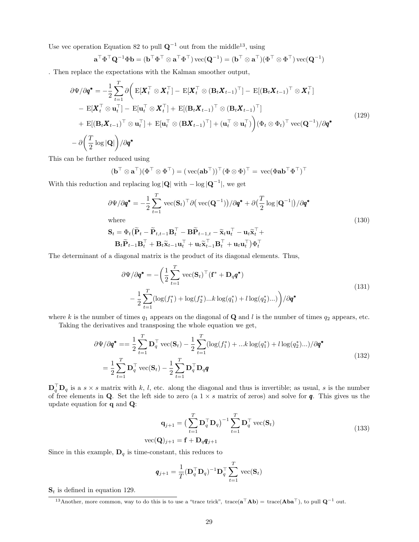Use vec operation Equation 82 to pull  $\mathbf{Q}^{-1}$  out from the middle<sup>13</sup>, using

$$
\mathbf{a}^\top \Phi^\top \mathbf{Q}^{-1} \Phi \mathbf{b} = (\mathbf{b}^\top \Phi^\top \otimes \mathbf{a}^\top \Phi^\top) \, \mathrm{vec}(\mathbf{Q}^{-1}) = (\mathbf{b}^\top \otimes \mathbf{a}^\top) (\Phi^\top \otimes \Phi^\top) \, \mathrm{vec}(\mathbf{Q}^{-1})
$$

. Then replace the expectations with the Kalman smoother output,

$$
\partial \Psi / \partial q^* = -\frac{1}{2} \sum_{t=1}^T \partial \Big( \mathbf{E} [\mathbf{X}_t^\top \otimes \mathbf{X}_t^\top] - \mathbf{E} [\mathbf{X}_t^\top \otimes (\mathbf{B}_t \mathbf{X}_{t-1})^\top] - \mathbf{E} [(\mathbf{B}_t \mathbf{X}_{t-1})^\top \otimes \mathbf{X}_t^\top] - \mathbf{E} [\mathbf{X}_t^\top \otimes \mathbf{u}_t^\top] - \mathbf{E} [\mathbf{u}_t^\top \otimes \mathbf{X}_t^\top] + \mathbf{E} [(\mathbf{B}_t \mathbf{X}_{t-1})^\top \otimes (\mathbf{B}_t \mathbf{X}_{t-1})^\top] + \mathbf{E} [(\mathbf{B}_t \mathbf{X}_{t-1})^\top \otimes \mathbf{u}_t^\top] + \mathbf{E} [\mathbf{u}_t^\top \otimes (\mathbf{B} \mathbf{X}_{t-1})^\top] + (\mathbf{u}_t^\top \otimes \mathbf{u}_t^\top) \Big) (\Phi_t \otimes \Phi_t)^\top \text{vec}(\mathbf{Q}^{-1}) / \partial q^* - \partial \Big( \frac{T}{2} \log |\mathbf{Q}| \Big) / \partial q^*
$$
\n(129)

This can be further reduced using

$$
(\mathbf{b}^\top \otimes \mathbf{a}^\top)(\Phi^\top \otimes \Phi^\top) = (\, \mathrm{vec}(\mathbf{a} \mathbf{b}^\top))^\top (\Phi \otimes \Phi)^\top = \, \mathrm{vec}(\Phi \mathbf{a} \mathbf{b}^\top \Phi^\top)^\top
$$

With this reduction and replacing  $log |\mathbf{Q}|$  with  $-\log |\mathbf{Q}^{-1}|$ , we get

$$
\partial \Psi / \partial \mathbf{q}^* = -\frac{1}{2} \sum_{t=1}^T \text{vec}(\mathbf{S}_t)^\top \partial \big(\text{vec}(\mathbf{Q}^{-1})\big) / \partial \mathbf{q}^* + \partial \big(\frac{T}{2} \log |\mathbf{Q}^{-1}|\big) / \partial \mathbf{q}^*
$$
\nwhere

\n
$$
\sum_{t=1}^T \sum_{t=1}^T \mathbf{q} \mathbf{q}^* = \sum_{t=1}^T \sum_{t=1}^T \mathbf{q} \mathbf{q}^* = \sum_{t=1}^T \sum_{t=1}^T \mathbf{q} \mathbf{q}^* = \sum_{t=1}^T \sum_{t=1}^T \mathbf{q} \mathbf{q}^* = \sum_{t=1}^T \sum_{t=1}^T \mathbf{q} \mathbf{q}^* = \sum_{t=1}^T \sum_{t=1}^T \sum_{t=1}^T \mathbf{q} \mathbf{q}^* = \sum_{t=1}^T \sum_{t=1}^T \sum_{t=1}^T \sum_{t=1}^T \mathbf{q}^* = \sum_{t=1}^T \sum_{t=1}^T \sum_{t=1}^T \sum_{t=1}^T \sum_{t=1}^T \sum_{t=1}^T \sum_{t=1}^T \sum_{t=1}^T \sum_{t=1}^T \sum_{t=1}^T \sum_{t=1}^T \sum_{t=1}^T \sum_{t=1}^T \sum_{t=1}^T \sum_{t=1}^T \sum_{t=1}^T \sum_{t=1}^T \sum_{t=1}^T \sum_{t=1}^T \sum_{t=1}^T \sum_{t=1}^T \sum_{t=1}^T \sum_{t=1}^T \sum_{t=1}^T \sum_{t=1}^T \sum_{t=1}^T \sum_{t=1}^T \sum_{t=1}^T \sum_{t=1}^T \sum_{t=1}^T \sum_{t=1}^T \sum_{t=1}^T \sum_{t=1}^T \sum_{t=1}^T \sum_{t=1}^T \sum_{t=1}^T \sum_{t=1}^T \sum_{t=1}^T \sum_{t=1}^T \sum_{t=1}^T \sum_{t=1}^T \sum_{t=1}^
$$

$$
\mathbf{S}_t = \Phi_t \big( \widetilde{\mathbf{P}}_t - \widetilde{\mathbf{P}}_{t,t-1} \mathbf{B}_t^\top - \mathbf{B} \widetilde{\mathbf{P}}_{t-1,t} - \widetilde{\mathbf{x}}_t \mathbf{u}_t^\top - \mathbf{u}_t \widetilde{\mathbf{x}}_t^\top + \\ \mathbf{B}_t \widetilde{\mathbf{P}}_{t-1} \mathbf{B}_t^\top + \mathbf{B}_t \widetilde{\mathbf{x}}_{t-1} \mathbf{u}_t^\top + \mathbf{u}_t \widetilde{\mathbf{x}}_{t-1}^\top \mathbf{B}_t^\top + \mathbf{u}_t \mathbf{u}_t^\top \big) \Phi_t^\top
$$

The determinant of a diagonal matrix is the product of its diagonal elements. Thus,

$$
\partial \Psi / \partial \mathbf{q}^* = -\left(\frac{1}{2} \sum_{t=1}^T \text{vec}(\mathbf{S}_t)^\top (\mathbf{f}^* + \mathbf{D}_q \mathbf{q}^*)\right)
$$

$$
-\frac{1}{2} \sum_{t=1}^T (\log(f_1^*) + \log(f_2^*)...k \log(q_1^*) + l \log(q_2^*)...)\right) / \partial \mathbf{q}^*
$$
(131)

where k is the number of times  $q_1$  appears on the diagonal of **Q** and l is the number of times  $q_2$  appears, etc. Taking the derivatives and transposing the whole equation we get,

$$
\partial \Psi / \partial \mathbf{q}^* = = \frac{1}{2} \sum_{t=1}^T \mathbf{D}_q^\top \text{vec}(\mathbf{S}_t) - \frac{1}{2} \sum_{t=1}^T (\log(f_1^*) + \dots k \log(q_1^*) + l \log(q_2^*) \dots) / \partial \mathbf{q}^*
$$
  
= 
$$
\frac{1}{2} \sum_{t=1}^T \mathbf{D}_q^\top \text{vec}(\mathbf{S}_t) - \frac{1}{2} \sum_{t=1}^T \mathbf{D}_q^\top \mathbf{D}_q \mathbf{q}
$$
(132)

 $\mathbf{D}_q^{\top} \mathbf{D}_q$  is a  $s \times s$  matrix with k, l, etc. along the diagonal and thus is invertible; as usual, s is the number of free elements in Q. Set the left side to zero (a  $1 \times s$  matrix of zeros) and solve for  $q$ . This gives us the update equation for q and Q:

$$
\mathbf{q}_{j+1} = \left(\sum_{t=1}^{T} \mathbf{D}_q^{\top} \mathbf{D}_q\right)^{-1} \sum_{t=1}^{T} \mathbf{D}_q^{\top} \text{vec}(\mathbf{S}_t)
$$
  
vec
$$
(\mathbf{Q})_{j+1} = \mathbf{f} + \mathbf{D}_q \mathbf{q}_{j+1}
$$
 (133)

Since in this example,  $\mathbf{D}_q$  is time-constant, this reduces to

$$
\mathbf{q}_{j+1} = \frac{1}{T} (\mathbf{D}_q^{\top} \mathbf{D}_q)^{-1} \mathbf{D}_q^{\top} \sum_{t=1}^T \text{vec}(\mathbf{S}_t)
$$

 $S_t$  is defined in equation 129.

<sup>&</sup>lt;sup>13</sup>Another, more common, way to do this is to use a "trace trick", trace( $\mathbf{a}^\top \mathbf{A} \mathbf{b}$ ) = trace( $\mathbf{A} \mathbf{b} \mathbf{a}^\top$ ), to pull  $\mathbf{Q}^{-1}$  out.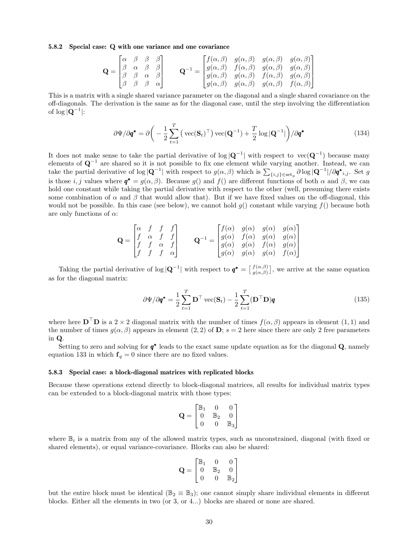#### 5.8.2 Special case: Q with one variance and one covariance

$$
\mathbf{Q} = \begin{bmatrix} \alpha & \beta & \beta & \beta \\ \beta & \alpha & \beta & \beta \\ \beta & \beta & \alpha & \beta \\ \beta & \beta & \beta & \alpha \end{bmatrix} \qquad \mathbf{Q}^{-1} = \begin{bmatrix} f(\alpha, \beta) & g(\alpha, \beta) & g(\alpha, \beta) & g(\alpha, \beta) \\ g(\alpha, \beta) & f(\alpha, \beta) & g(\alpha, \beta) & g(\alpha, \beta) \\ g(\alpha, \beta) & g(\alpha, \beta) & f(\alpha, \beta) & g(\alpha, \beta) \\ g(\alpha, \beta) & g(\alpha, \beta) & g(\alpha, \beta) & f(\alpha, \beta) \end{bmatrix}
$$

This is a matrix with a single shared variance parameter on the diagonal and a single shared covariance on the off-diagonals. The derivation is the same as for the diagonal case, until the step involving the differentiation of  $\log |\mathbf{Q}^{-1}|$ :

$$
\partial \Psi / \partial \mathbf{q}^* = \partial \left( -\frac{1}{2} \sum_{t=1}^T \left( \text{vec}(\mathbf{S}_t)^\top \right) \text{vec}(\mathbf{Q}^{-1}) + \frac{T}{2} \log |\mathbf{Q}^{-1}| \right) / \partial \mathbf{q}^* \tag{134}
$$

It does not make sense to take the partial derivative of  $\log |Q^{-1}|$  with respect to  $vec(Q^{-1})$  because many elements of  $\mathbf{Q}^{-1}$  are shared so it is not possible to fix one element while varying another. Instead, we can take the partial derivative of  $\log |\mathbf{Q}^{-1}|$  with respect to  $g(\alpha, \beta)$  which is  $\sum_{\{i,j\} \in \text{set}_g} \partial \log |\mathbf{Q}^{-1}| / \partial q^*_{i,j}$ . Set g is those i, j values where  $\boldsymbol{q}^* = g(\alpha, \beta)$ . Because g() and f() are different functions of both  $\alpha$  and  $\beta$ , we can hold one constant while taking the partial derivative with respect to the other (well, presuming there exists some combination of  $\alpha$  and  $\beta$  that would allow that). But if we have fixed values on the off-diagonal, this would not be possible. In this case (see below), we cannot hold  $g()$  constant while varying  $f()$  because both are only functions of  $\alpha$ :

$$
\mathbf{Q} = \begin{bmatrix} \alpha & f & f & f \\ f & \alpha & f & f \\ f & f & \alpha & f \\ f & f & f & \alpha \end{bmatrix} \qquad \mathbf{Q}^{-1} = \begin{bmatrix} f(\alpha) & g(\alpha) & g(\alpha) & g(\alpha) \\ g(\alpha) & f(\alpha) & g(\alpha) & g(\alpha) \\ g(\alpha) & g(\alpha) & f(\alpha) & g(\alpha) \\ g(\alpha) & g(\alpha) & g(\alpha) & f(\alpha) \end{bmatrix}
$$

Taking the partial derivative of  $\log |\mathbf{Q}^{-1}|$  with respect to  $\boldsymbol{q}^* = \begin{bmatrix} f(\alpha,\beta) \\ g(\alpha,\beta) \end{bmatrix}$  $g(\alpha,\beta)$ , we arrive at the same equation as for the diagonal matrix:

$$
\partial \Psi / \partial \mathbf{q}^* = \frac{1}{2} \sum_{t=1}^T \mathbf{D}^\top \text{vec}(\mathbf{S}_t) - \frac{1}{2} \sum_{t=1}^T (\mathbf{D}^\top \mathbf{D}) \mathbf{q}
$$
(135)

where here  $\mathbf{D}^{\top}\mathbf{D}$  is a 2 × 2 diagonal matrix with the number of times  $f(\alpha, \beta)$  appears in element  $(1, 1)$  and the number of times  $g(\alpha, \beta)$  appears in element  $(2, 2)$  of **D**;  $s = 2$  here since there are only 2 free parameters in Q.

Setting to zero and solving for  $q^*$  leads to the exact same update equation as for the diagonal Q, namely equation 133 in which  $f_q = 0$  since there are no fixed values.

#### 5.8.3 Special case: a block-diagonal matrices with replicated blocks

Because these operations extend directly to block-diagonal matrices, all results for individual matrix types can be extended to a block-diagonal matrix with those types:

$$
\mathbf{Q} = \begin{bmatrix} \mathbb{B}_1 & 0 & 0 \\ 0 & \mathbb{B}_2 & 0 \\ 0 & 0 & \mathbb{B}_3 \end{bmatrix}
$$

where  $\mathbb{B}_i$  is a matrix from any of the allowed matrix types, such as unconstrained, diagonal (with fixed or shared elements), or equal variance-covariance. Blocks can also be shared:

$$
\mathbf{Q} = \begin{bmatrix} \mathbb{B}_1 & 0 & 0 \\ 0 & \mathbb{B}_2 & 0 \\ 0 & 0 & \mathbb{B}_2 \end{bmatrix}
$$

but the entire block must be identical ( $\mathbb{B}_2 \equiv \mathbb{B}_3$ ); one cannot simply share individual elements in different blocks. Either all the elements in two (or 3, or 4...) blocks are shared or none are shared.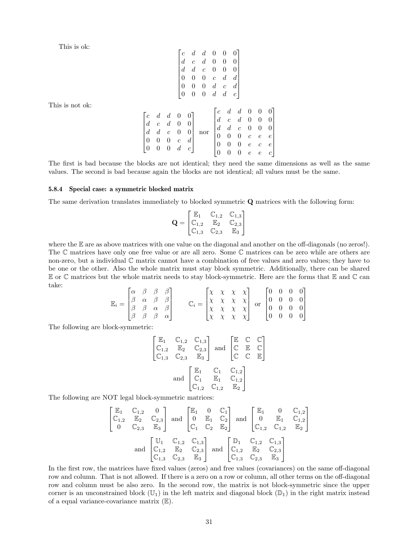| This is ok:     |                                                                                                                                                                                                                                                                                                                                     |
|-----------------|-------------------------------------------------------------------------------------------------------------------------------------------------------------------------------------------------------------------------------------------------------------------------------------------------------------------------------------|
|                 |                                                                                                                                                                                                                                                                                                                                     |
|                 |                                                                                                                                                                                                                                                                                                                                     |
|                 |                                                                                                                                                                                                                                                                                                                                     |
|                 | $\begin{bmatrix} c & d & d & 0 & 0 & 0 \\ d & c & d & 0 & 0 & 0 \\ d & d & c & 0 & 0 & 0 \\ 0 & 0 & 0 & c & d & d \\ 0 & 0 & 0 & d & c & d \\ 0 & 0 & 0 & d & d & c \end{bmatrix}$                                                                                                                                                  |
|                 |                                                                                                                                                                                                                                                                                                                                     |
|                 |                                                                                                                                                                                                                                                                                                                                     |
|                 |                                                                                                                                                                                                                                                                                                                                     |
| This is not ok: |                                                                                                                                                                                                                                                                                                                                     |
|                 |                                                                                                                                                                                                                                                                                                                                     |
|                 |                                                                                                                                                                                                                                                                                                                                     |
|                 |                                                                                                                                                                                                                                                                                                                                     |
|                 |                                                                                                                                                                                                                                                                                                                                     |
|                 |                                                                                                                                                                                                                                                                                                                                     |
|                 | $\begin{bmatrix} c & d & d & 0 & 0 \\ d & c & d & 0 & 0 \\ d & d & c & 0 & 0 \\ 0 & 0 & 0 & c & d \\ 0 & 0 & 0 & d & c \end{bmatrix} \text{ nor } \begin{bmatrix} c & d & d & 0 & 0 & 0 \\ d & c & d & 0 & 0 & 0 \\ d & d & c & 0 & 0 & 0 \\ 0 & 0 & 0 & c & e & e \\ 0 & 0 & 0 & e & c & e \\ 0 & 0 & 0 & e & e & c \end{bmatrix}$ |
|                 |                                                                                                                                                                                                                                                                                                                                     |

The first is bad because the blocks are not identical; they need the same dimensions as well as the same values. The second is bad because again the blocks are not identical; all values must be the same.

1  $\overline{1}$  $\overline{1}$  $\overline{1}$  $\overline{1}$  $\overline{1}$  $\overline{1}$  $\overline{1}$ 

#### 5.8.4 Special case: a symmetric blocked matrix

The same derivation translates immediately to blocked symmetric Q matrices with the following form:

$$
\mathbf{Q} = \begin{bmatrix} \mathbb{E}_1 & \mathbb{C}_{1,2} & \mathbb{C}_{1,3} \\ \mathbb{C}_{1,2} & \mathbb{E}_2 & \mathbb{C}_{2,3} \\ \mathbb{C}_{1,3} & \mathbb{C}_{2,3} & \mathbb{E}_3 \end{bmatrix}
$$

where the E are as above matrices with one value on the diagonal and another on the off-diagonals (no zeros!). The C matrices have only one free value or are all zero. Some C matrices can be zero while are others are non-zero, but a individual C matrix cannot have a combination of free values and zero values; they have to be one or the other. Also the whole matrix must stay block symmetric. Additionally, there can be shared  $E$  or  $\mathbb C$  matrices but the whole matrix needs to stay block-symmetric. Here are the forms that  $E$  and  $\mathbb C$  can take:

$$
\mathbb{E}_{i} = \begin{bmatrix} \alpha & \beta & \beta & \beta \\ \beta & \alpha & \beta & \beta \\ \beta & \beta & \alpha & \beta \\ \beta & \beta & \beta & \alpha \end{bmatrix} \qquad \mathbb{C}_{i} = \begin{bmatrix} \chi & \chi & \chi & \chi \\ \chi & \chi & \chi & \chi \\ \chi & \chi & \chi & \chi \\ \chi & \chi & \chi & \chi \end{bmatrix} \text{ or } \begin{bmatrix} 0 & 0 & 0 & 0 \\ 0 & 0 & 0 & 0 \\ 0 & 0 & 0 & 0 \\ 0 & 0 & 0 & 0 \end{bmatrix}
$$

The following are block-symmetric:

$$
\begin{bmatrix} \mathbb{E}_1 & \mathbb{C}_{1,2} & \mathbb{C}_{1,3} \\ \mathbb{C}_{1,2} & \mathbb{E}_2 & \mathbb{C}_{2,3} \\ \mathbb{C}_{1,3} & \mathbb{C}_{2,3} & \mathbb{E}_3 \end{bmatrix} \text{ and } \begin{bmatrix} \mathbb{E} & \mathbb{C} & \mathbb{C} \\ \mathbb{C} & \mathbb{E} & \mathbb{C} \\ \mathbb{C} & \mathbb{C} & \mathbb{E} \end{bmatrix}
$$

$$
\text{ and } \begin{bmatrix} \mathbb{E}_1 & \mathbb{C}_1 & \mathbb{C}_{1,2} \\ \mathbb{C}_1 & \mathbb{E}_1 & \mathbb{C}_{1,2} \\ \mathbb{C}_{1,2} & \mathbb{C}_{1,2} & \mathbb{E}_2 \end{bmatrix}
$$

The following are NOT legal block-symmetric matrices:

$$
\begin{bmatrix} \mathbb{E}_1 & \mathbb{C}_{1,2} & 0 \\ \mathbb{C}_{1,2} & \mathbb{E}_2 & \mathbb{C}_{2,3} \\ 0 & \mathbb{C}_{2,3} & \mathbb{E}_3 \end{bmatrix} \text{ and } \begin{bmatrix} \mathbb{E}_1 & 0 & \mathbb{C}_1 \\ 0 & \mathbb{E}_1 & \mathbb{C}_2 \\ \mathbb{C}_1 & \mathbb{C}_2 & \mathbb{E}_2 \end{bmatrix} \text{ and } \begin{bmatrix} \mathbb{E}_1 & 0 & \mathbb{C}_{1,2} \\ 0 & \mathbb{E}_1 & \mathbb{C}_{1,2} \\ \mathbb{C}_{1,2} & \mathbb{C}_{1,2} & \mathbb{E}_2 \\ \mathbb{C}_{1,3} & \mathbb{E}_2 & \mathbb{C}_{2,3} \\ \mathbb{C}_{1,3} & \mathbb{C}_{2,3} & \mathbb{E}_3 \end{bmatrix} \text{ and } \begin{bmatrix} \mathbb{D}_1 & \mathbb{C}_{1,2} & \mathbb{C}_{1,3} \\ \mathbb{C}_{1,2} & \mathbb{E}_2 & \mathbb{C}_{2,3} \\ \mathbb{C}_{1,3} & \mathbb{C}_{2,3} & \mathbb{E}_3 \end{bmatrix}
$$

In the first row, the matrices have fixed values (zeros) and free values (covariances) on the same off-diagonal row and column. That is not allowed. If there is a zero on a row or column, all other terms on the off-diagonal row and column must be also zero. In the second row, the matrix is not block-symmetric since the upper corner is an unconstrained block  $(\mathbb{U}_1)$  in the left matrix and diagonal block  $(\mathbb{D}_1)$  in the right matrix instead of a equal variance-covariance matrix  $(\mathbb{E})$ .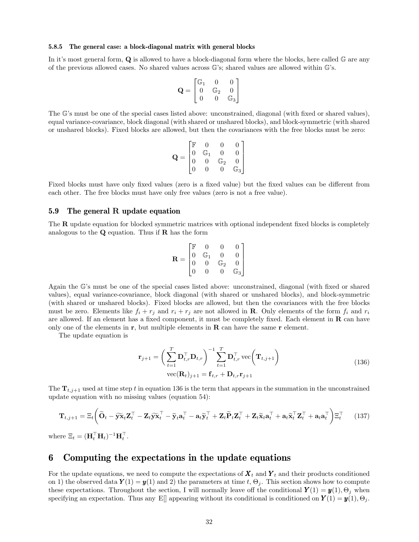#### 5.8.5 The general case: a block-diagonal matrix with general blocks

In it's most general form, **Q** is allowed to have a block-diagonal form where the blocks, here called G are any of the previous allowed cases. No shared values across G's; shared values are allowed within G's.

$$
\mathbf{Q} = \begin{bmatrix} \mathbb{G}_1 & 0 & 0 \\ 0 & \mathbb{G}_2 & 0 \\ 0 & 0 & \mathbb{G}_3 \end{bmatrix}
$$

The G's must be one of the special cases listed above: unconstrained, diagonal (with fixed or shared values), equal variance-covariance, block diagonal (with shared or unshared blocks), and block-symmetric (with shared or unshared blocks). Fixed blocks are allowed, but then the covariances with the free blocks must be zero:

$$
\mathbf{Q} = \begin{bmatrix} \mathbb{F} & 0 & 0 & 0 \\ 0 & \mathbb{G}_1 & 0 & 0 \\ 0 & 0 & \mathbb{G}_2 & 0 \\ 0 & 0 & 0 & \mathbb{G}_3 \end{bmatrix}
$$

Fixed blocks must have only fixed values (zero is a fixed value) but the fixed values can be different from each other. The free blocks must have only free values (zero is not a free value).

#### 5.9 The general R update equation

The **R** update equation for blocked symmetric matrices with optional independent fixed blocks is completely analogous to the  $Q$  equation. Thus if  $R$  has the form

$$
\mathbf{R} = \begin{bmatrix} \mathbb{F} & 0 & 0 & 0 \\ 0 & \mathbb{G}_1 & 0 & 0 \\ 0 & 0 & \mathbb{G}_2 & 0 \\ 0 & 0 & 0 & \mathbb{G}_3 \end{bmatrix}
$$

Again the G's must be one of the special cases listed above: unconstrained, diagonal (with fixed or shared values), equal variance-covariance, block diagonal (with shared or unshared blocks), and block-symmetric (with shared or unshared blocks). Fixed blocks are allowed, but then the covariances with the free blocks must be zero. Elements like  $f_i + r_j$  and  $r_i + r_j$  are not allowed in **R**. Only elements of the form  $f_i$  and  $r_i$ are allowed. If an element has a fixed component, it must be completely fixed. Each element in  **can have** only one of the elements in  $\mathbf r$ , but multiple elements in  $\mathbf R$  can have the same  $\mathbf r$  element.

The update equation is

$$
\mathbf{r}_{j+1} = \left(\sum_{t=1}^{T} \mathbf{D}_{t,r}^{\top} \mathbf{D}_{t,r}\right)^{-1} \sum_{t=1}^{T} \mathbf{D}_{t,r}^{\top} \text{vec}\left(\mathbf{T}_{t,j+1}\right)
$$
  
vec $(R_{t})_{j+1} = \mathbf{f}_{t,r} + \mathbf{D}_{t,r} \mathbf{r}_{j+1}$  (136)

The  $\mathbf{T}_{t,j+1}$  used at time step t in equation 136 is the term that appears in the summation in the unconstrained update equation with no missing values (equation 54):

$$
\mathbf{T}_{t,j+1} = \Xi_t \left( \widetilde{\mathbf{O}}_t - \widetilde{\mathbf{y}} \widetilde{\mathbf{x}}_t \mathbf{Z}_t^\top - \mathbf{Z}_t \widetilde{\mathbf{y}} \widetilde{\mathbf{x}}_t^\top - \widetilde{\mathbf{y}}_t \mathbf{a}_t^\top - \mathbf{a}_t \widetilde{\mathbf{y}}_t^\top + \mathbf{Z}_t \widetilde{\mathbf{P}}_t \mathbf{Z}_t^\top + \mathbf{Z}_t \widetilde{\mathbf{x}}_t \mathbf{a}_t^\top + \mathbf{a}_t \widetilde{\mathbf{x}}_t^\top \mathbf{Z}_t^\top + \mathbf{a}_t \mathbf{a}_t^\top \right) \Xi_t^\top
$$
 (137)

where  $\mathbf{\Xi}_t = (\mathbf{H}_t^\top \mathbf{H}_t)^{-1} \mathbf{H}_t^\top$ .

### 6 Computing the expectations in the update equations

For the update equations, we need to compute the expectations of  $X_t$  and  $Y_t$  and their products conditioned on 1) the observed data  $\mathbf{Y}(1) = \mathbf{y}(1)$  and 2) the parameters at time t,  $\Theta_i$ . This section shows how to compute these expectations. Throughout the section, I will normally leave off the conditional  $\mathbf{Y}(1) = \mathbf{y}(1), \Theta_i$  when specifying an expectation. Thus any E[] appearing without its conditional is conditioned on  $Y(1) = y(1), \Theta_i$ .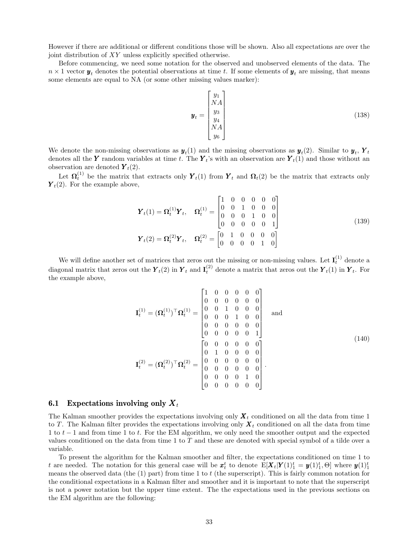However if there are additional or different conditions those will be shown. Also all expectations are over the joint distribution of XY unless explicitly specified otherwise.

Before commencing, we need some notation for the observed and unobserved elements of the data. The  $n \times 1$  vector  $y_t$  denotes the potential observations at time t. If some elements of  $y_t$  are missing, that means some elements are equal to NA (or some other missing values marker):

$$
\mathbf{y}_t = \begin{bmatrix} y_1 \\ NA \\ y_3 \\ y_4 \\ NA \\ y_6 \end{bmatrix} \tag{138}
$$

We denote the non-missing observations as  $y_t(1)$  and the missing observations as  $y_t(2)$ . Similar to  $y_t$ ,  $Y_t$ denotes all the Y random variables at time t. The  $Y_t$ 's with an observation are  $Y_t(1)$  and those without an observation are denoted  $Y_t(2)$ .

Let  $\Omega_t^{(1)}$  be the matrix that extracts only  $\mathbf{Y}_t(1)$  from  $\mathbf{Y}_t$  and  $\Omega_t(2)$  be the matrix that extracts only  $\mathbf{Y}_t(2)$ . For the example above,

$$
\boldsymbol{Y}_t(1) = \boldsymbol{\Omega}_t^{(1)} \boldsymbol{Y}_t, \quad \boldsymbol{\Omega}_t^{(1)} = \begin{bmatrix} 1 & 0 & 0 & 0 & 0 & 0 \\ 0 & 0 & 1 & 0 & 0 & 0 \\ 0 & 0 & 0 & 1 & 0 & 0 \\ 0 & 0 & 0 & 0 & 0 & 1 \end{bmatrix}
$$
\n
$$
\boldsymbol{Y}_t(2) = \boldsymbol{\Omega}_t^{(2)} \boldsymbol{Y}_t, \quad \boldsymbol{\Omega}_t^{(2)} = \begin{bmatrix} 0 & 1 & 0 & 0 & 0 & 0 \\ 0 & 0 & 0 & 0 & 1 & 0 \end{bmatrix}
$$
\n(139)

We will define another set of matrices that zeros out the missing or non-missing values. Let  $I_t^{(1)}$  denote a diagonal matrix that zeros out the  $\mathbf{\overline{Y}}_t(2)$  in  $\mathbf{\overline{Y}}_t$  and  $\mathbf{I}_t^{(2)}$  denote a matrix that zeros out the  $\mathbf{\overline{Y}}_t(1)$  in  $\mathbf{\overline{Y}}_t$ . For the example above,

$$
\mathbf{I}_{t}^{(1)} = (\mathbf{\Omega}_{t}^{(1)})^{\top} \mathbf{\Omega}_{t}^{(1)} = \begin{bmatrix} 1 & 0 & 0 & 0 & 0 & 0 \\ 0 & 0 & 0 & 0 & 0 & 0 \\ 0 & 0 & 1 & 0 & 0 & 0 \\ 0 & 0 & 0 & 1 & 0 & 0 \\ 0 & 0 & 0 & 0 & 0 & 0 \\ 0 & 0 & 0 & 0 & 0 & 1 \end{bmatrix} \text{ and}
$$
\n
$$
\mathbf{I}_{t}^{(2)} = (\mathbf{\Omega}_{t}^{(2)})^{\top} \mathbf{\Omega}_{t}^{(2)} = \begin{bmatrix} 0 & 0 & 0 & 0 & 0 & 0 \\ 0 & 1 & 0 & 0 & 0 & 0 \\ 0 & 1 & 0 & 0 & 0 & 0 \\ 0 & 0 & 0 & 0 & 0 & 0 \\ 0 & 0 & 0 & 0 & 0 & 0 \\ 0 & 0 & 0 & 0 & 1 & 0 \\ 0 & 0 & 0 & 0 & 0 & 0 \end{bmatrix}.
$$
\n(140)

#### **6.1** Expectations involving only  $X_t$

The Kalman smoother provides the expectations involving only  $X_t$  conditioned on all the data from time 1 to T. The Kalman filter provides the expectations involving only  $X_t$  conditioned on all the data from time 1 to t − 1 and from time 1 to t. For the EM algorithm, we only need the smoother output and the expected values conditioned on the data from time 1 to T and these are denoted with special symbol of a tilde over a variable.

To present the algorithm for the Kalman smoother and filter, the expectations conditioned on time 1 to t are needed. The notation for this general case will be  $x_t^t$  to denote  $E[\boldsymbol{X}_t|\boldsymbol{Y}(1)_1^t = \boldsymbol{y}(1)_1^t, \Theta]$  where  $\boldsymbol{y}(1)_1^t$ means the observed data (the (1) part) from time 1 to t (the superscript). This is fairly common notation for the conditional expectations in a Kalman filter and smoother and it is important to note that the superscript is not a power notation but the upper time extent. The the expectations used in the previous sections on the EM algorithm are the following: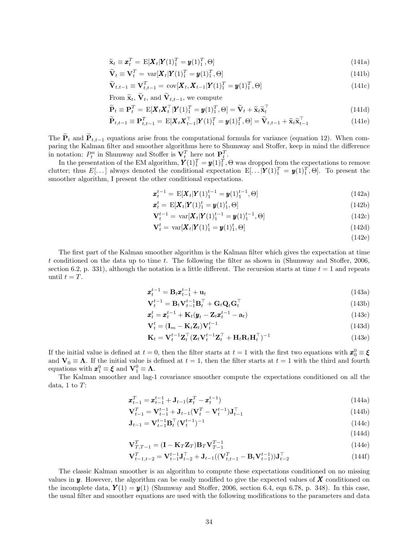$$
\widetilde{\mathbf{x}}_t \equiv \mathbf{x}_t^T = \mathbf{E}[\mathbf{X}_t | \mathbf{Y}(1)_1^T = \mathbf{y}(1)_1^T, \Theta] \tag{141a}
$$

$$
\widetilde{\mathbf{V}}_t \equiv \mathbf{V}_t^T = \text{var}[\mathbf{X}_t | \mathbf{Y}(1)_1^T = \mathbf{y}(1)_1^T, \Theta] \tag{141b}
$$

$$
\widetilde{\mathbf{V}}_{t,t-1} \equiv \mathbf{V}_{t,t-1}^T = \text{cov}[\mathbf{X}_t, \mathbf{X}_{t-1} | \mathbf{Y}(1)_1^T = \mathbf{y}(1)_1^T, \Theta]
$$
\n(141c)

From 
$$
\tilde{\mathbf{x}}_t
$$
,  $\mathbf{V}_t$ , and  $\mathbf{V}_{t,t-1}$ , we compute

$$
\widetilde{\mathbf{P}}_t \equiv \mathbf{P}_t^T = \mathbf{E}[\mathbf{X}_t \mathbf{X}_t^\top | \mathbf{Y}(1)_1^T = \mathbf{y}(1)_1^T, \Theta] = \widetilde{\mathbf{V}}_t + \widetilde{\mathbf{x}}_t \widetilde{\mathbf{x}}_t^\top
$$
\n(141d)

$$
\widetilde{\mathbf{P}}_{t,t-1} \equiv \mathbf{P}_{t,t-1}^T = \mathbf{E}[\mathbf{X}_t \mathbf{X}_{t-1}^\top | \mathbf{Y}(1)_1^T = \mathbf{y}(1)_1^T, \Theta] = \widetilde{\mathbf{V}}_{t,t-1} + \widetilde{\mathbf{x}}_t \widetilde{\mathbf{x}}_{t-1}^\top
$$
\n(141e)

The  $\tilde{\mathbf{P}}_t$  and  $\tilde{\mathbf{P}}_{t,t-1}$  equations arise from the computational formula for variance (equation 12). When comparing the Kalman filter and smoother algorithms here to Shumway and Stoffer, keep in mind the difference in notation:  $P_t^n$  in Shumway and Stoffer is  $\mathbf{V}_t^T$  here not  $\mathbf{P}_t^T$ .

In the presentation of the EM algorithm,  $Y(1)_1^T = y(1)_1^T$ ,  $\Theta$  was dropped from the expectations to remove clutter; thus  $E[\ldots]$  always denoted the conditional expectation  $E[\ldots|\boldsymbol{Y}(1)_1^T = \boldsymbol{y}(1)_1^T, \Theta]$ . To present the smoother algorithm, I present the other conditional expectations.

$$
\boldsymbol{x}_t^{t-1} = \mathbf{E}[\boldsymbol{X}_t | \boldsymbol{Y}(1)_1^{t-1} = \boldsymbol{y}(1)_1^{t-1}, \Theta] \tag{142a}
$$

$$
\boldsymbol{x}_t^t = \mathbf{E}[\boldsymbol{X}_t | \boldsymbol{Y}(1)_1^t = \boldsymbol{y}(1)_1^t, \boldsymbol{\Theta}] \tag{142b}
$$

$$
\mathbf{V}_{t}^{t-1} = \text{var}[\mathbf{X}_{t}|\mathbf{Y}(1)_{1}^{t-1} = \mathbf{y}(1)_{1}^{t-1}, \Theta] \tag{142c}
$$

$$
\mathbf{V}_t^t = \text{var}[\mathbf{X}_t | \mathbf{Y}(1)_1^t = \mathbf{y}(1)_1^t, \Theta] \tag{142d}
$$

(142e)

The first part of the Kalman smoother algorithm is the Kalman filter which gives the expectation at time t conditioned on the data up to time t. The following the filter as shown in (Shumway and Stoffer, 2006, section 6.2, p. 331), although the notation is a little different. The recursion starts at time  $t = 1$  and repeats until  $t = T$ .

$$
\boldsymbol{x}_t^{t-1} = \mathbf{B}_t \boldsymbol{x}_{t-1}^{t-1} + \mathbf{u}_t \tag{143a}
$$

$$
\mathbf{V}_{t}^{t-1} = \mathbf{B}_{t} \mathbf{V}_{t-1}^{t-1} \mathbf{B}_{t}^{\top} + \mathbf{G}_{t} \mathbf{Q}_{t} \mathbf{G}_{t}^{\top}
$$
\n(143b)

$$
\boldsymbol{x}_t^t = \boldsymbol{x}_t^{t-1} + \mathbf{K}_t(\boldsymbol{y}_t - \mathbf{Z}_t \boldsymbol{x}_t^{t-1} - \mathbf{a}_t) \tag{143c}
$$

$$
\mathbf{V}_t^t = (\mathbf{I}_m - \mathbf{K}_t \mathbf{Z}_t) \mathbf{V}_t^{t-1}
$$
\n(143d)

$$
\mathbf{K}_t = \mathbf{V}_t^{t-1} \mathbf{Z}_t^\top (\mathbf{Z}_t \mathbf{V}_t^{t-1} \mathbf{Z}_t^\top + \mathbf{H}_t \mathbf{R}_t \mathbf{H}_t^\top)^{-1}
$$
(143e)

If the initial value is defined at  $t = 0$ , then the filter starts at  $t = 1$  with the first two equations with  $\mathbf{x}_0^0 \equiv \boldsymbol{\xi}$ and  $V_0 \equiv \Lambda$ . If the initial value is defined at  $t = 1$ , then the filter starts at  $t = 1$  with the third and fourth equations with  $\mathbf{x}_1^0 \equiv \boldsymbol{\xi}$  and  $\mathbf{V}_1^0 \equiv \boldsymbol{\Lambda}$ .

The Kalman smoother and lag-1 covariance smoother compute the expectations conditioned on all the data, 1 to  $T$ :

$$
\boldsymbol{x}_{t-1}^T = \boldsymbol{x}_{t-1}^{t-1} + \mathbf{J}_{t-1}(\boldsymbol{x}_t^T - \boldsymbol{x}_t^{t-1})
$$
\n(144a)

$$
\mathbf{V}_{t-1}^T = \mathbf{V}_{t-1}^{t-1} + \mathbf{J}_{t-1}(\mathbf{V}_t^T - \mathbf{V}_t^{t-1})\mathbf{J}_{t-1}^\top
$$
\n(144b)

$$
\mathbf{J}_{t-1} = \mathbf{V}_{t-1}^{t-1} \mathbf{B}_t^\top (\mathbf{V}_t^{t-1})^{-1} \tag{144c}
$$

$$
(144d)
$$

$$
\mathbf{V}_{T,T-1}^T = (\mathbf{I} - \mathbf{K}_T \mathbf{Z}_T) \mathbf{B}_T \mathbf{V}_{T-1}^{T-1}
$$
(144e)

$$
\mathbf{V}_{t-1,t-2}^T = \mathbf{V}_{t-1}^{t-1} \mathbf{J}_{t-2}^{\top} + \mathbf{J}_{t-1} ((\mathbf{V}_{t,t-1}^T - \mathbf{B}_t \mathbf{V}_{t-1}^{t-1})) \mathbf{J}_{t-2}^{\top}
$$
(144f)

The classic Kalman smoother is an algorithm to compute these expectations conditioned on no missing values in  $y$ . However, the algorithm can be easily modified to give the expected values of  $X$  conditioned on the incomplete data,  $Y(1) = y(1)$  (Shumway and Stoffer, 2006, section 6.4, eqn 6.78, p. 348). In this case, the usual filter and smoother equations are used with the following modifications to the parameters and data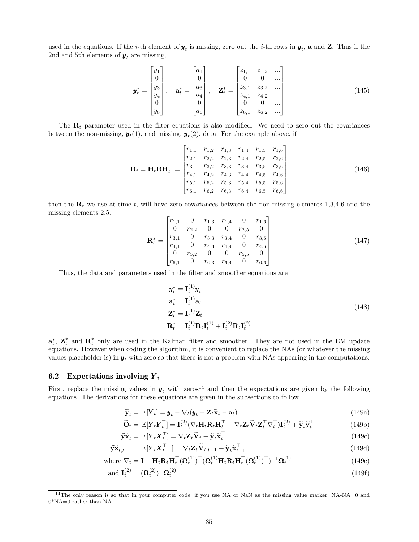used in the equations. If the *i*-th element of  $y_t$  is missing, zero out the *i*-th rows in  $y_t$ , **a** and **Z**. Thus if the 2nd and 5th elements of  $y_t$  are missing,

$$
\mathbf{y}_{t}^{*} = \begin{bmatrix} y_{1} \\ 0 \\ y_{3} \\ y_{4} \\ 0 \\ y_{6} \end{bmatrix}, \quad \mathbf{a}_{t}^{*} = \begin{bmatrix} a_{1} \\ 0 \\ a_{3} \\ a_{4} \\ 0 \\ a_{6} \end{bmatrix}, \quad \mathbf{Z}_{t}^{*} = \begin{bmatrix} z_{1,1} & z_{1,2} & \dots \\ 0 & 0 & \dots \\ z_{3,1} & z_{3,2} & \dots \\ z_{4,1} & z_{4,2} & \dots \\ 0 & 0 & \dots \\ z_{6,1} & z_{6,2} & \dots \end{bmatrix}
$$
(145)

The  $\mathbf{R}_t$  parameter used in the filter equations is also modified. We need to zero out the covariances between the non-missing,  $y_t(1)$ , and missing,  $y_t(2)$ , data. For the example above, if

$$
\mathbf{R}_{t} = \mathbf{H}_{t} \mathbf{R} \mathbf{H}_{t}^{\top} = \begin{bmatrix} r_{1,1} & r_{1,2} & r_{1,3} & r_{1,4} & r_{1,5} & r_{1,6} \\ r_{2,1} & r_{2,2} & r_{2,3} & r_{2,4} & r_{2,5} & r_{2,6} \\ r_{3,1} & r_{3,2} & r_{3,3} & r_{3,4} & r_{3,5} & r_{3,6} \\ r_{4,1} & r_{4,2} & r_{4,3} & r_{4,4} & r_{4,5} & r_{4,6} \\ r_{5,1} & r_{5,2} & r_{5,3} & r_{5,4} & r_{5,5} & r_{5,6} \\ r_{6,1} & r_{6,2} & r_{6,3} & r_{6,4} & r_{6,5} & r_{6,6} \end{bmatrix}
$$
(146)

then the  $\mathbf{R}_t$  we use at time t, will have zero covariances between the non-missing elements 1,3,4,6 and the missing elements 2,5:

$$
\mathbf{R}_{t}^{*} = \begin{bmatrix} r_{1,1} & 0 & r_{1,3} & r_{1,4} & 0 & r_{1,6} \\ 0 & r_{2,2} & 0 & 0 & r_{2,5} & 0 \\ r_{3,1} & 0 & r_{3,3} & r_{3,4} & 0 & r_{3,6} \\ r_{4,1} & 0 & r_{4,3} & r_{4,4} & 0 & r_{4,6} \\ 0 & r_{5,2} & 0 & 0 & r_{5,5} & 0 \\ r_{6,1} & 0 & r_{6,3} & r_{6,4} & 0 & r_{6,6} \end{bmatrix}
$$
(147)

Thus, the data and parameters used in the filter and smoother equations are

$$
\mathbf{y}_t^* = \mathbf{I}_t^{(1)} \mathbf{y}_t
$$
  
\n
$$
\mathbf{a}_t^* = \mathbf{I}_t^{(1)} \mathbf{a}_t
$$
  
\n
$$
\mathbf{Z}_t^* = \mathbf{I}_t^{(1)} \mathbf{Z}_t
$$
  
\n
$$
\mathbf{R}_t^* = \mathbf{I}_t^{(1)} \mathbf{R}_t \mathbf{I}_t^{(1)} + \mathbf{I}_t^{(2)} \mathbf{R}_t \mathbf{I}_t^{(2)}
$$
\n(148)

 $a_t^*$ ,  $\mathbf{Z}_t^*$  and  $\mathbf{R}_t^*$  only are used in the Kalman filter and smoother. They are not used in the EM update equations. However when coding the algorithm, it is convenient to replace the NAs (or whatever the missing values placeholder is) in  $y_t$  with zero so that there is not a problem with NAs appearing in the computations.

### 6.2 Expectations involving  $Y_t$

First, replace the missing values in  $y_t$  with zeros<sup>14</sup> and then the expectations are given by the following equations. The derivations for these equations are given in the subsections to follow.

$$
\widetilde{\mathbf{y}}_t = \mathbf{E}[\mathbf{Y}_t] = \mathbf{y}_t - \nabla_t (\mathbf{y}_t - \mathbf{Z}_t \widetilde{\mathbf{x}}_t - \mathbf{a}_t)
$$
\n(149a)

$$
\widetilde{\mathbf{O}}_t = \mathbf{E}[\mathbf{Y}_t \mathbf{Y}_t^\top] = \mathbf{I}_t^{(2)} (\nabla_t \mathbf{H}_t \mathbf{R}_t \mathbf{H}_t^\top + \nabla_t \mathbf{Z}_t \widetilde{\mathbf{V}}_t \mathbf{Z}_t^\top \nabla_t^\top) \mathbf{I}_t^{(2)} + \widetilde{\mathbf{y}}_t \widetilde{\mathbf{y}}_t^\top
$$
\n(149b)

$$
\widetilde{\mathbf{y}}\widetilde{\mathbf{x}}_t = \mathbf{E}[\mathbf{Y}_t \mathbf{X}_t^\top] = \nabla_t \mathbf{Z}_t \widetilde{\mathbf{V}}_t + \widetilde{\mathbf{y}}_t \widetilde{\mathbf{x}}_t^\top
$$
\n(149c)

$$
\widetilde{\mathbf{y}}\widetilde{\mathbf{x}}_{t,t-1} = \mathbf{E}[\mathbf{Y}_t \mathbf{X}_{t-1}^\top] = \nabla_t \mathbf{Z}_t \widetilde{\mathbf{V}}_{t,t-1} + \widetilde{\mathbf{y}}_t \widetilde{\mathbf{x}}_{t-1}^\top
$$
\n(149d)

where 
$$
\nabla_t = \mathbf{I} - \mathbf{H}_t \mathbf{R}_t \mathbf{H}_t^\top (\mathbf{\Omega}_t^{(1)})^\top (\mathbf{\Omega}_t^{(1)} \mathbf{H}_t \mathbf{R}_t \mathbf{H}_t^\top (\mathbf{\Omega}_t^{(1)})^\top)^{-1} \mathbf{\Omega}_t^{(1)}
$$
(149e)

$$
\text{and } \mathbf{I}_t^{(2)} = (\mathbf{\Omega}_t^{(2)})^\top \mathbf{\Omega}_t^{(2)} \tag{149f}
$$

<sup>&</sup>lt;sup>14</sup>The only reason is so that in your computer code, if you use NA or NaN as the missing value marker, NA-NA=0 and 0\*NA=0 rather than NA.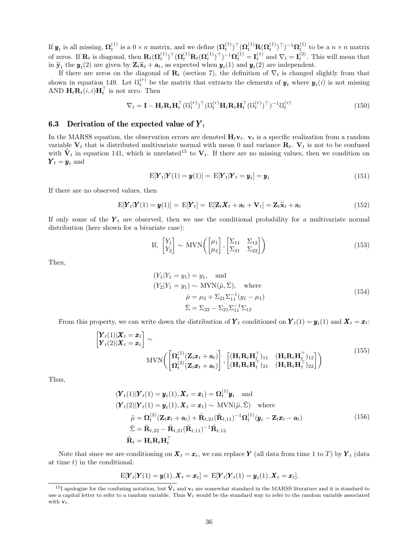If  $\mathbf{y}_t$  is all missing,  $\mathbf{\Omega}_t^{(1)}$  is a  $0 \times n$  matrix, and we define  $(\mathbf{\Omega}_t^{(1)})^{\top} (\mathbf{\Omega}_t^{(1)} \mathbf{R} (\mathbf{\Omega}_t^{(1)})^{\top})^{-1} \mathbf{\Omega}_t^{(1)}$  to be a  $n \times n$  matrix of zeros. If  $\mathbf{R}_t$  is diagonal, then  $\mathbf{R}_t(\mathbf{\Omega}_t^{(1)})^\top (\mathbf{\Omega}_t^{(1)} \mathbf{R}_t(\mathbf{\Omega}_t^{(1)})^\top)^{-1} \mathbf{\Omega}_t^{(1)} = \mathbf{I}_t^{(1)}$  and  $\nabla_t = \mathbf{I}_t^{(2)}$ . This will mean that in  $\tilde{\mathbf{y}}_t$  the  $\mathbf{y}_t(2)$  are given by  $\mathbf{Z}_t \tilde{\mathbf{x}}_t + \mathbf{a}_t$ , as expected when  $\mathbf{y}_t(1)$  and  $\mathbf{y}_t(2)$  are independent.

If there are zeros on the diagonal of  $\mathbf{R}_t$  (section 7), the definition of  $\nabla_t$  is changed slightly from that shown in equation 149. Let  $\mathfrak{V}_t^{(r)}$  be the matrix that extracts the elements of  $\mathbf{y}_t$  where  $\mathbf{y}_t(i)$  is not missing AND  $\mathbf{H}_t \mathbf{R}_t(i,i) \mathbf{H}_t^{\top}$  is not zero. Then

$$
\nabla_t = \mathbf{I} - \mathbf{H}_t \mathbf{R}_t \mathbf{H}_t^\top (\mathbf{U}_t^{(r)})^\top (\mathbf{U}_t^{(r)} \mathbf{H}_t \mathbf{R}_t \mathbf{H}_t^\top (\mathbf{U}_t^{(r)})^\top)^{-1} \mathbf{U}_t^{(r)}
$$
(150)

### 6.3 Derivation of the expected value of  $Y_t$

In the MARSS equation, the observation errors are denoted  $H_t v_t$ .  $v_t$  is a specific realization from a random variable  $V_t$  that is distributed multivariate normal with mean 0 and variance  $\mathbf{R}_t$ .  $V_t$  is not to be confused with  $\tilde{\mathbf{V}}_t$  in equation 141, which is unrelated<sup>15</sup> to  $\mathbf{V}_t$ . If there are no missing values, then we condition on  $\boldsymbol{Y}_t = \boldsymbol{y}_t$  and

$$
E[\boldsymbol{Y}_t|\boldsymbol{Y}(1) = \boldsymbol{y}(1)] = E[\boldsymbol{Y}_t|\boldsymbol{Y}_t = \boldsymbol{y}_t] = \boldsymbol{y}_t
$$
\n(151)

If there are no observed values, then

$$
E[\boldsymbol{Y}_t|\boldsymbol{Y}(1) = \boldsymbol{y}(1)] = E[\boldsymbol{Y}_t] = E[\mathbf{Z}_t\boldsymbol{X}_t + \mathbf{a}_t + \mathbf{V}_t] = \mathbf{Z}_t\tilde{\mathbf{x}}_t + \mathbf{a}_t
$$
\n(152)

If only some of the  $Y_t$  are observed, then we use the conditional probability for a multivariate normal distribution (here shown for a bivariate case):

If, 
$$
\begin{bmatrix} Y_1 \\ Y_2 \end{bmatrix} \sim \text{MVN}\left(\begin{bmatrix} \mu_1 \\ \mu_2 \end{bmatrix}, \begin{bmatrix} \Sigma_{11} & \Sigma_{12} \\ \Sigma_{21} & \Sigma_{22} \end{bmatrix}\right)
$$
 (153)

Then,

$$
(Y_1|Y_1 = y_1) = y_1, \text{ and}
$$
  
\n
$$
(Y_2|Y_1 = y_1) \sim \text{MVN}(\bar{\mu}, \bar{\Sigma}), \text{ where}
$$
  
\n
$$
\bar{\mu} = \mu_2 + \Sigma_{21} \Sigma_{11}^{-1} (y_1 - \mu_1)
$$
  
\n
$$
\bar{\Sigma} = \Sigma_{22} - \Sigma_{21} \Sigma_{11}^{-1} \Sigma_{12}
$$
\n(154)

From this property, we can write down the distribution of  $\boldsymbol{Y}_t$  conditioned on  $\boldsymbol{Y}_t(1) = \boldsymbol{y}_t(1)$  and  $\boldsymbol{X}_t = \boldsymbol{x}_t$ :

$$
\begin{bmatrix} \mathbf{Y}_{t}(1) | \mathbf{X}_{t} = \mathbf{x}_{t} \\ \mathbf{Y}_{t}(2) | \mathbf{X}_{t} = \mathbf{x}_{t} \end{bmatrix} \sim \text{MVN}\left(\begin{bmatrix} \mathbf{\Omega}_{t}^{(1)}(\mathbf{Z}_{t}\mathbf{x}_{t} + \mathbf{a}_{t}) \\ \mathbf{\Omega}_{t}^{(2)}(\mathbf{Z}_{t}\mathbf{x}_{t} + \mathbf{a}_{t}) \end{bmatrix}, \begin{bmatrix} (\mathbf{H}_{t}\mathbf{R}_{t}\mathbf{H}_{t}^{\top})_{11} & (\mathbf{H}_{t}\mathbf{R}_{t}\mathbf{H}_{t}^{\top})_{12} \\ (\mathbf{H}_{t}\mathbf{R}_{t}\mathbf{H}_{t}^{\top})_{21} & (\mathbf{H}_{t}\mathbf{R}_{t}\mathbf{H}_{t}^{\top})_{22} \end{bmatrix}\right)
$$
\n(155)

Thus,

$$
(\boldsymbol{Y}_t(1)|\boldsymbol{Y}_t(1) = \boldsymbol{y}_t(1), \boldsymbol{X}_t = \boldsymbol{x}_t) = \boldsymbol{\Omega}_t^{(1)} \boldsymbol{y}_t \text{ and}
$$
  
\n
$$
(\boldsymbol{Y}_t(2)|\boldsymbol{Y}_t(1) = \boldsymbol{y}_t(1), \boldsymbol{X}_t = \boldsymbol{x}_t) \sim \text{MVN}(\ddot{\mu}, \ddot{\Sigma}) \text{ where}
$$
  
\n
$$
\ddot{\mu} = \boldsymbol{\Omega}_t^{(2)} (\mathbf{Z}_t \boldsymbol{x}_t + \mathbf{a}_t) + \ddot{\mathbf{R}}_{t,21} (\ddot{\mathbf{R}}_{t,11})^{-1} \boldsymbol{\Omega}_t^{(1)} (\boldsymbol{y}_t - \mathbf{Z}_t \boldsymbol{x}_t - \mathbf{a}_t)
$$
  
\n
$$
\ddot{\Sigma} = \ddot{\mathbf{R}}_{t,22} - \ddot{\mathbf{R}}_{t,21} (\ddot{\mathbf{R}}_{t,11})^{-1} \ddot{\mathbf{R}}_{t,12}
$$
  
\n
$$
\ddot{\mathbf{R}}_t = \mathbf{H}_t \mathbf{R}_t \mathbf{H}_t^\top
$$
\n(156)

Note that since we are conditioning on  $\mathbf{X}_t = \mathbf{x}_t$ , we can replace Y (all data from time 1 to T) by  $\mathbf{Y}_t$  (data at time  $t$ ) in the conditional:

$$
\mathrm{E}[\boldsymbol{Y}_t|\boldsymbol{Y}(1)=\boldsymbol{y}(1),\boldsymbol{X}_t=\boldsymbol{x}_t]=\ \mathrm{E}[\boldsymbol{Y}_t|\boldsymbol{Y}_t(1)=\boldsymbol{y}_t(1),\boldsymbol{X}_t=\boldsymbol{x}_t].
$$

<sup>&</sup>lt;sup>15</sup>I apologize for the confusing notation, but  $\tilde{V}_t$  and  $V_t$  are somewhat standard in the MARSS literature and it is standard to use a capital letter to refer to a random variable. Thus  $V_t$  would be the standard way to refer to the random variable associated with  $\mathbf{v}_t$ .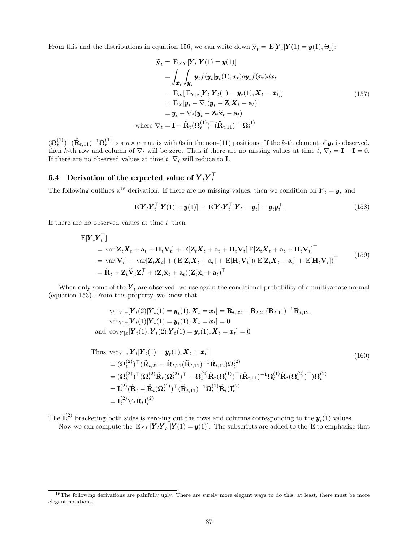From this and the distributions in equation 156, we can write down  $\tilde{\mathbf{y}}_t = \text{E}[\mathbf{Y}_t|\mathbf{Y}(1) = \mathbf{y}(1), \Theta_j]$ :

$$
\widetilde{\mathbf{y}}_t = \mathbf{E}_{XY}[\mathbf{Y}_t|\mathbf{Y}(1) = \mathbf{y}(1)]
$$
\n
$$
= \int_{\mathbf{x}_t} \int_{\mathbf{y}_t} \mathbf{y}_t f(\mathbf{y}_t|\mathbf{y}_t(1), \mathbf{x}_t) d\mathbf{y}_t f(\mathbf{x}_t) d\mathbf{x}_t
$$
\n
$$
= \mathbf{E}_X[\mathbf{E}_{Y|x}[\mathbf{Y}_t|\mathbf{Y}_t(1) = \mathbf{y}_t(1), \mathbf{X}_t = \mathbf{x}_t]]
$$
\n
$$
= \mathbf{E}_X[\mathbf{y}_t - \nabla_t(\mathbf{y}_t - \mathbf{Z}_t \mathbf{X}_t - \mathbf{a}_t)]
$$
\n
$$
= \mathbf{y}_t - \nabla_t(\mathbf{y}_t - \mathbf{Z}_t \widetilde{\mathbf{X}}_t - \mathbf{a}_t)
$$
\nwhere  $\nabla_t = \mathbf{I} - \ddot{\mathbf{R}}_t (\mathbf{\Omega}_t^{(1)})^\top (\ddot{\mathbf{R}}_{t,11})^{-1} \mathbf{\Omega}_t^{(1)}$ \n
$$
(157)
$$

 $(\Omega_t^{(1)})^{\top} (\ddot{\mathbf{R}}_{t,11})^{-1} \Omega_t^{(1)}$  is a  $n \times n$  matrix with 0s in the non-(11) positions. If the k-th element of  $\mathbf{y}_t$  is observed, then k-th row and column of  $\nabla_t$  will be zero. Thus if there are no missing values at time  $t$ ,  $\nabla_t = \mathbf{I} - \mathbf{I} = 0$ . If there are no observed values at time t,  $\nabla_t$  will reduce to **I**.

#### 6.4 Derivation of the expected value of  ${Y}_t {Y}_t^\top$ t

The following outlines a<sup>16</sup> derivation. If there are no missing values, then we condition on  $\boldsymbol{Y}_t = \boldsymbol{y}_t$  and

$$
\mathbf{E}[\boldsymbol{Y}_t \boldsymbol{Y}_t^\top | \boldsymbol{Y}(1) = \boldsymbol{y}(1)] = \mathbf{E}[\boldsymbol{Y}_t \boldsymbol{Y}_t^\top | \boldsymbol{Y}_t = \boldsymbol{y}_t] = \boldsymbol{y}_t \boldsymbol{y}_t^\top.
$$
\n(158)

If there are no observed values at time  $t$ , then

$$
\begin{split} \mathbf{E}[\mathbf{Y}_{t}\mathbf{Y}_{t}^{\top}] \\ &= \text{var}[\mathbf{Z}_{t}\mathbf{X}_{t} + \mathbf{a}_{t} + \mathbf{H}_{t}\mathbf{V}_{t}] + \mathbf{E}[\mathbf{Z}_{t}\mathbf{X}_{t} + \mathbf{a}_{t} + \mathbf{H}_{t}\mathbf{V}_{t}] \mathbf{E}[\mathbf{Z}_{t}\mathbf{X}_{t} + \mathbf{a}_{t} + \mathbf{H}_{t}\mathbf{V}_{t}]^{\top} \\ &= \text{var}[\mathbf{V}_{t}] + \text{var}[\mathbf{Z}_{t}\mathbf{X}_{t}] + (\mathbf{E}[\mathbf{Z}_{t}\mathbf{X}_{t} + \mathbf{a}_{t}] + \mathbf{E}[\mathbf{H}_{t}\mathbf{V}_{t}])(\mathbf{E}[\mathbf{Z}_{t}\mathbf{X}_{t} + \mathbf{a}_{t}] + \mathbf{E}[\mathbf{H}_{t}\mathbf{V}_{t}])^{\top} \\ &= \ddot{\mathbf{R}}_{t} + \mathbf{Z}_{t}\tilde{\mathbf{V}}_{t}\mathbf{Z}_{t}^{\top} + (\mathbf{Z}_{t}\tilde{\mathbf{x}}_{t} + \mathbf{a}_{t})(\mathbf{Z}_{t}\tilde{\mathbf{x}}_{t} + \mathbf{a}_{t})^{\top} \end{split} \tag{159}
$$

When only some of the  $Y_t$  are observed, we use again the conditional probability of a multivariate normal (equation 153). From this property, we know that

$$
\operatorname{var}_{Y|x}[\mathbf{Y}_{t}(2)|\mathbf{Y}_{t}(1) = \mathbf{y}_{t}(1), \mathbf{X}_{t} = \mathbf{x}_{t}] = \ddot{\mathbf{R}}_{t,22} - \ddot{\mathbf{R}}_{t,21}(\ddot{\mathbf{R}}_{t,11})^{-1}\ddot{\mathbf{R}}_{t,12},
$$
  
\n
$$
\operatorname{var}_{Y|x}[\mathbf{Y}_{t}(1)|\mathbf{Y}_{t}(1) = \mathbf{y}_{t}(1), \mathbf{X}_{t} = \mathbf{x}_{t}] = 0
$$
  
\nand 
$$
\operatorname{cov}_{Y|x}[\mathbf{Y}_{t}(1), \mathbf{Y}_{t}(2)|\mathbf{Y}_{t}(1) = \mathbf{y}_{t}(1), \mathbf{X}_{t} = \mathbf{x}_{t}] = 0
$$

Thus 
$$
\operatorname{var}_{Y|x}[\boldsymbol{Y}_t|\boldsymbol{Y}_t(1) = \boldsymbol{y}_t(1), \boldsymbol{X}_t = \boldsymbol{x}_t]
$$
  
\n
$$
= (\boldsymbol{\Omega}_t^{(2)})^\top (\ddot{\mathbf{R}}_{t,22} - \ddot{\mathbf{R}}_{t,21} (\ddot{\mathbf{R}}_{t,11})^{-1} \ddot{\mathbf{R}}_{t,12}) \boldsymbol{\Omega}_t^{(2)}
$$
\n
$$
= (\boldsymbol{\Omega}_t^{(2)})^\top (\boldsymbol{\Omega}_t^{(2)} \ddot{\mathbf{R}}_t (\boldsymbol{\Omega}_t^{(2)})^\top - \boldsymbol{\Omega}_t^{(2)} \ddot{\mathbf{R}}_t (\boldsymbol{\Omega}_t^{(1)})^\top (\ddot{\mathbf{R}}_{t,11})^{-1} \boldsymbol{\Omega}_t^{(1)} \ddot{\mathbf{R}}_t (\boldsymbol{\Omega}_t^{(2)})^\top) \boldsymbol{\Omega}_t^{(2)}
$$
\n
$$
= \mathbf{I}_t^{(2)} (\ddot{\mathbf{R}}_t - \ddot{\mathbf{R}}_t (\boldsymbol{\Omega}_t^{(1)})^\top (\ddot{\mathbf{R}}_{t,11})^{-1} \boldsymbol{\Omega}_t^{(1)} \ddot{\mathbf{R}}_t) \mathbf{I}_t^{(2)}
$$
\n
$$
= \mathbf{I}_t^{(2)} \nabla_t \ddot{\mathbf{R}}_t \mathbf{I}_t^{(2)}
$$
\n(160)

The  $I_t^{(2)}$  bracketing both sides is zero-ing out the rows and columns corresponding to the  $y_t(1)$  values. Now we can compute the  $E_{XY}[\boldsymbol{Y}_t \boldsymbol{Y}_t^\top | \boldsymbol{Y}(1) = \boldsymbol{y}(1)]$ . The subscripts are added to the E to emphasize that

<sup>&</sup>lt;sup>16</sup>The following derivations are painfully ugly. There are surely more elegant ways to do this; at least, there must be more elegant notations.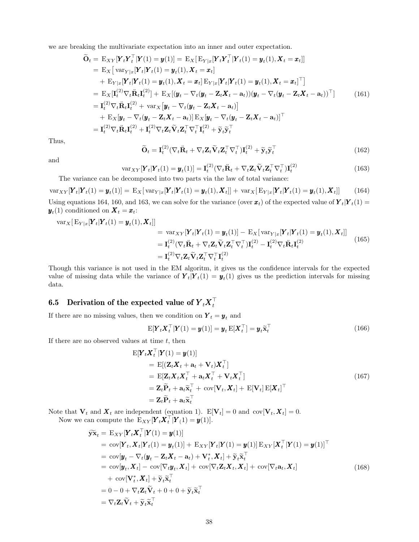we are breaking the multivariate expectation into an inner and outer expectation.

$$
\widetilde{\mathbf{O}}_t = \mathbf{E}_{XY}[\mathbf{Y}_t \mathbf{Y}_t^\top | \mathbf{Y}(1) = \mathbf{y}(1)] = \mathbf{E}_X[\mathbf{E}_{Y|x}[\mathbf{Y}_t \mathbf{Y}_t^\top | \mathbf{Y}_t(1) = \mathbf{y}_t(1), \mathbf{X}_t = \mathbf{x}_t]]
$$
\n
$$
= \mathbf{E}_X[\text{var}_{Y|x}[\mathbf{Y}_t | \mathbf{Y}_t(1) = \mathbf{y}_t(1), \mathbf{X}_t = \mathbf{x}_t]
$$
\n
$$
+ \mathbf{E}_{Y|x}[\mathbf{Y}_t | \mathbf{Y}_t(1) = \mathbf{y}_t(1), \mathbf{X}_t = \mathbf{x}_t] \mathbf{E}_{Y|x}[\mathbf{Y}_t | \mathbf{Y}_t(1) = \mathbf{y}_t(1), \mathbf{X}_t = \mathbf{x}_t]^\top]
$$
\n
$$
= \mathbf{E}_X[\mathbf{I}_t^{(2)} \nabla_t \ddot{\mathbf{R}}_t \mathbf{I}_t^{(2)}] + \mathbf{E}_X[(\mathbf{y}_t - \nabla_t (\mathbf{y}_t - \mathbf{Z}_t \mathbf{X}_t - \mathbf{a}_t)) (\mathbf{y}_t - \nabla_t (\mathbf{y}_t - \mathbf{Z}_t \mathbf{X}_t - \mathbf{a}_t))^\top] \qquad (161)
$$
\n
$$
= \mathbf{I}_t^{(2)} \nabla_t \ddot{\mathbf{R}}_t \mathbf{I}_t^{(2)} + \text{var}_X [\mathbf{y}_t - \nabla_t (\mathbf{y}_t - \mathbf{Z}_t \mathbf{X}_t - \mathbf{a}_t)]
$$
\n
$$
+ \mathbf{E}_X[\mathbf{y}_t - \nabla_t (\mathbf{y}_t - \mathbf{Z}_t \mathbf{X}_t - \mathbf{a}_t)] \mathbf{E}_X[\mathbf{y}_t - \nabla_t (\mathbf{y}_t - \mathbf{Z}_t \mathbf{X}_t - \mathbf{a}_t)]^\top
$$
\n
$$
= \mathbf{I}_t^{(2)} \nabla_t \ddot{\mathbf{R}}_t \mathbf{I}_t^{(2)} + \mathbf{I}_t^{(2)} \nabla_t \math
$$

Thus,

and

$$
\widetilde{\mathbf{O}}_t = \mathbf{I}_t^{(2)} (\nabla_t \ddot{\mathbf{R}}_t + \nabla_t \mathbf{Z}_t \widetilde{\mathbf{V}}_t \mathbf{Z}_t^\top \nabla_t^\top) \mathbf{I}_t^{(2)} + \widetilde{\mathbf{y}}_t \widetilde{\mathbf{y}}_t^\top
$$
\n(162)

$$
\text{var}_{XY}[\mathbf{Y}_t|\mathbf{Y}_t(1) = \mathbf{y}_t(1)] = \mathbf{I}_t^{(2)} (\nabla_t \ddot{\mathbf{R}}_t + \nabla_t \mathbf{Z}_t \widetilde{\mathbf{V}}_t \mathbf{Z}_t^\top \nabla_t^\top) \mathbf{I}_t^{(2)} \tag{163}
$$

The variance can be decomposed into two parts via the law of total variance:

 $\text{var}_{XY}[\mathbf{Y}_t | \mathbf{Y}_t(1) = \mathbf{y}_t(1)] = \text{E}_X[\text{var}_{Y|x}[\mathbf{Y}_t | \mathbf{Y}_t(1) = \mathbf{y}_t(1), \mathbf{X}_t]] + \text{var}_X[\text{E}_{Y|x}[\mathbf{Y}_t | \mathbf{Y}_t(1) = \mathbf{y}_t(1), \mathbf{X}_t]]$  (164) Using equations 164, 160, and 163, we can solve for the variance (over  $x_t$ ) of the expected value of  $Y_t|Y_t(1) =$  $\mathbf{y}_t(1)$  conditioned on  $\mathbf{X}_t = \mathbf{x}_t$ :

$$
\begin{split} \text{var}_{X}[\mathbf{E}_{Y|x}[\mathbf{Y}_{t}(\mathbf{1}) = \mathbf{y}_{t}(1), \mathbf{X}_{t}]] \\ &= \text{var}_{XY}[\mathbf{Y}_{t}|\mathbf{Y}_{t}(1) = \mathbf{y}_{t}(1)] - \mathbf{E}_{X}[\text{var}_{Y|x}[\mathbf{Y}_{t}|\mathbf{Y}_{t}(1) = \mathbf{y}_{t}(1), \mathbf{X}_{t}]] \\ &= \mathbf{I}_{t}^{(2)}(\nabla_{t}\ddot{\mathbf{R}}_{t} + \nabla_{t}\mathbf{Z}_{t}\widetilde{\mathbf{V}}_{t}\mathbf{Z}_{t}^{\top}\nabla_{t}^{\top})\mathbf{I}_{t}^{(2)} - \mathbf{I}_{t}^{(2)}\nabla_{t}\ddot{\mathbf{R}}_{t}\mathbf{I}_{t}^{(2)} \\ &= \mathbf{I}_{t}^{(2)}\nabla_{t}\mathbf{Z}_{t}\widetilde{\mathbf{V}}_{t}\mathbf{Z}_{t}^{\top}\nabla_{t}^{\top}\mathbf{I}_{t}^{(2)} \end{split} \tag{165}
$$

Though this variance is not used in the EM algoritm, it gives us the confidence intervals for the expected value of missing data while the variance of  $Y_t|Y_t(1) = y_t(1)$  gives us the prediction intervals for missing data.

#### 6.5 Derivation of the expected value of  ${Y}_{t} {X}_{t}^{\top}$ t

If there are no missing values, then we condition on  $Y_t = y_t$  and

$$
\mathbf{E}[\boldsymbol{Y}_t \boldsymbol{X}_t^\top | \boldsymbol{Y}(1) = \boldsymbol{y}(1)] = \boldsymbol{y}_t \mathbf{E}[\boldsymbol{X}_t^\top] = \boldsymbol{y}_t \widetilde{\mathbf{x}}_t^\top
$$
\n(166)

If there are no observed values at time  $t$ , then

$$
E[\boldsymbol{Y}_t \boldsymbol{X}_t^\top | \boldsymbol{Y}(1) = \boldsymbol{y}(1)]
$$
  
\n
$$
= E[(\boldsymbol{Z}_t \boldsymbol{X}_t + \boldsymbol{a}_t + \boldsymbol{V}_t) \boldsymbol{X}_t^\top]
$$
  
\n
$$
= E[\boldsymbol{Z}_t \boldsymbol{X}_t \boldsymbol{X}_t^\top + \boldsymbol{a}_t \boldsymbol{X}_t^\top + \boldsymbol{V}_t \boldsymbol{X}_t^\top]
$$
  
\n
$$
= \boldsymbol{Z}_t \widetilde{\boldsymbol{P}}_t + \boldsymbol{a}_t \widetilde{\boldsymbol{x}}_t^\top + \operatorname{cov}[\boldsymbol{V}_t, \boldsymbol{X}_t] + E[\boldsymbol{V}_t] E[\boldsymbol{X}_t]^\top
$$
  
\n
$$
= \boldsymbol{Z}_t \widetilde{\boldsymbol{P}}_t + \boldsymbol{a}_t \widetilde{\boldsymbol{x}}_t^\top
$$
\n(167)

Note that  $V_t$  and  $\boldsymbol{X}_t$  are independent (equation 1).  $E[V_t] = 0$  and  $cov[V_t, \boldsymbol{X}_t] = 0$ . Now we can compute the  $E_{XY}[\boldsymbol{Y}_t \boldsymbol{X}_t^\top | \boldsymbol{Y}_1] = \boldsymbol{y}(1)].$ 

$$
\widetilde{\mathbf{y}}\widetilde{\mathbf{x}}_t = \mathbf{E}_{XY}[\mathbf{Y}_t \mathbf{X}_t^\top | \mathbf{Y}(1) = \mathbf{y}(1)] \n= \text{cov}[\mathbf{Y}_t, \mathbf{X}_t | \mathbf{Y}_t(1) = \mathbf{y}_t(1)] + \mathbf{E}_{XY}[\mathbf{Y}_t | \mathbf{Y}(1) = \mathbf{y}(1)] \mathbf{E}_{XY}[\mathbf{X}_t^\top | \mathbf{Y}(1) = \mathbf{y}(1)]^\top \n= \text{cov}[\mathbf{y}_t - \nabla_t(\mathbf{y}_t - \mathbf{Z}_t \mathbf{X}_t - \mathbf{a}_t) + \mathbf{V}_t^*, \mathbf{X}_t] + \widetilde{\mathbf{y}}_t \widetilde{\mathbf{x}}_t^\top \n= \text{cov}[\mathbf{y}_t, \mathbf{X}_t] - \text{cov}[\nabla_t \mathbf{y}_t, \mathbf{X}_t] + \text{cov}[\nabla_t \mathbf{Z}_t \mathbf{X}_t, \mathbf{X}_t] + \text{cov}[\nabla_t \mathbf{a}_t, \mathbf{X}_t] \n+ \text{cov}[\mathbf{V}_t^*, \mathbf{X}_t] + \widetilde{\mathbf{y}}_t \widetilde{\mathbf{x}}_t^\top \n= 0 - 0 + \nabla_t \mathbf{Z}_t \widetilde{\mathbf{V}}_t + 0 + 0 + \widetilde{\mathbf{y}}_t \widetilde{\mathbf{x}}_t^\top \n= \nabla_t \mathbf{Z}_t \widetilde{\mathbf{V}}_t + \widetilde{\mathbf{y}}_t \widetilde{\mathbf{x}}_t^\top
$$
\n(168)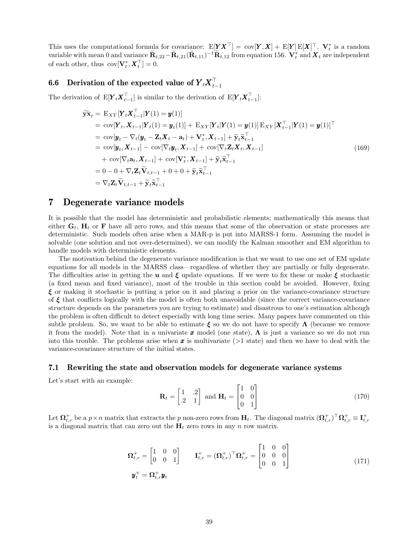This uses the computational formula for covariance:  $E[\underline{Y} \underline{X}^{\top}] = cov[\underline{Y}, \underline{X}] + E[\underline{Y}] E[\underline{X}]^{\top}$ .  $V_t^*$  is a random variable with mean 0 and variance  $\ddot{\mathbf{R}}_{t,22} - \ddot{\mathbf{R}}_{t,21} (\ddot{\mathbf{R}}_{t,11})^{-1} \ddot{\mathbf{R}}_{t,12}$  from equation 156.  $\dot{\mathbf{V}}_t^*$  and  $\boldsymbol{X}_t$  are independent of each other, thus  $\text{cov}[\mathbf{V}_t^*, \boldsymbol{X}_t^\top] = 0.$ 

#### 6.6 Derivation of the expected value of  ${Y}_{t} {X}_{t-}^{\top}$  $t-1$

The derivation of  $E[Y_t X_{t-1}^{\top}]$  is similar to the derivation of  $E[Y_t X_{t-1}^{\top}]$ :

$$
\widetilde{\mathbf{y}}\widetilde{\mathbf{x}}_{t} = \mathbf{E}_{XY}[\mathbf{Y}_{t}\mathbf{X}_{t-1}^{\top}|\mathbf{Y}(1) = \mathbf{y}(1)] \n= \text{cov}[\mathbf{Y}_{t}, \mathbf{X}_{t-1}|\mathbf{Y}_{t}(1) = \mathbf{y}_{t}(1)] + \mathbf{E}_{XY}[\mathbf{Y}_{t}|\mathbf{Y}(1) = \mathbf{y}(1)]\mathbf{E}_{XY}[\mathbf{X}_{t-1}^{\top}|\mathbf{Y}(1) = \mathbf{y}(1)]^{\top} \n= \text{cov}[\mathbf{y}_{t} - \nabla_{t}(\mathbf{y}_{t} - \mathbf{Z}_{t}\mathbf{X}_{t} - \mathbf{a}_{t}) + \mathbf{V}_{t}^{*}, \mathbf{X}_{t-1}] + \widetilde{\mathbf{y}}_{t}\widetilde{\mathbf{x}}_{t-1}^{\top} \n= \text{cov}[\mathbf{y}_{t}, \mathbf{X}_{t-1}] - \text{cov}[\nabla_{t}\mathbf{y}_{t}, \mathbf{X}_{t-1}] + \text{cov}[\nabla_{t}\mathbf{Z}_{t}\mathbf{X}_{t}, \mathbf{X}_{t-1}] \n+ \text{cov}[\nabla_{t}\mathbf{a}_{t}, \mathbf{X}_{t-1}] + \text{cov}[\mathbf{V}_{t}^{*}, \mathbf{X}_{t-1}] + \widetilde{\mathbf{y}}_{t}\widetilde{\mathbf{x}}_{t-1}^{\top} \n= 0 - 0 + \nabla_{t}\mathbf{Z}_{t}\widetilde{\mathbf{V}}_{t,t-1} + 0 + 0 + \widetilde{\mathbf{y}}_{t}\widetilde{\mathbf{x}}_{t-1}^{\top} \n= \nabla_{t}\mathbf{Z}_{t}\widetilde{\mathbf{V}}_{t,t-1} + \widetilde{\mathbf{y}}_{t}\widetilde{\mathbf{x}}_{t-1}^{\top}
$$
\n(169)

### 7 Degenerate variance models

It is possible that the model has deterministic and probabilistic elements; mathematically this means that either  $G_t$ ,  $H_t$  or F have all zero rows, and this means that some of the observation or state processes are deterministic. Such models often arise when a MAR-p is put into MARSS-1 form. Assuming the model is solvable (one solution and not over-determined), we can modify the Kalman smoother and EM algorithm to handle models with deterministic elements.

The motivation behind the degenerate variance modification is that we want to use one set of EM update equations for all models in the MARSS class—regardless of whether they are partially or fully degenerate. The difficulties arise in getting the **u** and  $\xi$  update equations. If we were to fix these or make  $\xi$  stochastic (a fixed mean and fixed variance), most of the trouble in this section could be avoided. However, fixing  $\xi$  or making it stochastic is putting a prior on it and placing a prior on the variance-covariance structure of  $\xi$  that conflicts logically with the model is often both unavoidable (since the correct variance-covariance structure depends on the parameters you are trying to estimate) and disastrous to one's estimation although the problem is often difficult to detect especially with long time series. Many papers have commented on this subtle problem. So, we want to be able to estimate  $\xi$  so we do not have to specify  $\Lambda$  (because we remove it from the model). Note that in a univariate x model (one state),  $\Lambda$  is just a variance so we do not run into this trouble. The problems arise when  $x$  is multivariate ( $>1$  state) and then we have to deal with the variance-covariance structure of the initial states.

#### 7.1 Rewriting the state and observation models for degenerate variance systems

Let's start with an example:

$$
\mathbf{R}_t = \begin{bmatrix} 1 & .2 \\ .2 & 1 \end{bmatrix} \text{ and } \mathbf{H}_t = \begin{bmatrix} 1 & 0 \\ 0 & 0 \\ 0 & 1 \end{bmatrix}
$$
(170)

Let  $\mathbf{\Omega}_{t,r}^+$  be a  $p \times n$  matrix that extracts the p non-zero rows from  $\mathbf{H}_t$ . The diagonal matrix  $(\mathbf{\Omega}_{t,r}^+)^\top \mathbf{\Omega}_{t,r}^+ \equiv \mathbf{I}_{t,r}^+$ is a diagonal matrix that can zero out the  $H_t$  zero rows in any n row matrix.

$$
\begin{aligned}\n\boldsymbol{\Omega}_{t,r}^{+} &= \begin{bmatrix} 1 & 0 & 0 \\ 0 & 0 & 1 \end{bmatrix} & \mathbf{I}_{t,r}^{+} = (\boldsymbol{\Omega}_{t,r}^{+})^{\top} \boldsymbol{\Omega}_{t,r}^{+} = \begin{bmatrix} 1 & 0 & 0 \\ 0 & 0 & 0 \\ 0 & 0 & 1 \end{bmatrix} \\
\boldsymbol{y}_{t}^{+} &= \boldsymbol{\Omega}_{t,r}^{+} \boldsymbol{y}_{t}\n\end{aligned} \tag{171}
$$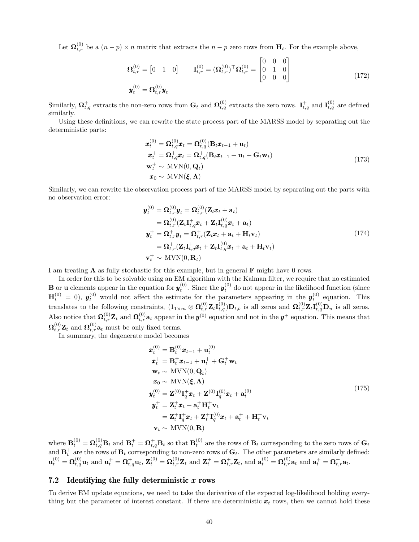Let  $\mathbf{\Omega}_{t,r}^{(0)}$  be a  $(n-p) \times n$  matrix that extracts the  $n-p$  zero rows from  $\mathbf{H}_t$ . For the example above,

$$
\mathbf{\Omega}_{t,r}^{(0)} = \begin{bmatrix} 0 & 1 & 0 \end{bmatrix} \qquad \mathbf{I}_{t,r}^{(0)} = (\mathbf{\Omega}_{t,r}^{(0)})^\top \mathbf{\Omega}_{t,r}^{(0)} = \begin{bmatrix} 0 & 0 & 0 \\ 0 & 1 & 0 \\ 0 & 0 & 0 \end{bmatrix}
$$
\n
$$
\mathbf{y}_{t}^{(0)} = \mathbf{\Omega}_{t,r}^{(0)} \mathbf{y}_{t} \qquad (172)
$$

Similarly,  $\mathbf{\Omega}_{t,q}^+$  extracts the non-zero rows from  $\mathbf{G}_t$  and  $\mathbf{\Omega}_{t,q}^{(0)}$  extracts the zero rows.  $\mathbf{I}_{t,q}^+$  and  $\mathbf{I}_{t,q}^{(0)}$  are defined similarly.

Using these definitions, we can rewrite the state process part of the MARSS model by separating out the deterministic parts:

$$
\mathbf{x}_{t}^{(0)} = \mathbf{\Omega}_{t,q}^{(0)} \mathbf{x}_{t} = \mathbf{\Omega}_{t,q}^{(0)} (\mathbf{B}_{t} \mathbf{x}_{t-1} + \mathbf{u}_{t})
$$
\n
$$
\mathbf{x}_{t}^{+} = \mathbf{\Omega}_{t,q}^{+} \mathbf{x}_{t} = \mathbf{\Omega}_{t,q}^{+} (\mathbf{B}_{t} \mathbf{x}_{t-1} + \mathbf{u}_{t} + \mathbf{G}_{t} \mathbf{w}_{t})
$$
\n
$$
\mathbf{w}_{t}^{+} \sim \text{MVN}(0, \mathbf{Q}_{t})
$$
\n
$$
\mathbf{x}_{0} \sim \text{MVN}(\xi, \Lambda)
$$
\n(173)

Similarly, we can rewrite the observation process part of the MARSS model by separating out the parts with no observation error:

$$
\mathbf{y}_t^{(0)} = \mathbf{\Omega}_{t,r}^{(0)} \mathbf{y}_t = \mathbf{\Omega}_{t,r}^{(0)} (\mathbf{Z}_t \mathbf{x}_t + \mathbf{a}_t) \n= \mathbf{\Omega}_{t,r}^{(0)} (\mathbf{Z}_t \mathbf{I}_{t,q}^+ \mathbf{x}_t + \mathbf{Z}_t \mathbf{I}_{t,q}^{(0)} \mathbf{x}_t + \mathbf{a}_t) \n\mathbf{y}_t^+ = \mathbf{\Omega}_{t,r}^+ \mathbf{y}_t = \mathbf{\Omega}_{t,r}^+ (\mathbf{Z}_t \mathbf{x}_t + \mathbf{a}_t + \mathbf{H}_t \mathbf{v}_t) \n= \mathbf{\Omega}_{t,r}^+ (\mathbf{Z}_t \mathbf{I}_{t,q}^+ \mathbf{x}_t + \mathbf{Z}_t \mathbf{I}_{t,q}^{(0)} \mathbf{x}_t + \mathbf{a}_t + \mathbf{H}_t \mathbf{v}_t) \n\mathbf{v}_t^+ \sim \text{MVN}(0, \mathbf{R}_t)
$$
\n(174)

I am treating  $\Lambda$  as fully stochastic for this example, but in general F might have 0 rows.

In order for this to be solvable using an EM algorithm with the Kalman filter, we require that no estimated **B** or **u** elements appear in the equation for  $y_t^{(0)}$ . Since the  $y_t^{(0)}$  do not appear in the likelihood function (since  $\mathbf{H}_t^{(0)} = 0$ ,  $\mathbf{y}_t^{(0)}$  would not affect the estimate for the parameters appearing in the  $\mathbf{y}_t^{(0)}$  equation. This translates to the following constraints,  $(1_{1\times m} \otimes \Omega_{t,r}^{(0)} \mathbf{Z}_t \mathbf{I}_{t,q}^{(0)}) \mathbf{D}_{t,b}$  is all zeros and  $\Omega_{t,r}^{(0)} \mathbf{Z}_t \mathbf{I}_{t,q}^{(0)} \mathbf{D}_u$  is all zeros. Also notice that  $\Omega_{t,r}^{(0)}\mathbf{Z}_t$  and  $\Omega_{t,r}^{(0)}\mathbf{a}_t$  appear in the  $\mathbf{y}^{(0)}$  equation and not in the  $\mathbf{y}^+$  equation. This means that  $\mathbf{\Omega}_{t,r}^{(0)}\mathbf{Z}_t$  and  $\mathbf{\Omega}_{t,r}^{(0)}\mathbf{a}_t$  must be only fixed terms.

In summary, the degenerate model becomes

$$
\mathbf{x}_{t}^{(0)} = \mathbf{B}_{t}^{(0)} \mathbf{x}_{t-1} + \mathbf{u}_{t}^{(0)} \n\mathbf{x}_{t}^{+} = \mathbf{B}_{t}^{+} \mathbf{x}_{t-1} + \mathbf{u}_{t}^{+} + \mathbf{G}_{t}^{+} \mathbf{w}_{t} \n\mathbf{w}_{t} \sim \text{MVN}(0, \mathbf{Q}_{t}) \n\mathbf{x}_{0} \sim \text{MVN}(\boldsymbol{\xi}, \boldsymbol{\Lambda}) \n\mathbf{y}_{t}^{(0)} = \mathbf{Z}^{(0)} \mathbf{I}_{q}^{+} \mathbf{x}_{t} + \mathbf{Z}^{(0)} \mathbf{I}_{q}^{(0)} \mathbf{x}_{t} + \mathbf{a}_{t}^{(0)} \n\mathbf{y}_{t}^{+} = \mathbf{Z}_{t}^{+} \mathbf{x}_{t} + \mathbf{a}_{t}^{+} \mathbf{H}_{t}^{+} \mathbf{v}_{t} \n= \mathbf{Z}_{t}^{+} \mathbf{I}_{q}^{+} \mathbf{x}_{t} + \mathbf{Z}_{t}^{+} \mathbf{I}_{q}^{(0)} \mathbf{x}_{t} + \mathbf{a}_{t}^{+} + \mathbf{H}_{t}^{+} \mathbf{v}_{t} \n\mathbf{v}_{t} \sim \text{MVN}(0, \mathbf{R})
$$
\n(175)

where  $\mathbf{B}_t^{(0)} = \mathbf{\Omega}_{t,q}^{(0)} \mathbf{B}_t$  and  $\mathbf{B}_t^+ = \mathbf{\Omega}_{t,q}^+ \mathbf{B}_t$  so that  $\mathbf{B}_t^{(0)}$  are the rows of  $\mathbf{B}_t$  corresponding to the zero rows of  $\mathbf{G}_t$ and  $\mathbf{B}_t^+$  are the rows of  $\mathbf{B}_t$  corresponding to non-zero rows of  $\mathbf{G}_t$ . The other parameters are similarly defined:  ${\bf u}_t^{(0)} = {\bf \Omega}_{t,q}^{(0)}{\bf u}_t \text{ and } {\bf u}_t^+ = {\bf \Omega}_{t,q}^+{\bf u}_t,$   ${\bf Z}_t^{(0)} = {\bf \Omega}_{t,r}^{(0)}{\bf Z}_t \text{ and } {\bf Z}_t^+ = {\bf \Omega}_{t,r}^+{\bf Z}_t,$  and  ${\bf a}_t^{(0)} = {\bf \Omega}_{t,r}^{(0)}{\bf a}_t$  and  ${\bf a}_t^+ = {\bf \Omega}_{t,r}^+{\bf a}_t.$ 

#### 7.2 Identifying the fully deterministic  $x$  rows

To derive EM update equations, we need to take the derivative of the expected log-likelihood holding everything but the parameter of interest constant. If there are deterministic  $x_t$  rows, then we cannot hold these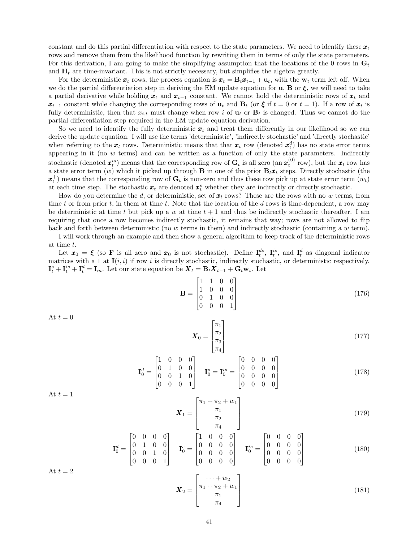constant and do this partial differentiation with respect to the state parameters. We need to identify these  $x_t$ rows and remove them from the likelihood function by rewriting them in terms of only the state parameters. For this derivation, I am going to make the simplifying assumption that the locations of the 0 rows in  $\mathbf{G}_t$ and  $H_t$  are time-invariant. This is not strictly necessary, but simplifies the algebra greatly.

For the deterministic  $x_t$  rows, the process equation is  $x_t = B_t x_{t-1} + u_t$ , with the  $w_t$  term left off. When we do the partial differentiation step in deriving the EM update equation for **u**, **B** or  $\xi$ , we will need to take a partial derivative while holding  $x_t$  and  $x_{t-1}$  constant. We cannot hold the deterministic rows of  $x_t$  and  $x_{t-1}$  constant while changing the corresponding rows of  $u_t$  and  $B_t$  (or  $\xi$  if  $t = 0$  or  $t = 1$ ). If a row of  $x_t$  is fully deterministic, then that  $x_{i,t}$  must change when row i of  $\mathbf{u}_t$  or  $\mathbf{B}_t$  is changed. Thus we cannot do the partial differentiation step required in the EM update equation derivation.

So we need to identify the fully deterministic  $x_t$  and treat them differently in our likelihood so we can derive the update equation. I will use the terms 'deterministic', 'indirectly stochastic' and 'directly stochastic' when referring to the  $x_t$  rows. Deterministic means that that  $x_t$  row (denoted  $x_t^d$ ) has no state error terms appearing in it (no  $w$  terms) and can be written as a function of only the state parameters. Indirectly stochastic (denoted  $\boldsymbol{x}_t^{is}$ ) means that the corresponding row of  $\mathbf{G}_t$  is all zero (an  $\boldsymbol{x}_t^{(0)}$  row), but the  $\boldsymbol{x}_t$  row has a state error term (w) which it picked up through **B** in one of the prior  $\mathbf{B}_t \mathbf{x}_t$  steps. Directly stochastic (the  $\pmb{x}_t^+$ ) means that the corresponding row of  $\mathbf{G}_t$  is non-zero and thus these row pick up at state error term  $(w_t)$ at each time step. The stochastic  $x_t$  are denoted  $x_t^s$  whether they are indirectly or directly stochastic.

How do you determine the d, or deterministic, set of  $x_t$  rows? These are the rows with no w terms, from time t or from prior t, in them at time t. Note that the location of the  $d$  rows is time-dependent, a row may be deterministic at time t but pick up a w at time  $t + 1$  and thus be indirectly stochastic thereafter. I am requiring that once a row becomes indirectly stochastic, it remains that way; rows are not allowed to flip back and forth between deterministic (no w terms in them) and indirectly stochastic (containing a w term).

I will work through an example and then show a general algorithm to keep track of the deterministic rows at time t.

Let  $x_0 = \xi$  (so **F** is all zero and  $x_0$  is not stochastic). Define  $I_t^{ds}$ ,  $I_t^{is}$ , and  $I_t^d$  as diagonal indicator matrices with a 1 at  $I(i, i)$  if row i is directly stochastic, indirectly stochastic, or deterministic respectively.  $\mathbf{I}_t^s + \mathbf{I}_t^{is} + \mathbf{I}_t^d = \mathbf{I}_m$ . Let our state equation be  $\mathbf{X}_t = \mathbf{B}_t \mathbf{X}_{t-1} + \mathbf{G}_t \mathbf{w}_t$ . Let

$$
\mathbf{B} = \begin{bmatrix} 1 & 1 & 0 & 0 \\ 1 & 0 & 0 & 0 \\ 0 & 1 & 0 & 0 \\ 0 & 0 & 0 & 1 \end{bmatrix}
$$
(176)

At  $t = 0$ 

$$
\boldsymbol{X}_0 = \begin{bmatrix} \pi_1 \\ \pi_2 \\ \pi_3 \\ \pi_4 \end{bmatrix} \tag{177}
$$

$$
\mathbf{I}_0^d = \begin{bmatrix} 1 & 0 & 0 & 0 \\ 0 & 1 & 0 & 0 \\ 0 & 0 & 1 & 0 \\ 0 & 0 & 0 & 1 \end{bmatrix} \quad \mathbf{I}_0^s = \mathbf{I}_0^{is} = \begin{bmatrix} 0 & 0 & 0 & 0 \\ 0 & 0 & 0 & 0 \\ 0 & 0 & 0 & 0 \\ 0 & 0 & 0 & 0 \end{bmatrix}
$$
(178)

$$
At t = 1
$$

$$
\boldsymbol{X}_1 = \begin{bmatrix} \pi_1 + \pi_2 + w_1 \\ \pi_1 \\ \pi_2 \\ \pi_4 \end{bmatrix} \tag{179}
$$

$$
\mathbf{I}_{0}^{d} = \begin{bmatrix} 0 & 0 & 0 & 0 \\ 0 & 1 & 0 & 0 \\ 0 & 0 & 1 & 0 \\ 0 & 0 & 0 & 1 \end{bmatrix} \quad \mathbf{I}_{0}^{s} = \begin{bmatrix} 1 & 0 & 0 & 0 \\ 0 & 0 & 0 & 0 \\ 0 & 0 & 0 & 0 \\ 0 & 0 & 0 & 0 \end{bmatrix} \quad \mathbf{I}_{0}^{is} = \begin{bmatrix} 0 & 0 & 0 & 0 \\ 0 & 0 & 0 & 0 \\ 0 & 0 & 0 & 0 \\ 0 & 0 & 0 & 0 \end{bmatrix}
$$
(180)

At  $t = 2$ 

$$
\boldsymbol{X}_2 = \begin{bmatrix} \cdots + w_2 \\ \pi_1 + \pi_2 + w_1 \\ \pi_1 \\ \pi_4 \end{bmatrix} \tag{181}
$$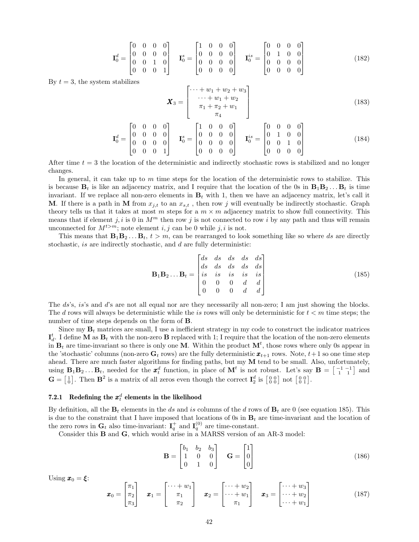$$
\mathbf{I}_{0}^{d} = \begin{bmatrix} 0 & 0 & 0 & 0 \\ 0 & 0 & 0 & 0 \\ 0 & 0 & 1 & 0 \\ 0 & 0 & 0 & 1 \end{bmatrix} \quad \mathbf{I}_{0}^{s} = \begin{bmatrix} 1 & 0 & 0 & 0 \\ 0 & 0 & 0 & 0 \\ 0 & 0 & 0 & 0 \\ 0 & 0 & 0 & 0 \end{bmatrix} \quad \mathbf{I}_{0}^{is} = \begin{bmatrix} 0 & 0 & 0 & 0 \\ 0 & 1 & 0 & 0 \\ 0 & 0 & 0 & 0 \\ 0 & 0 & 0 & 0 \end{bmatrix}
$$
(182)

By  $t = 3$ , the system stabilizes

$$
\boldsymbol{X}_3 = \begin{bmatrix} \cdots + w_1 + w_2 + w_3 \\ \cdots + w_1 + w_2 \\ \pi_1 + \pi_2 + w_1 \\ \pi_4 \end{bmatrix} \tag{183}
$$

$$
\mathbf{I}_{0}^{d} = \begin{bmatrix} 0 & 0 & 0 & 0 \\ 0 & 0 & 0 & 0 \\ 0 & 0 & 0 & 0 \\ 0 & 0 & 0 & 1 \end{bmatrix} \quad \mathbf{I}_{0}^{s} = \begin{bmatrix} 1 & 0 & 0 & 0 \\ 0 & 0 & 0 & 0 \\ 0 & 0 & 0 & 0 \\ 0 & 0 & 0 & 0 \end{bmatrix} \quad \mathbf{I}_{0}^{is} = \begin{bmatrix} 0 & 0 & 0 & 0 \\ 0 & 1 & 0 & 0 \\ 0 & 0 & 1 & 0 \\ 0 & 0 & 0 & 0 \end{bmatrix}
$$
(184)

After time  $t = 3$  the location of the deterministic and indirectly stochastic rows is stabilized and no longer changes.

In general, it can take up to  $m$  time steps for the location of the deterministic rows to stabilize. This is because  $B_t$  is like an adjacency matrix, and I require that the location of the 0s in  $B_1B_2...B_t$  is time invariant. If we replace all non-zero elements in  $B_t$  with 1, then we have an adjacency matrix, let's call it **M**. If there is a path in **M** from  $x_{j,t}$  to an  $x_{s,t}$ , then row j will eventually be indirectly stochastic. Graph theory tells us that it takes at most m steps for a  $m \times m$  adjacency matrix to show full connectivity. This means that if element j, i is 0 in  $M<sup>m</sup>$  then row j is not connected to row i by any path and thus will remain unconnected for  $M^{t>m}$ ; note element i, j can be 0 while j, i is not.

This means that  $\mathbf{B}_1 \mathbf{B}_2 \dots \mathbf{B}_t$ ,  $t > m$ , can be rearranged to look something like so where ds are directly stochastic, *is* are indirectly stochastic, and *d* are fully deterministic:

$$
\mathbf{B}_1 \mathbf{B}_2 \dots \mathbf{B}_t = \begin{bmatrix} ds & ds & ds & ds & ds \\ ds & ds & ds & ds & ds \\ is & is & is & is & is \\ 0 & 0 & 0 & d & d \\ 0 & 0 & 0 & d & d \end{bmatrix}
$$
(185)

The ds's, is's and d's are not all equal nor are they necessarily all non-zero; I am just showing the blocks. The d rows will always be deterministic while the is rows will only be deterministic for  $t < m$  time steps; the number of time steps depends on the form of B.

Since my  $\mathbf{B}_t$  matrices are small, I use a inefficient strategy in my code to construct the indicator matrices  $\mathbf{I}_{d}^{t}$ . I define **M** as  $\mathbf{B}_{t}$  with the non-zero **B** replaced with 1; I require that the location of the non-zero elements in  $B_t$  are time-invariant so there is only one M. Within the product  $M^t$ , those rows where only 0s appear in the 'stochastic' columns (non-zero  $G_t$  rows) are the fully deterministic  $x_{t+1}$  rows. Note,  $t+1$  so one time step ahead. There are much faster algorithms for finding paths, but my  $M$  tend to be small. Also, unfortunately, using  $\mathbf{B}_1 \mathbf{B}_2 \dots \mathbf{B}_t$ , needed for the  $\mathbf{x}_t^d$  function, in place of  $\mathbf{M}^t$  is not robust. Let's say  $\mathbf{B} = \begin{bmatrix} -1 & -1 \\ 1 & 1 \end{bmatrix}$  and  $\mathbf{G} = \begin{bmatrix} 1 \\ 0 \end{bmatrix}$ . Then  $\mathbf{B}^2$  is a matrix of all zeros even though the correct  $\mathbf{I}_2^d$  is  $\begin{bmatrix} 0 & 0 \\ 0 & 0 \end{bmatrix}$  not  $\begin{bmatrix} 0 & 0 \\ 0 & 1 \end{bmatrix}$ .

## 7.2.1 Redefining the  $x_t^d$  elements in the likelihood

By definition, all the  $\mathbf{B}_t$  elements in the ds and is columns of the d rows of  $\mathbf{B}_t$  are 0 (see equation 185). This is due to the constraint that I have imposed that locations of 0s in  $B_t$  are time-invariant and the location of the zero rows in  $\mathbf{G}_t$  also time-invariant:  $\mathbf{I}_q^+$  and  $\mathbf{I}_q^{(0)}$  are time-constant.

Consider this B and G, which would arise in a MARSS version of an AR-3 model:

$$
\mathbf{B} = \begin{bmatrix} b_1 & b_2 & b_3 \\ 1 & 0 & 0 \\ 0 & 1 & 0 \end{bmatrix} \quad \mathbf{G} = \begin{bmatrix} 1 \\ 0 \\ 0 \end{bmatrix}
$$
(186)

Using  $\mathbf{x}_0 = \boldsymbol{\xi}$ :

$$
\boldsymbol{x}_0 = \begin{bmatrix} \pi_1 \\ \pi_2 \\ \pi_3 \end{bmatrix} \quad \boldsymbol{x}_1 = \begin{bmatrix} \cdots + w_1 \\ \pi_1 \\ \pi_2 \end{bmatrix} \quad \boldsymbol{x}_2 = \begin{bmatrix} \cdots + w_2 \\ \cdots + w_1 \\ \pi_1 \end{bmatrix} \quad \boldsymbol{x}_3 = \begin{bmatrix} \cdots + w_3 \\ \cdots + w_2 \\ \cdots + w_1 \end{bmatrix}
$$
(187)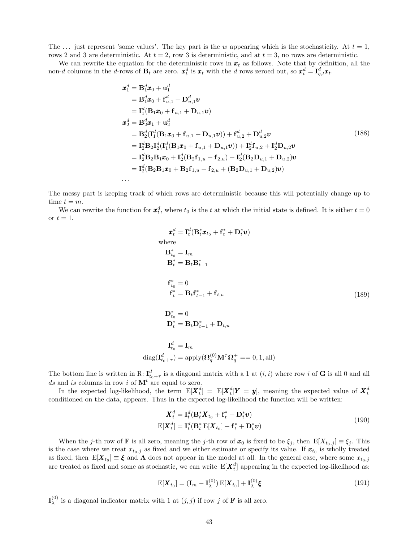The ... just represent 'some values'. The key part is the w appearing which is the stochasticity. At  $t = 1$ , rows 2 and 3 are deterministic. At  $t = 2$ , row 3 is deterministic, and at  $t = 3$ , no rows are deterministic.

We can rewrite the equation for the deterministic rows in  $x_t$  as follows. Note that by definition, all the non-d columns in the d-rows of  $\mathbf{B}_t$  are zero.  $\boldsymbol{x}_t^d$  is  $\boldsymbol{x}_t$  with the d rows zeroed out, so  $\boldsymbol{x}_t^d = \mathbf{I}_{q,t}^d \boldsymbol{x}_t$ .

$$
\mathbf{x}_{1}^{d} = \mathbf{B}_{1}^{d} \mathbf{x}_{0} + \mathbf{u}_{1}^{d}
$$
\n
$$
= \mathbf{B}_{1}^{d} \mathbf{x}_{0} + \mathbf{f}_{u,1}^{d} + \mathbf{D}_{u,1}^{d} \mathbf{v}
$$
\n
$$
= \mathbf{I}_{1}^{d} (\mathbf{B}_{1} \mathbf{x}_{0} + \mathbf{f}_{u,1} + \mathbf{D}_{u,1} \mathbf{v})
$$
\n
$$
\mathbf{x}_{2}^{d} = \mathbf{B}_{2}^{d} \mathbf{x}_{1} + \mathbf{u}_{2}^{d}
$$
\n
$$
= \mathbf{B}_{2}^{d} (\mathbf{I}_{1}^{d} (\mathbf{B}_{1} \mathbf{x}_{0} + \mathbf{f}_{u,1} + \mathbf{D}_{u,1} \mathbf{v})) + \mathbf{f}_{u,2}^{d} + \mathbf{D}_{u,2}^{d} \mathbf{v}
$$
\n
$$
= \mathbf{I}_{2}^{d} \mathbf{B}_{2} \mathbf{I}_{2}^{d} (\mathbf{I}_{1}^{d} (\mathbf{B}_{1} \mathbf{x}_{0} + \mathbf{f}_{u,1} + \mathbf{D}_{u,1} \mathbf{v})) + \mathbf{I}_{2}^{d} \mathbf{f}_{u,2} + \mathbf{I}_{2}^{d} \mathbf{D}_{u,2} \mathbf{v}
$$
\n
$$
= \mathbf{I}_{2}^{d} \mathbf{B}_{2} \mathbf{B}_{1} \mathbf{x}_{0} + \mathbf{I}_{2}^{d} (\mathbf{B}_{2} \mathbf{f}_{1,u} + \mathbf{f}_{2,u}) + \mathbf{I}_{2}^{d} (\mathbf{B}_{2} \mathbf{D}_{u,1} + \mathbf{D}_{u,2}) \mathbf{v}
$$
\n
$$
= \mathbf{I}_{2}^{d} (\mathbf{B}_{2} \mathbf{B}_{1} \mathbf{x}_{0} + \mathbf{B}_{2} \mathbf{f}_{1,u} + \mathbf{f}_{2,u} + (\mathbf{B}_{2} \mathbf{D}_{u,1} + \mathbf{D}_{u,2}) \mathbf{v})
$$
\n...

The messy part is keeping track of which rows are deterministic because this will potentially change up to time  $t = m$ .

We can rewrite the function for  $x_t^d$ , where  $t_0$  is the t at which the initial state is defined. It is either  $t = 0$ or  $t = 1$ .

$$
\mathbf{x}_t^d = \mathbf{I}_t^d (\mathbf{B}_t^* \mathbf{x}_{t_0} + \mathbf{f}_t^* + \mathbf{D}_t^* \mathbf{v})
$$
  
\nwhere  
\n
$$
\mathbf{B}_{t_0}^* = \mathbf{I}_m
$$
  
\n
$$
\mathbf{B}_t^* = \mathbf{B}_t \mathbf{B}_{t-1}^*
$$
  
\n
$$
\mathbf{f}_{t_0}^* = 0
$$
  
\n
$$
\mathbf{f}_t^* = \mathbf{B}_t \mathbf{f}_{t-1}^* + \mathbf{f}_{t,u}
$$
  
\n
$$
\mathbf{D}_{t_0}^* = 0
$$
  
\n
$$
\mathbf{D}_t^* = \mathbf{B}_t \mathbf{D}_{t-1}^* + \mathbf{D}_{t,u}
$$
  
\n
$$
\mathbf{I}_t^d = \mathbf{I}_m
$$
  
\n
$$
\text{diag}(\mathbf{I}_{t_0+\tau}^d) = \text{apply}(\mathbf{\Omega}_q^{(0)} \mathbf{M}^\tau \mathbf{\Omega}_q^+ = 0, 1, \text{all})
$$

The bottom line is written in R:  $I_{t_0+\tau}^d$  is a diagonal matrix with a 1 at  $(i, i)$  where row i of **G** is all 0 and all ds and is columns in row i of  $M<sup>t</sup>$  are equal to zero.

In the expected log-likelihood, the term  $E[\boldsymbol{X}_t^d] = E[\boldsymbol{X}_t^d | \boldsymbol{Y} = \boldsymbol{y}]$ , meaning the expected value of  $\boldsymbol{X}_t^d$ conditioned on the data, appears. Thus in the expected log-likelihood the function will be written:

$$
\mathbf{X}_t^d = \mathbf{I}_t^d (\mathbf{B}_t^* \mathbf{X}_{t_0} + \mathbf{f}_t^* + \mathbf{D}_t^* \mathbf{v})
$$
  
\n
$$
E[\mathbf{X}_t^d] = \mathbf{I}_t^d (\mathbf{B}_t^* E[\mathbf{X}_{t_0}] + \mathbf{f}_t^* + \mathbf{D}_t^* \mathbf{v})
$$
\n(190)

When the j-th row of **F** is all zero, meaning the j-th row of  $\mathbf{x}_0$  is fixed to be  $\xi_i$ , then  $\mathbb{E}[X_{t_0,j}] \equiv \xi_i$ . This is the case where we treat  $x_{t_0,j}$  as fixed and we either estimate or specify its value. If  $x_{t_0}$  is wholly treated as fixed, then  $E[\bm{X}_{t_0}] \equiv \bm{\xi}$  and  $\bm{\Lambda}$  does not appear in the model at all. In the general case, where some  $x_{t_0,j}$ are treated as fixed and some as stochastic, we can write  $E[X_t^d]$  appearing in the expected log-likelihood as:

$$
E[\boldsymbol{X}_{t_0}] = (\mathbf{I}_m - \mathbf{I}_{\lambda}^{(0)}) E[\boldsymbol{X}_{t_0}] + \mathbf{I}_{\lambda}^{(0)} \boldsymbol{\xi}
$$
\n(191)

 ${\bf I}^{(0)}_\lambda$  $\lambda^{(0)}$  is a diagonal indicator matrix with 1 at  $(j, j)$  if row j of **F** is all zero.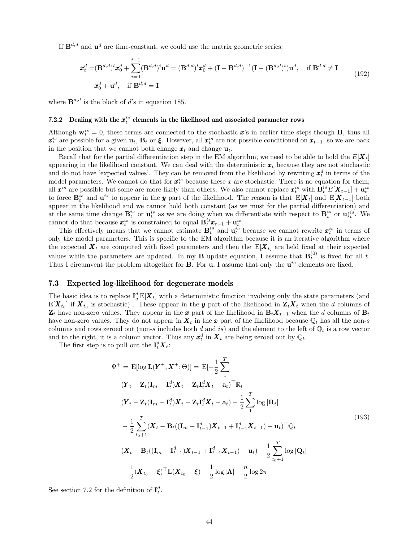If  $\mathbf{B}^{d,d}$  and  $\mathbf{u}^d$  are time-constant, we could use the matrix geometric series:

$$
\boldsymbol{x}_{t}^{d} = (\mathbf{B}^{d,d})^{t} \boldsymbol{x}_{0}^{d} + \sum_{i=0}^{t-1} (\mathbf{B}^{d,d})^{i} \mathbf{u}^{d} = (\mathbf{B}^{d,d})^{t} \boldsymbol{x}_{0}^{d} + (\mathbf{I} - \mathbf{B}^{d,d})^{-1} (\mathbf{I} - (\mathbf{B}^{d,d})^{t}) \mathbf{u}^{d}, \text{ if } \mathbf{B}^{d,d} \neq \mathbf{I}
$$
\n
$$
\boldsymbol{x}_{0}^{d} + \mathbf{u}^{d}, \text{ if } \mathbf{B}^{d,d} = \mathbf{I}
$$
\n(192)

where  $\mathbf{B}^{d,d}$  is the block of d's in equation 185.

## 7.2.2 Dealing with the  $x_i^{is}$  elements in the likelihood and associated parameter rows

Although  $\mathbf{w}_t^{is} = 0$ , these terms are connected to the stochastic  $\mathbf{x}$ 's in earlier time steps though **B**, thus all  $x_t^{is}$  are possible for a given  $\mathbf{u}_t$ ,  $\mathbf{B}_t$  or  $\xi$ . However, all  $x_t^{is}$  are not possible conditioned on  $x_{t-1}$ , so we are back in the position that we cannot both change  $\mathbf{x}_t$  and change  $\mathbf{u}_t$ .

Recall that for the partial differentiation step in the EM algorithm, we need to be able to hold the  $E[X_t]$ appearing in the likelihood constant. We can deal with the deterministic  $x_t$  because they are not stochastic and do not have 'expected values'. They can be removed from the likelihood by rewriting  $x_t^d$  in terms of the model parameters. We cannot do that for  $x_i^{is}$  because these x are stochastic. There is no equation for them; all  $x^{is}$  are possible but some are more likely than others. We also cannot replace  $x_t^{is}$  with  $B_t^{is}E[X_{t-1}] + u_t^{is}$ to force  $\mathbf{B}_t^{is}$  and  $\mathbf{u}^{is}$  to appear in the y part of the likelihood. The reason is that  $\mathbb{E}[\boldsymbol{X}_t]$  and  $\mathbb{E}[\boldsymbol{X}_{t-1}]$  both appear in the likelihood and we cannot hold both constant (as we must for the partial differentiation) and at the same time change  $\mathbf{B}_t^{is}$  or  $\mathbf{u}_t^{is}$  as we are doing when we differentiate with respect to  $\mathbf{B}_t^{is}$  or  $\mathbf{u}_t^{is}$ . We cannot do that because  $\mathbf{x}_t^{is}$  is constrained to equal  $\mathbf{B}_t^{is} \mathbf{x}_{t-1} + \mathbf{u}_t^{is}$ .

This effectively means that we cannot estimate  $\mathbf{B}_t^{is}$  and  $\mathbf{u}_t^{is}$  because we cannot rewrite  $\mathbf{x}_t^{is}$  in terms of only the model parameters. This is specific to the EM algorithm because it is an iterative algorithm where the expected  $\mathbf{X}_t$  are computed with fixed parameters and then the  $E[\mathbf{X}_t]$  are held fixed at their expected values while the parameters are updated. In my **B** update equation, I assume that  $\mathbf{B}_t^{(0)}$  is fixed for all t. Thus I circumvent the problem altogether for **B**. For  $\mathbf{u}$ , I assume that only the  $\mathbf{u}^{is}$  elements are fixed.

#### 7.3 Expected log-likelihood for degenerate models

The basic idea is to replace  $I_q^d E[X_t]$  with a deterministic function involving only the state parameters (and  $E[X_{t_0}]$  if  $X_{t_0}$  is stochastic). These appear in the y part of the likelihood in  $Z_tX_t$  when the d columns of  $\mathbf{Z}_t$  have non-zero values. They appear in the x part of the likelihood in  $\mathbf{B}_t \mathbf{X}_{t-1}$  when the d columns of  $\mathbf{B}_t$ have non-zero values. They do not appear in  $\mathbf{X}_t$  in the x part of the likelihood because  $\mathbb{Q}_t$  has all the non-s columns and rows zeroed out (non-s includes both d and is) and the element to the left of  $\mathbb{Q}_t$  is a row vector and to the right, it is a column vector. Thus any  $x_t^d$  in  $X_t$  are being zeroed out by  $\mathbb{Q}_t$ .

The first step is to pull out the  $\mathbf{I}_t^d \mathbf{X}_t$ :

$$
\Psi^{+} = \mathbb{E}[\log \mathbf{L}(\mathbf{Y}^{+}, \mathbf{X}^{+}; \Theta)] = \mathbb{E}[-\frac{1}{2}\sum_{1}^{T} (Y_{t} - \mathbf{Z}_{t}(\mathbf{I}_{m} - \mathbf{I}_{t}^{d})\mathbf{X}_{t} - \mathbf{Z}_{t}\mathbf{I}_{t}^{d}\mathbf{X}_{t} - \mathbf{a}_{t})^{\top}\mathbb{R}_{t}
$$
\n
$$
(\mathbf{Y}_{t} - \mathbf{Z}_{t}(\mathbf{I}_{m} - \mathbf{I}_{t}^{d})\mathbf{X}_{t} - \mathbf{Z}_{t}\mathbf{I}_{t}^{d}\mathbf{X}_{t} - \mathbf{a}_{t}) - \frac{1}{2}\sum_{1}^{T} \log |\mathbf{R}_{t}|
$$
\n
$$
-\frac{1}{2}\sum_{t_{0}+1}^{T}(\mathbf{X}_{t} - \mathbf{B}_{t}((\mathbf{I}_{m} - \mathbf{I}_{t-1}^{d})\mathbf{X}_{t-1} + \mathbf{I}_{t-1}^{d}\mathbf{X}_{t-1}) - \mathbf{u}_{t})^{\top}\mathbb{Q}_{t}
$$
\n
$$
(\mathbf{X}_{t} - \mathbf{B}_{t}((\mathbf{I}_{m} - \mathbf{I}_{t-1}^{d})\mathbf{X}_{t-1} + \mathbf{I}_{t-1}^{d}\mathbf{X}_{t-1}) - \mathbf{u}_{t}) - \frac{1}{2}\sum_{t_{0}+1}^{T} \log |\mathbf{Q}_{t}|
$$
\n
$$
-\frac{1}{2}(\mathbf{X}_{t_{0}} - \xi)^{\top}\mathbb{L}(\mathbf{X}_{t_{0}} - \xi) - \frac{1}{2}\log |\mathbf{\Lambda}| - \frac{n}{2}\log 2\pi
$$
\n(193)

See section 7.2 for the definition of  $I_t^d$ .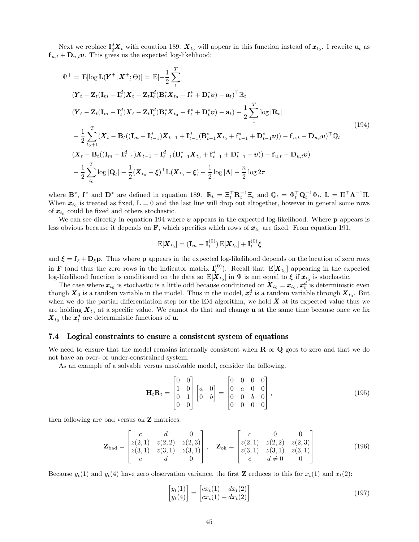Next we replace  $I_q^d X_t$  with equation 189.  $X_{t_0}$  will appear in this function instead of  $x_{t_0}$ . I rewrite  $u_t$  as  $f_{u,t} + D_{u,t}v$ . This gives us the expected log-likelihood:

$$
\Psi^{+} = \mathbb{E}[\log \mathbf{L}(\mathbf{Y}^{+}, \mathbf{X}^{+}; \Theta)] = \mathbb{E}[-\frac{1}{2}\sum_{1}^{T} (Y_{t} - Z_{t}(\mathbf{I}_{m} - \mathbf{I}_{t}^{d})\mathbf{X}_{t} - Z_{t}\mathbf{I}_{t}^{d}(\mathbf{B}_{t}^{*}\mathbf{X}_{t_{0}} + \mathbf{f}_{t}^{*} + \mathbf{D}_{t}^{*}\mathbf{v}) - \mathbf{a}_{t})^{\top}\mathbb{R}_{t}
$$
\n
$$
(\mathbf{Y}_{t} - \mathbf{Z}_{t}(\mathbf{I}_{m} - \mathbf{I}_{t}^{d})\mathbf{X}_{t} - \mathbf{Z}_{t}\mathbf{I}_{t}^{d}(\mathbf{B}_{t}^{*}\mathbf{X}_{t_{0}} + \mathbf{f}_{t}^{*} + \mathbf{D}_{t}^{*}\mathbf{v}) - \mathbf{a}_{t}) - \frac{1}{2}\sum_{1}^{T} \log |\mathbf{R}_{t}|
$$
\n
$$
-\frac{1}{2}\sum_{t_{0}+1}^{T}(\mathbf{X}_{t} - \mathbf{B}_{t}((\mathbf{I}_{m} - \mathbf{I}_{t-1}^{d})\mathbf{X}_{t-1} + \mathbf{I}_{t-1}^{d}(\mathbf{B}_{t-1}^{*}\mathbf{X}_{t_{0}} + \mathbf{f}_{t-1}^{*} + \mathbf{D}_{t-1}^{*}\mathbf{v})) - \mathbf{f}_{u,t} - \mathbf{D}_{u,t}\mathbf{v})^{\top}\mathbb{Q}_{t}
$$
\n
$$
(\mathbf{X}_{t} - \mathbf{B}_{t}((\mathbf{I}_{m} - \mathbf{I}_{t-1}^{d})\mathbf{X}_{t-1} + \mathbf{I}_{t-1}^{d}(\mathbf{B}_{t-1}^{*}\mathbf{X}_{t_{0}} + \mathbf{f}_{t-1}^{*} + \mathbf{D}_{t-1}^{*} + \mathbf{v})) - \mathbf{f}_{u,t} - \mathbf{D}_{u,t}\mathbf{v})
$$
\n
$$
-\frac{1}{2}\sum_{t_{0}}^{T} \log |\mathbf{Q}_{t}| - \frac{1}{2}(\mathbf{X}_{t_{0}} - \xi)^{\top} \mathbb{L}(\mathbf{X}_{t_{0}} - \xi
$$

where  $\mathbf{B}^*$ ,  $\mathbf{f}^*$  and  $\mathbf{D}^*$  are defined in equation 189.  $\mathbb{R}_t = \Xi_t^{\top} \mathbf{R}_t^{-1} \Xi_t$  and  $\mathbb{Q}_t = \Phi_t^{\top} \mathbf{Q}_t^{-1} \Phi_t$ ,  $\mathbb{L} = \Pi^{\top} \mathbf{\Lambda}^{-1} \Pi$ . When  $\boldsymbol{x}_{t_0}$  is treated as fixed,  $\mathbb{L} = 0$  and the last line will drop out altogether, however in general some rows of  $\mathbf{x}_{t_0}$  could be fixed and others stochastic.

We can see directly in equation 194 where  $\boldsymbol{v}$  appears in the expected log-likelihood. Where  $\boldsymbol{p}$  appears is less obvious because it depends on  $\mathbf{F}$ , which specifies which rows of  $\boldsymbol{x}_{t_0}$  are fixed. From equation 191,

$$
\mathrm{E}[\boldsymbol{X}_{t_0}] = (\mathbf{I}_m - \mathbf{I}_l^{(0)}) \mathrm{E}[\boldsymbol{X}_{t_0}] + \mathbf{I}_l^{(0)} \boldsymbol{\xi}
$$

and  $\xi = f_{\xi} + D_{\xi} p$ . Thus where p appears in the expected log-likelihood depends on the location of zero rows in **F** (and thus the zero rows in the indicator matrix  $I_l^{(0)}$ )  $\mathbb{E}[X_{t_0}]$  appearing in the expected log-likelihood function is conditioned on the data so  $E[\boldsymbol{X}_{t_0}]$  in  $\Psi$  is not equal to  $\xi$  if  $\boldsymbol{x}_{t_0}$  is stochastic.

The case where  $\pmb{x}_{t_0}$  is stochastic is a little odd because conditioned on  $\pmb{X}_{t_0} = \pmb{x}_{t_0}, \pmb{x}_t^d$  is deterministic even though  $X_0$  is a random variable in the model. Thus in the model,  $x_t^d$  is a random variable through  $X_{t_0}$ . But when we do the partial differentiation step for the EM algorithm, we hold  $\boldsymbol{X}$  at its expected value thus we are holding  $\bm{X}_{t_0}$  at a specific value. We cannot do that and change **u** at the same time because once we fix  $\boldsymbol{X}_{t_0}$  the  $\boldsymbol{x}_t^d$  are deterministic functions of **u**.

### 7.4 Logical constraints to ensure a consistent system of equations

We need to ensure that the model remains internally consistent when  $R$  or  $Q$  goes to zero and that we do not have an over- or under-constrained system.

As an example of a solvable versus unsolvable model, consider the following.

$$
\mathbf{H}_t \mathbf{R}_t = \begin{bmatrix} 0 & 0 \\ 1 & 0 \\ 0 & 1 \\ 0 & 0 \end{bmatrix} \begin{bmatrix} a & 0 \\ 0 & b \end{bmatrix} = \begin{bmatrix} 0 & 0 & 0 & 0 \\ 0 & a & 0 & 0 \\ 0 & 0 & b & 0 \\ 0 & 0 & 0 & 0 \end{bmatrix},
$$
(195)

then following are bad versus ok Z matrices.

$$
\mathbf{Z}_{\rm bad} = \begin{bmatrix} c & d & 0 \\ z(2,1) & z(2,2) & z(2,3) \\ z(3,1) & z(3,1) & z(3,1) \\ c & d & 0 \end{bmatrix}, \quad \mathbf{Z}_{\rm ok} = \begin{bmatrix} c & 0 & 0 \\ z(2,1) & z(2,2) & z(2,3) \\ z(3,1) & z(3,1) & z(3,1) \\ c & d \neq 0 & 0 \end{bmatrix}
$$
(196)

Because  $y_t(1)$  and  $y_t(4)$  have zero observation variance, the first **Z** reduces to this for  $x_t(1)$  and  $x_t(2)$ :

$$
\begin{bmatrix} y_t(1) \\ y_t(4) \end{bmatrix} = \begin{bmatrix} cx_t(1) + dx_t(2) \\ cx_t(1) + dx_t(2) \end{bmatrix}
$$
\n(197)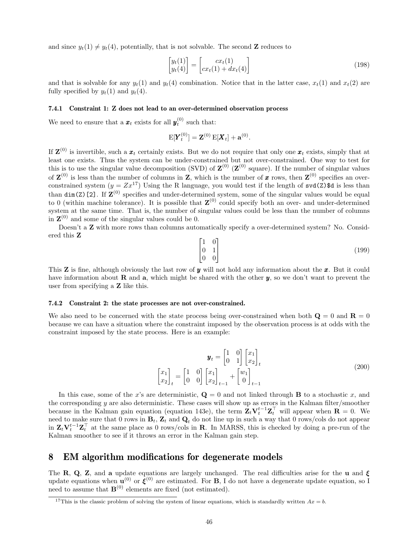and since  $y_t(1) \neq y_t(4)$ , potentially, that is not solvable. The second **Z** reduces to

$$
\begin{bmatrix} y_t(1) \\ y_t(4) \end{bmatrix} = \begin{bmatrix} cx_t(1) \\ cx_t(1) + dx_t(4) \end{bmatrix}
$$
\n(198)

and that is solvable for any  $y_t(1)$  and  $y_t(4)$  combination. Notice that in the latter case,  $x_t(1)$  and  $x_t(2)$  are fully specified by  $y_t(1)$  and  $y_t(4)$ .

#### 7.4.1 Constraint 1: Z does not lead to an over-determined observation process

We need to ensure that a  $\boldsymbol{x}_t$  exists for all  $\boldsymbol{y}_t^{(0)}$  such that:

$$
E[\bm{Y}_t^{(0)}] = \mathbf{Z}^{(0)} E[\bm{X}_t] + \mathbf{a}^{(0)}.
$$

If  $\mathbf{Z}^{(0)}$  is invertible, such a  $\boldsymbol{x}_t$  certainly exists. But we do not require that only one  $\boldsymbol{x}_t$  exists, simply that at least one exists. Thus the system can be under-constrained but not over-constrained. One way to test for this is to use the singular value decomposition (SVD) of  $\mathbf{Z}^{(0)}$  ( $\mathbf{Z}^{(0)}$  square). If the number of singular values of  $\mathbf{Z}^{(0)}$  is less than the number of columns in Z, which is the number of x rows, then  $\mathbf{Z}^{(0)}$  specifies an overconstrained system  $(y = Zx^{17})$  Using the R language, you would test if the length of svd(Z)\$d is less than than  $\dim(Z)$  [2]. If  $Z^{(0)}$  specifies and under-determined system, some of the singular values would be equal to 0 (within machine tolerance). It is possible that  $\mathbf{Z}^{(0)}$  could specify both an over- and under-determined system at the same time. That is, the number of singular values could be less than the number of columns in  $\mathbf{Z}^{(0)}$  and some of the singular values could be 0.

Doesn't a **Z** with more rows than columns automatically specify a over-determined system? No. Considered this Z

$$
\begin{bmatrix} 1 & 0 \\ 0 & 1 \\ 0 & 0 \end{bmatrix} \tag{199}
$$

This **Z** is fine, although obviously the last row of **y** will not hold any information about the **x**. But it could have information about **R** and **a**, which might be shared with the other  $y$ , so we don't want to prevent the user from specifying a Z like this.

#### 7.4.2 Constraint 2: the state processes are not over-constrained.

We also need to be concerned with the state process being over-constrained when both  $\mathbf{Q} = 0$  and  $\mathbf{R} = 0$ because we can have a situation where the constraint imposed by the observation process is at odds with the constraint imposed by the state process. Here is an example:

$$
\mathbf{y}_t = \begin{bmatrix} 1 & 0 \\ 0 & 1 \end{bmatrix} \begin{bmatrix} x_1 \\ x_2 \end{bmatrix}_t
$$

$$
\begin{bmatrix} x_1 \\ x_2 \end{bmatrix}_t = \begin{bmatrix} 1 & 0 \\ 0 & 0 \end{bmatrix} \begin{bmatrix} x_1 \\ x_2 \end{bmatrix}_{t-1} + \begin{bmatrix} w_1 \\ 0 \end{bmatrix}_{t-1}
$$
(200)

In this case, some of the x's are deterministic,  $\mathbf{Q} = 0$  and not linked through **B** to a stochastic x, and the corresponding  $y$  are also deterministic. These cases will show up as errors in the Kalman filter/smoother because in the Kalman gain equation (equation 143e), the term  $\mathbf{Z}_t \mathbf{V}_t^{t-1} \mathbf{Z}_t^\top$  will appear when  $\mathbf{R} = 0$ . We need to make sure that 0 rows in  $B_t$ ,  $Z_t$  and  $Q_t$  do not line up in such a way that 0 rows/cols do not appear in  $\mathbf{Z}_t \mathbf{V}_t^{t-1} \mathbf{Z}_t^{\top}$  at the same place as 0 rows/cols in **R**. In MARSS, this is checked by doing a pre-run of the Kalman smoother to see if it throws an error in the Kalman gain step.

### 8 EM algorithm modifications for degenerate models

The R, Q, Z, and a update equations are largely unchanged. The real difficulties arise for the u and  $\xi$ update equations when  $\mathbf{u}^{(0)}$  or  $\boldsymbol{\xi}^{(0)}$  are estimated. For **B**, I do not have a degenerate update equation, so I need to assume that  $\mathbf{B}^{(0)}$  elements are fixed (not estimated).

<sup>&</sup>lt;sup>17</sup>This is the classic problem of solving the system of linear equations, which is standardly written  $Ax = b$ .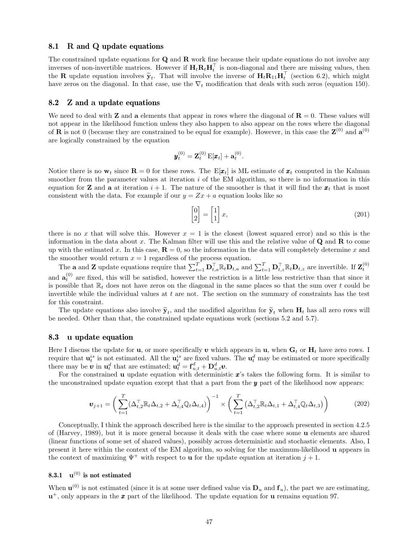#### 8.1 R and Q update equations

The constrained update equations for  $Q$  and  $R$  work fine because their update equations do not involve any inverses of non-invertible matrices. However if  $H_t R_t H_t^\top$  is non-diagonal and there are missing values, then the **R** update equation involves  $\tilde{\mathbf{y}}_t$ . That will involve the inverse of  $\mathbf{H}_t \mathbf{R}_{11} \mathbf{H}_t^\top$  (section 6.2), which might have zeros on the diagonal. In that gase we the  $\nabla$  modification that doals with su have zeros on the diagonal. In that case, use the  $\nabla_t$  modification that deals with such zeros (equation 150).

#### 8.2 Z and a update equations

We need to deal with **Z** and **a** elements that appear in rows where the diagonal of  $\mathbf{R} = 0$ . These values will not appear in the likelihood function unless they also happen to also appear on the rows where the diagonal of **R** is not 0 (because they are constrained to be equal for example). However, in this case the  $\mathbf{Z}^{(0)}$  and  $\mathbf{a}^{(0)}$ are logically constrained by the equation

$$
\bm{y}_t^{(0)} = \mathbf{Z}_t^{(0)} \, \mathrm{E}[\bm{x}_t] + \mathbf{a}_t^{(0)}.
$$

Notice there is no  $w_t$  since  $\mathbf{R} = 0$  for these rows. The  $E[\mathbf{x}_t]$  is ML estimate of  $\mathbf{x}_t$  computed in the Kalman smoother from the parameter values at iteration  $i$  of the EM algorithm, so there is no information in this equation for **Z** and **a** at iteration  $i + 1$ . The nature of the smoother is that it will find the  $x_t$  that is most consistent with the data. For example if our  $y = Zx + a$  equation looks like so

$$
\begin{bmatrix} 0 \\ 2 \end{bmatrix} = \begin{bmatrix} 1 \\ 1 \end{bmatrix} x,\tag{201}
$$

there is no x that will solve this. However  $x = 1$  is the closest (lowest squared error) and so this is the information in the data about x. The Kalman filter will use this and the relative value of  $\bf{Q}$  and  $\bf{R}$  to come up with the estimated x. In this case,  $\mathbf{R} = 0$ , so the information in the data will completely determine x and the smoother would return  $x = 1$  regardless of the process equation.

The **a** and **Z** update equations require that  $\sum_{t=1}^{T} \mathbf{D}_{t,a}^{\top} \mathbb{R}_t \mathbf{D}_{t,a}$  and  $\sum_{t=1}^{T} \mathbf{D}_{t,z}^{\top} \mathbb{R}_t \mathbf{D}_{t,z}$  are invertible. If  $\mathbf{Z}_t^{(0)}$ and  $\mathbf{a}_t^{(0)}$  are fixed, this will be satisfied, however the restriction is a little less restrictive than that since it is possible that  $\mathbb{R}_t$  does not have zeros on the diagonal in the same places so that the sum over t could be invertible while the individual values at  $t$  are not. The section on the summary of constraints has the test for this constraint.

The update equations also involve  $\tilde{\mathbf{y}}_t$ , and the modified algorithm for  $\tilde{\mathbf{y}}_t$  when  $\mathbf{H}_t$  has all zero rows will<br>needed. Other than that, the constrained update equations work (sections 5.2 and 5.7) be needed. Other than that, the constrained update equations work (sections 5.2 and 5.7).

#### 8.3 u update equation

Here I discuss the update for **u**, or more specifically **v** which appears in **u**, when  $G_t$  or  $H_t$  have zero rows. I require that  $\mathbf{u}_t^{is}$  is not estimated. All the  $\mathbf{u}_t^{is}$  are fixed values. The  $\mathbf{u}_t^d$  may be estimated or more specifically there may be  $\boldsymbol{v}$  in  $\mathbf{u}_t^d$  that are estimated;  $\mathbf{u}_t^d = \mathbf{f}_{u,t}^d + \mathbf{D}_{u,t}^d \boldsymbol{v}$ .

For the constrained **u** update equation with deterministic  $x$ 's takes the following form. It is similar to the unconstrained update equation except that that a part from the  $y$  part of the likelihood now appears:

$$
\boldsymbol{v}_{j+1} = \left(\sum_{t=1}^{T} (\Delta_{t,2}^{\top} \mathbb{R}_t \Delta_{t,2} + \Delta_{t,4}^{\top} \mathbb{Q}_t \Delta_{t,4})\right)^{-1} \times \left(\sum_{t=1}^{T} (\Delta_{t,2}^{\top} \mathbb{R}_t \Delta_{t,1} + \Delta_{t,4}^{\top} \mathbb{Q}_t \Delta_{t,3})\right)
$$
(202)

Conceptually, I think the approach described here is the similar to the approach presented in section 4.2.5 of (Harvey, 1989), but it is more general because it deals with the case where some u elements are shared (linear functions of some set of shared values), possibly across deterministic and stochastic elements. Also, I present it here within the context of the EM algorithm, so solving for the maximum-likelihood u appears in the context of maximizing  $\Psi^+$  with respect to **u** for the update equation at iteration  $j + 1$ .

### 8.3.1  $\mathbf{u}^{(0)}$  is not estimated

When  $\mathbf{u}^{(0)}$  is not estimated (since it is at some user defined value via  $\mathbf{D}_u$  and  $\mathbf{f}_u$ ), the part we are estimating,  $\mathbf{u}^+$ , only appears in the  $\boldsymbol{x}$  part of the likelihood. The update equation for  $\mathbf{u}$  remains equation 97.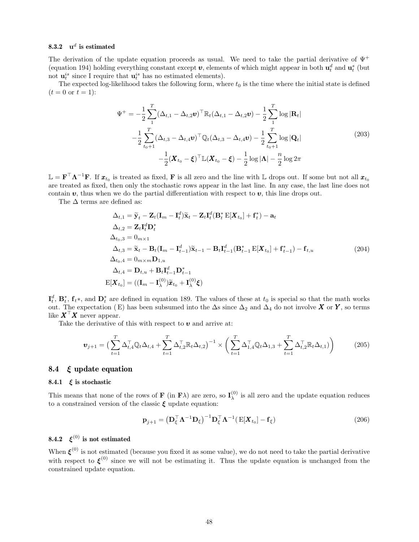### 8.3.2  $\mathbf{u}^d$  is estimated

The derivation of the update equation proceeds as usual. We need to take the partial derivative of  $\Psi^+$ (equation 194) holding everything constant except  $v$ , elements of which might appear in both  $u_t^d$  and  $u_t^s$  (but not  $\mathbf{u}_t^{is}$  since I require that  $\mathbf{u}_t^{is}$  has no estimated elements).

The expected log-likelihood takes the following form, where  $t_0$  is the time where the initial state is defined  $(t = 0 \text{ or } t = 1):$ 

$$
\Psi^{+} = -\frac{1}{2} \sum_{1}^{T} (\Delta_{t,1} - \Delta_{t,2} \mathbf{v})^{\top} \mathbb{R}_{t} (\Delta_{t,1} - \Delta_{t,2} \mathbf{v}) - \frac{1}{2} \sum_{1}^{T} \log |\mathbf{R}_{t}|
$$
  

$$
-\frac{1}{2} \sum_{t_{0}+1}^{T} (\Delta_{t,3} - \Delta_{t,4} \mathbf{v})^{\top} \mathbb{Q}_{t} (\Delta_{t,3} - \Delta_{t,4} \mathbf{v}) - \frac{1}{2} \sum_{t_{0}+1}^{T} \log |\mathbf{Q}_{t}|
$$
  

$$
-\frac{1}{2} (\mathbf{X}_{t_{0}} - \xi)^{\top} \mathbb{L} (\mathbf{X}_{t_{0}} - \xi) - \frac{1}{2} \log |\mathbf{\Lambda}| - \frac{n}{2} \log 2\pi
$$
 (203)

 $\mathbb{L} = \mathbf{F}^\top \mathbf{\Lambda}^{-1} \mathbf{F}$ . If  $\mathbf{x}_{t_0}$  is treated as fixed,  $\mathbf{F}$  is all zero and the line with  $\mathbb{L}$  drops out. If some but not all  $\mathbf{x}_{t_0}$ are treated as fixed, then only the stochastic rows appear in the last line. In any case, the last line does not contain  $v$ , thus when we do the partial differentiation with respect to  $v$ , this line drops out.

The  $\Delta$  terms are defined as:

$$
\Delta_{t,1} = \widetilde{\mathbf{y}}_t - \mathbf{Z}_t (\mathbf{I}_m - \mathbf{I}_t^d) \widetilde{\mathbf{x}}_t - \mathbf{Z}_t \mathbf{I}_t^d (\mathbf{B}_t^* \mathbf{E}[\mathbf{X}_{t_0}] + \mathbf{f}_t^*) - \mathbf{a}_t
$$
\n
$$
\Delta_{t,2} = \mathbf{Z}_t \mathbf{I}_t^d \mathbf{D}_t^*
$$
\n
$$
\Delta_{t_0,3} = 0_{m \times 1}
$$
\n
$$
\Delta_{t,3} = \widetilde{\mathbf{x}}_t - \mathbf{B}_t (\mathbf{I}_m - \mathbf{I}_{t-1}^d) \widetilde{\mathbf{x}}_{t-1} - \mathbf{B}_t \mathbf{I}_{t-1}^d (\mathbf{B}_{t-1}^* \mathbf{E}[\mathbf{X}_{t_0}] + \mathbf{f}_{t-1}^*) - \mathbf{f}_{t,u}
$$
\n
$$
\Delta_{t_0,4} = 0_{m \times m} \mathbf{D}_{1,u}
$$
\n
$$
\Delta_{t,4} = \mathbf{D}_{t,u} + \mathbf{B}_t \mathbf{I}_{t-1}^d \mathbf{D}_{t-1}^*
$$
\n
$$
\mathbf{E}[\mathbf{X}_{t_0}] = ((\mathbf{I}_m - \mathbf{I}_\lambda^{(0)}) \widetilde{\mathbf{x}}_{t_0} + \mathbf{I}_\lambda^{(0)} \xi)
$$
\n(204)

 $\mathbf{I}_t^d$ ,  $\mathbf{B}_t^*$ ,  $\mathbf{f}_t^*$ , and  $\mathbf{D}_t^*$  are defined in equation 189. The values of these at  $t_0$  is special so that the math works out. The expectation (E) has been subsumed into the  $\Delta s$  since  $\Delta_2$  and  $\Delta_4$  do not involve X or Y, so terms like  $\boldsymbol{X}^{\top} \boldsymbol{X}$  never appear.

Take the derivative of this with respect to  $v$  and arrive at:

$$
\boldsymbol{v}_{j+1} = \left(\sum_{t=1}^{T} \Delta_{t,4}^{\top} \mathbb{Q}_t \Delta_{t,4} + \sum_{t=1}^{T} \Delta_{t,2}^{\top} \mathbb{R}_t \Delta_{t,2}\right)^{-1} \times \left(\sum_{t=1}^{T} \Delta_{1,4}^{\top} \mathbb{Q}_t \Delta_{1,3} + \sum_{t=1}^{T} \Delta_{t,2}^{\top} \mathbb{R}_t \Delta_{t,1})\right)
$$
(205)

#### 8.4  $\xi$  update equation

#### 8.4.1  $\xi$  is stochastic

This means that none of the rows of **F** (in **F** $\lambda$ ) are zero, so  $\mathbf{I}_{\lambda}^{(0)}$  $\lambda^{(0)}$  is all zero and the update equation reduces to a constrained version of the classic  $\xi$  update equation:

$$
\mathbf{p}_{j+1} = \left(\mathbf{D}_{\xi}^{\top} \mathbf{\Lambda}^{-1} \mathbf{D}_{\xi}\right)^{-1} \mathbf{D}_{\xi}^{\top} \mathbf{\Lambda}^{-1} (\mathbf{E}[\boldsymbol{X}_{t_0}] - \mathbf{f}_{\xi}) \tag{206}
$$

### 8.4.2  $\xi^{(0)}$  is not estimated

When  $\xi^{(0)}$  is not estimated (because you fixed it as some value), we do not need to take the partial derivative with respect to  $\xi^{(0)}$  since we will not be estimating it. Thus the update equation is unchanged from the constrained update equation.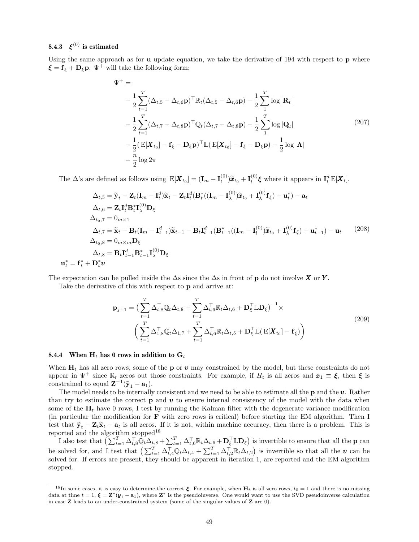### 8.4.3  $\xi^{(0)}$  is estimated

Using the same approach as for **u** update equation, we take the derivative of 194 with respect to **p** where  $\xi = \mathbf{f}_{\xi} + \mathbf{D}_{\xi} \mathbf{p}$ .  $\Psi^{+}$  will take the following form:

$$
\Psi^{+} = \n-\frac{1}{2} \sum_{t=1}^{T} (\Delta_{t,5} - \Delta_{t,6} \mathbf{p})^{\top} \mathbb{R}_{t} (\Delta_{t,5} - \Delta_{t,6} \mathbf{p}) - \frac{1}{2} \sum_{1}^{T} \log |\mathbf{R}_{t}| \n-\frac{1}{2} \sum_{t=1}^{T} (\Delta_{t,7} - \Delta_{t,8} \mathbf{p})^{\top} \mathbb{Q}_{t} (\Delta_{t,7} - \Delta_{t,8} \mathbf{p}) - \frac{1}{2} \sum_{1}^{T} \log |\mathbf{Q}_{t}| \n-\frac{1}{2} (\mathbf{E}[\mathbf{X}_{t_{0}}] - \mathbf{f}_{\xi} - \mathbf{D}_{\xi} \mathbf{p})^{\top} \mathbb{L} (\mathbf{E}[\mathbf{X}_{t_{0}}] - \mathbf{f}_{\xi} - \mathbf{D}_{\xi} \mathbf{p}) - \frac{1}{2} \log |\mathbf{\Lambda}| \n-\frac{n}{2} \log 2\pi
$$
\n(207)

The  $\Delta$ 's are defined as follows using  $E[\boldsymbol{X}_{t_0}] = (\mathbf{I}_m - \mathbf{I}_l^{(0)})$  $\left(\begin{matrix} 0\lbrack l \end{matrix}\right) \widetilde{\boldsymbol{x}}_{t_0} + \mathbf{I}_l^{(0)}$  $\mathbf{I}_l^{(0)}$   $\boldsymbol{\xi}$  where it appears in  $\mathbf{I}_t^d \mathrm{E}[\boldsymbol{X}_t].$ 

$$
\Delta_{t,5} = \widetilde{\mathbf{y}}_t - \mathbf{Z}_t (\mathbf{I}_m - \mathbf{I}_t^d) \widetilde{\mathbf{x}}_t - \mathbf{Z}_t \mathbf{I}_t^d (\mathbf{B}_t^* ((\mathbf{I}_m - \mathbf{I}_\lambda^{(0)}) \widetilde{\mathbf{x}}_{t_0} + \mathbf{I}_\lambda^{(0)} \mathbf{f}_\xi) + \mathbf{u}_t^*) - \mathbf{a}_t
$$
\n
$$
\Delta_{t,6} = \mathbf{Z}_t \mathbf{I}_t^d \mathbf{B}_t^* \mathbf{I}_\lambda^{(0)} \mathbf{D}_\xi
$$
\n
$$
\Delta_{t_0,7} = 0_{m \times 1}
$$
\n
$$
\Delta_{t,7} = \widetilde{\mathbf{x}}_t - \mathbf{B}_t (\mathbf{I}_m - \mathbf{I}_{t-1}^d) \widetilde{\mathbf{x}}_{t-1} - \mathbf{B}_t \mathbf{I}_{t-1}^d (\mathbf{B}_{t-1}^* ((\mathbf{I}_m - \mathbf{I}_t^{(0)}) \widetilde{\mathbf{x}}_{t_0} + \mathbf{I}_\lambda^{(0)} \mathbf{f}_\xi) + \mathbf{u}_{t-1}^*) - \mathbf{u}_t \qquad (208)
$$
\n
$$
\Delta_{t_0,8} = 0_{m \times m} \mathbf{D}_\xi
$$
\n
$$
\Delta_{t,8} = \mathbf{B}_t \mathbf{I}_{t-1}^d \mathbf{B}_{t-1}^* \mathbf{I}_\lambda^{(0)} \mathbf{D}_\xi
$$

The expectation can be pulled inside the  $\Delta$ s since the  $\Delta$ s in front of p do not involve X or Y.

Take the derivative of this with respect to p and arrive at:

$$
\mathbf{p}_{j+1} = \left(\sum_{t=1}^{T} \Delta_{t,8}^{\top} \mathbb{Q}_t \Delta_{t,8} + \sum_{t=1}^{T} \Delta_{t,6}^{\top} \mathbb{R}_t \Delta_{t,6} + \mathbf{D}_{\xi}^{\top} \mathbb{L} \mathbf{D}_{\xi}\right)^{-1} \times \left(\sum_{t=1}^{T} \Delta_{1,8}^{\top} \mathbb{Q}_t \Delta_{1,7} + \sum_{t=1}^{T} \Delta_{t,6}^{\top} \mathbb{R}_t \Delta_{t,5} + \mathbf{D}_{\xi}^{\top} \mathbb{L}(\mathbf{E}[\mathbf{X}_{t_0}] - \mathbf{f}_{\xi})\right)
$$
\n(209)

#### 8.4.4 When  $H_t$  has 0 rows in addition to  $G_t$

When  $H_t$  has all zero rows, some of the **p** or **v** may constrained by the model, but these constraints do not appear in  $\Psi^+$  since  $\mathbb{R}_t$  zeros out those constraints. For example, if  $H_t$  is all zeros and  $x_1 \equiv \xi$ , then  $\xi$  is constrained to equal  $\mathbf{Z}^{-1}(\tilde{\mathbf{y}}_1 - \mathbf{a}_1)$ .<br>The model peeds to be internally

The model needs to be internally consistent and we need to be able to estimate all the  $p$  and the  $v$ . Rather than try to estimate the correct **p** and **v** to ensure internal consistency of the model with the data when some of the  $H_t$  have 0 rows, I test by running the Kalman filter with the degenerate variance modification (in particular the modification for  $\bf{F}$  with zero rows is critical) before starting the EM algorithm. Then I test that  $\tilde{\mathbf{y}}_t - \mathbf{Z}_t \tilde{\mathbf{x}}_t - \mathbf{a}_t$  is all zeros. If it is not, within machine accuracy, then there is a problem. This is reported and the algorithm stopped<br>  $\rm ^{18}$ 

I also test that  $\left(\sum_{t=1}^T \Delta_{t,s}^\top \widehat{\mathbb{Q}}_t \Delta_{t,8} + \sum_{t=1}^T \Delta_{t,6}^\top \mathbb{R}_t \Delta_{t,6} + \mathbf{D}_{\xi}^\top \mathbb{L} \mathbf{D}_{\xi}\right)$  is invertible to ensure that all the **p** can be solved for, and I test that  $\left(\sum_{t=1}^T \Delta_{t,4}^\top \mathbb{Q}_t \Delta_{t,4} + \sum_{t=1}^T \Delta_{t,2}^\top \mathbb{R}_t \Delta_{t,2}\right)$  is invertible so that all the  $v$  can be solved for. If errors are present, they should be apparent in iteration 1, are reported and the EM algorithm stopped.

<sup>&</sup>lt;sup>18</sup>In some cases, it is easy to determine the correct  $\xi$ . For example, when  $H_t$  is all zero rows,  $t_0 = 1$  and there is no missing data at time  $t = 1$ ,  $\xi = \mathbf{Z}^*(\mathbf{y}_1 - \mathbf{a}_1)$ , where  $\mathbf{Z}^*$  is the pseudoinverse. One would want to use the SVD pseudoinverse calculation in case  $\mathbb Z$  leads to an under-constrained system (some of the singular values of  $\mathbb Z$  are 0).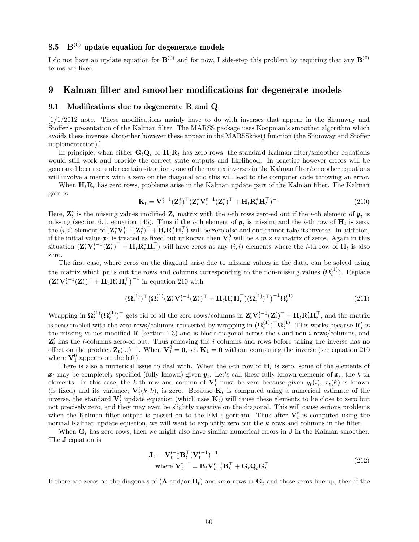#### 8.5  $B<sup>(0)</sup>$  update equation for degenerate models

I do not have an update equation for  $\mathbf{B}^{(0)}$  and for now, I side-step this problem by requiring that any  $\mathbf{B}^{(0)}$ terms are fixed.

### 9 Kalman filter and smoother modifications for degenerate models

#### 9.1 Modifications due to degenerate R and Q

 $[1/1/2012$  note. These modifications mainly have to do with inverses that appear in the Shumway and Stoffer's presentation of the Kalman filter. The MARSS package uses Koopman's smoother algorithm which avoids these inverses altogether however these appear in the MARSSkfss() function (the Shumway and Stoffer implementation).]

In principle, when either  $\mathbf{G}_t \mathbf{Q}_t$  or  $\mathbf{H}_t \mathbf{R}_t$  has zero rows, the standard Kalman filter/smoother equations would still work and provide the correct state outputs and likelihood. In practice however errors will be generated because under certain situations, one of the matrix inverses in the Kalman filter/smoother equations will involve a matrix with a zero on the diagonal and this will lead to the computer code throwing an error.

When  $H_tR_t$  has zero rows, problems arise in the Kalman update part of the Kalman filter. The Kalman gain is

$$
\mathbf{K}_t = \mathbf{V}_t^{t-1} (\mathbf{Z}_t^*)^\top (\mathbf{Z}_t^* \mathbf{V}_t^{t-1} (\mathbf{Z}_t^*)^\top + \mathbf{H}_t \mathbf{R}_t^* \mathbf{H}_t^\top)^{-1}
$$
(210)

Here,  $\mathbf{Z}_t^*$  is the missing values modified  $\mathbf{Z}_t$  matrix with the *i*-th rows zero-ed out if the *i*-th element of  $\mathbf{y}_t$  is missing (section 6.1, equation 145). Thus if the *i*-th element of  $y_t$  is missing and the *i*-th row of  $H_t$  is zero, the  $(i, i)$  element of  $(\mathbf{Z}_t^* \mathbf{V}_t^{t-1} (\mathbf{Z}_t^*)^\top + \mathbf{H}_t \mathbf{R}_t^* \mathbf{H}_t^\top)$  will be zero also and one cannot take its inverse. In addition, if the initial value  $x_1$  is treated as fixed but unknown then  $\mathbf{V}_1^0$  will be a  $m \times m$  matrix of zeros. Again in this situation  $(\mathbf{Z}_t^* \mathbf{V}_t^{t-1} (\mathbf{Z}_t^*)^\top + \mathbf{H}_t \mathbf{R}_t^* \mathbf{H}_t^\top)$  will have zeros at any  $(i, i)$  elements where the *i*-th row of  $\mathbf{H}_t$  is also zero.

The first case, where zeros on the diagonal arise due to missing values in the data, can be solved using the matrix which pulls out the rows and columns corresponding to the non-missing values  $(\mathbf{\Omega}_t^{(1)})$ . Replace  $\left( \mathbf{Z}_{t}^{*} \mathbf{V}_{t}^{t-1}(\mathbf{Z}_{t}^{*})^{\top} + \mathbf{H}_{t} \mathbf{R}_{t}^{*} \mathbf{H}_{t}^{\top} \right)^{-1}$  in equation 210 with

$$
(\boldsymbol{\Omega}_{t}^{(1)})^{\top} \big(\boldsymbol{\Omega}_{t}^{(1)} (\mathbf{Z}_{t}^{*} \mathbf{V}_{t}^{t-1} (\mathbf{Z}_{t}^{*})^{\top} + \mathbf{H}_{t} \mathbf{R}_{t}^{*} \mathbf{H}_{t}^{\top}) (\boldsymbol{\Omega}_{t}^{(1)})^{\top}\big)^{-1} \boldsymbol{\Omega}_{t}^{(1)}
$$
(211)

Wrapping in  $\Omega_t^{(1)}(\Omega_t^{(1)})$ <sup>T</sup> gets rid of all the zero rows/columns in  $\mathbf{Z}_t' \mathbf{V}_t^{t-1}(\mathbf{Z}_t')$ <sup>T</sup> +  $\mathbf{H}_t \mathbf{R}_t' \mathbf{H}_t^\top$ , and the matrix is reassembled with the zero rows/columns reinserted by wrapping in  $(\mathbf{\Omega}^{(1)}_t)^\top \mathbf{\Omega}^{(1)}_t$ . This works because  $\mathbf{R}'_t$  is the missing values modified  $\bf{R}$  (section 1.3) and is block diagonal across the i and non-i rows/columns, and  $\mathbf{Z}'_t$  has the *i*-columns zero-ed out. Thus removing the *i* columns and rows before taking the inverse has no effect on the product  $\mathbf{Z}_t(\ldots)^{-1}$ . When  $\mathbf{V}_1^0 = \mathbf{0}$ , set  $\mathbf{K}_1 = \mathbf{0}$  without computing the inverse (see equation 210) where  $\mathbf{V}_1^0$  appears on the left).

There is also a numerical issue to deal with. When the *i*-th row of  $H_t$  is zero, some of the elements of  $x_t$  may be completely specified (fully known) given  $y_t$ . Let's call these fully known elements of  $x_t$ , the k-th elements. In this case, the k-th row and column of  $V_t^t$  must be zero because given  $y_t(i)$ ,  $x_t(k)$  is known (is fixed) and its variance,  $\mathbf{V}_t^t(k, k)$ , is zero. Because  $\mathbf{K}_t$  is computed using a numerical estimate of the inverse, the standard  $V_t^t$  update equation (which uses  $K_t$ ) will cause these elements to be close to zero but not precisely zero, and they may even be slightly negative on the diagonal. This will cause serious problems when the Kalman filter output is passed on to the EM algorithm. Thus after  $V_t^t$  is computed using the normal Kalman update equation, we will want to explicitly zero out the k rows and columns in the filter.

When  $G_t$  has zero rows, then we might also have similar numerical errors in **J** in the Kalman smoother. The J equation is

$$
\mathbf{J}_t = \mathbf{V}_{t-1}^{t-1} \mathbf{B}_t^\top (\mathbf{V}_t^{t-1})^{-1}
$$
  
where  $\mathbf{V}_t^{t-1} = \mathbf{B}_t \mathbf{V}_{t-1}^{t-1} \mathbf{B}_t^\top + \mathbf{G}_t \mathbf{Q}_t \mathbf{G}_t^\top$  (212)

If there are zeros on the diagonals of  $(\Lambda \text{ and/or } B_t)$  and zero rows in  $G_t$  and these zeros line up, then if the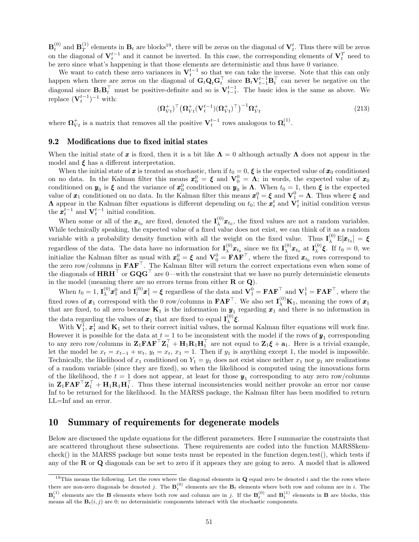$\mathbf{B}_t^{(0)}$  and  $\mathbf{B}_T^{(1)}$  $T<sup>(1)</sup>$  elements in  $\mathbf{B}_t$  are blocks<sup>19</sup>, there will be zeros on the diagonal of  $\mathbf{V}_t^t$ . Thus there will be zeros on the diagonal of  $V_t^{t-1}$  and it cannot be inverted. In this case, the corresponding elements of  $V_t^T$  need to be zero since what's happening is that those elements are deterministic and thus have 0 variance.

We want to catch these zero variances in  $V_t^{t-1}$  so that we can take the inverse. Note that this can only happen when there are zeros on the diagonal of  $G_t Q_t G_t^{\top}$  since  $B_t V_{t-1}^{t-1} B_t^{\top}$  can never be negative on the diagonal since  $B_t B_t^\top$  must be positive-definite and so is  $V_{t-1}^{t-1}$ . The basic idea is the same as above. We replace  $(\mathbf{V}_t^{t-1})^{-1}$  with:

$$
(\boldsymbol{\Omega}_{Vt}^+)^{\top} \big(\boldsymbol{\Omega}_{Vt}^+ (\mathbf{V}_t^{t-1}) (\boldsymbol{\Omega}_{Vt}^+)^\top \big)^{-1} \boldsymbol{\Omega}_{Vt}^+ \tag{213}
$$

where  $\mathbf{\Omega}_{Vt}^+$  is a matrix that removes all the positive  $\mathbf{V}_t^{t-1}$  rows analogous to  $\mathbf{\Omega}_t^{(1)}$ .

#### 9.2 Modifications due to fixed initial states

When the initial state of x is fixed, then it is a bit like  $\Lambda = 0$  although actually  $\Lambda$  does not appear in the model and  $\xi$  has a different interpretation.

When the initial state of x is treated as stochastic, then if  $t_0 = 0$ ,  $\xi$  is the expected value of  $x_0$  conditioned on no data. In the Kalman filter this means  $x_0^0 = \xi$  and  $V_0^0 = \Lambda$ ; in words, the expected value of  $x_0$ conditioned on  $y_0$  is  $\xi$  and the variance of  $x_0^0$  conditioned on  $y_0$  is  $\Lambda$ . When  $t_0 = 1$ , then  $\xi$  is the expected value of  $x_1$  conditioned on no data. In the Kalman filter this means  $x_1^0 = \xi$  and  $V_1^0 = \Lambda$ . Thus where  $\xi$  and **A** appear in the Kalman filter equations is different depending on  $t_0$ ; the  $\boldsymbol{x}_t^t$  and  $\dot{\mathbf{V}}_t^t$  initial condition versus the  $\boldsymbol{x}_t^{t-1}$  and  $\mathbf{V}_t^{t-1}$  initial condition.

When some or all of the  $\mathbf{x}_{t_0}$  are fixed, denoted the  $\mathbf{I}^{(0)}_{\lambda}$  $\chi^{(0)}$  $\mathbf{x}_{t_0}$ , the fixed values are not a random variables. While technically speaking, the expected value of a fixed value does not exist, we can think of it as a random variable with a probability density function with all the weight on the fixed value. Thus  $I_{\lambda}^{(0)}E[\mathbf{x}_{t_0}] = \boldsymbol{\xi}$ regardless of the data. The data have no information for  $I_{\lambda}^{(0)}$  $\mathbf{x}_{t_0}^{(0)}$   $\mathbf{x}_{t_0}$  since we fix  $\mathbf{I}_{\lambda}^{(0)}$  ${}^{(0)}_{\lambda} \pmb{x}_{t_0}$  at  $\mathbf{I}^{(0)}_{\lambda}$  $\zeta^{(0)}$ **ξ**. If  $t_0 = 0$ , we initialize the Kalman filter as usual with  $\mathbf{x}_0^0 = \boldsymbol{\xi}$  and  $\mathbf{V}_0^0 = \mathbf{F} \mathbf{\Lambda} \mathbf{F}^\top$ , where the fixed  $\mathbf{x}_{t_0}$  rows correspond to the zero row/columns in FΛF<sup>⊤</sup>. The Kalman filter will return the correct expectations even when some of the diagonals of  $HRH<sup>T</sup>$  or  $GQG<sup>T</sup>$  are 0—with the constraint that we have no purely deterministic elements in the model (meaning there are no errors terms from either  $\mathbf R$  or  $\mathbf Q$ ).

When  $t_0 = 1$ ,  $\mathbf{I}_{\lambda}^{(0)}$  $_{\lambda}^{(0)}\pmb{x}_{1}^{0}$  and  $\mathbf{I}_{l}^{(0)}$  $\mathbf{u}_l^{(0)}\mathbf{z}_1^1 = \boldsymbol{\xi}$  regardless of the data and  $\mathbf{V}_1^0 = \mathbf{F}\mathbf{\Lambda}\mathbf{F}^\top$  and  $\mathbf{V}_1^1 = \mathbf{F}\mathbf{\Lambda}\mathbf{F}^\top$ , where the fixed rows of  $x_1$  correspond with the 0 row/columns in  $\mathbf{F}\bm{\Lambda}\mathbf{F}^\top$ . We also set  $\mathbf{I}^{(0)}_\lambda\mathbf{K}_1$ , meaning the rows of  $x_1$ that are fixed, to all zero because  $\mathbf{K}_1$  is the information in  $\mathbf{y}_1$  regarding  $\mathbf{x}_1$  and there is no information in the data regarding the values of  $\mathbf{x}_1$  that are fixed to equal  $\mathbf{I}^{(0)}_{\lambda}$  $\int_{\lambda}^{(0)} \xi$ .

With  $V_1^1$ ,  $x_1^1$  and  $K_1$  set to their correct initial values, the normal Kalman filter equations will work fine. However it is possible for the data at  $t = 1$  to be inconsistent with the model if the rows of  $y_1$  corresponding to any zero row/columns in  $\mathbf{Z}_1 \mathbf{F} \mathbf{\Lambda} \mathbf{F}^\top \mathbf{Z}_1^\top + \mathbf{H}_1 \mathbf{R}_1 \mathbf{H}_1^\top$  are not equal to  $\mathbf{Z}_1 \boldsymbol{\xi} + \mathbf{a}_1$ . Here is a trivial example, let the model be  $x_t = x_{t-1} + w_t$ ,  $y_t = x_t$ ,  $x_1 = 1$ . Then if  $y_1$  is anything except 1, the model is impossible. Technically, the likelihood of  $x_1$  conditioned on  $Y_1 = y_1$  does not exist since neither  $x_1$  nor  $y_1$  are realizations of a random variable (since they are fixed), so when the likelihood is computed using the innovations form of the likelihood, the  $t = 1$  does not appear, at least for those  $y_1$  corresponding to any zero row/columns in  $\mathbf{Z}_1 \mathbf{F} \mathbf{\Lambda} \mathbf{F}^\top \mathbf{Z}_1^\top + \mathbf{H}_1 \mathbf{R}_1 \mathbf{H}_1^\top$ . Thus these internal inconsistencies would neither provoke an error nor cause Inf to be returned for the likelihood. In the MARSS package, the Kalman filter has been modified to return LL=Inf and an error.

### 10 Summary of requirements for degenerate models

Below are discussed the update equations for the different parameters. Here I summarize the constraints that are scattered throughout these subsections. These requirements are coded into the function MARSSkemcheck() in the MARSS package but some tests must be repeated in the function degen.test(), which tests if any of the R or Q diagonals can be set to zero if it appears they are going to zero. A model that is allowed

<sup>&</sup>lt;sup>19</sup>This means the following. Let the rows where the diagonal elements in Q equal zero be denoted i and the the rows where there are non-zero diagonals be denoted j. The  $\mathbf{B}_t^{(0)}$  elements are the  $\mathbf{B}_t$  elements where both row and column are in i. The  $\mathbf{B}_t^{(1)}$  elements are the B elements where both row and column are in j. If the  $\mathbf{B}_t^{(0)}$  and  $\mathbf{B}_t^{(1)}$  elements in B are blocks, this means all the  $B_t(i, j)$  are 0; no deterministic components interact with the stochastic components.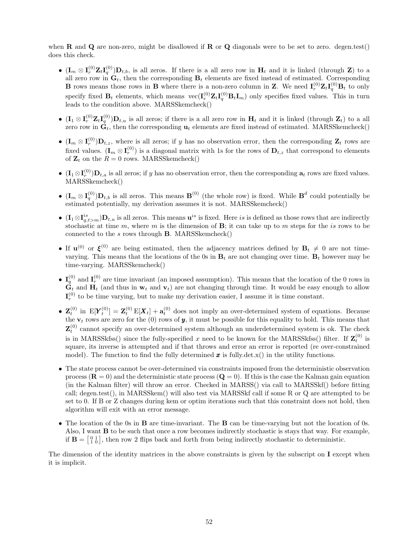when **R** and **Q** are non-zero, might be disallowed if **R** or **Q** diagonals were to be set to zero. degen.test() does this check.

- $(\mathbf{I}_m \otimes \mathbf{I}_r^{(0)} \mathbf{Z}_t \mathbf{I}_q^{(0)}) \mathbf{D}_{t,b}$ , is all zeros. If there is a all zero row in  $\mathbf{H}_t$  and it is linked (through **Z**) to a all zero row in  $\mathbf{G}_t$ , then the corresponding  $\mathbf{B}_t$  elements are fixed instead of estimated. Corresponding **B** rows means those rows in **B** where there is a non-zero column in **Z**. We need  $I_r^{(0)}Z_tI_q^{(0)}B_t$  to only specify fixed  $B_t$  elements, which means  $\text{vec}(\mathbf{I}_r^{(0)}\mathbf{Z}_t \mathbf{I}_q^{(0)} B_t \mathbf{I}_m)$  only specifies fixed values. This in turn leads to the condition above. MARSSkemcheck()
- $(\mathbf{I}_1 \otimes \mathbf{I}_r^{(0)} \mathbf{Z}_t \mathbf{I}_q^{(0)}) \mathbf{D}_{t,u}$  is all zeros; if there is a all zero row in  $\mathbf{H}_t$  and it is linked (through  $\mathbf{Z}_t$ ) to a all zero row in  $\mathbf{G}_t$ , then the corresponding  $\mathbf{u}_t$  elements are fixed instead of estimated. MARSSkemcheck()
- $(\mathbf{I}_m \otimes \mathbf{I}_r^{(0)}) \mathbf{D}_{t,z}$ , where is all zeros; if y has no observation error, then the corresponding  $\mathbf{Z}_t$  rows are fixed values.  $(\mathbf{I}_m \otimes \mathbf{I}_r^{(0)})$  is a diagonal matrix with 1s for the rows of  $\mathbf{D}_{t,z}$  that correspond to elements of  $\mathbf{Z}_t$  on the  $R = 0$  rows. MARSSkemcheck()
- $(I_1 \otimes I_r^{(0)})D_{t,a}$  is all zeros; if y has no observation error, then the corresponding  $a_t$  rows are fixed values. MARSSkemcheck()
- $(\mathbf{I}_m \otimes \mathbf{I}_q^{(0)}) \mathbf{D}_{t,b}$  is all zeros. This means  $\mathbf{B}^{(0)}$  (the whole row) is fixed. While  $\mathbf{B}^d$  could potentially be estimated potentially, my derivation assumes it is not. MARSSkemcheck()
- $(I_1 \otimes I_{q,t>m}^{is})D_{t,u}$  is all zeros. This means  $u^{is}$  is fixed. Here is is defined as those rows that are indirectly stochastic at time m, where m is the dimension of  $\mathbf{B}$ ; it can take up to m steps for the is rows to be connected to the  $s$  rows through **B**. MARSSkemcheck $()$
- If  $\mathbf{u}^{(0)}$  or  $\xi^{(0)}$  are being estimated, then the adjacency matrices defined by  $\mathbf{B}_t \neq 0$  are not timevarying. This means that the locations of the 0s in  $B_t$  are not changing over time.  $B_t$  however may be time-varying. MARSSkemcheck()
- $I_q^{(0)}$  and  $I_r^{(0)}$  are time invariant (an imposed assumption). This means that the location of the 0 rows in  $\mathbf{G}_t$  and  $\mathbf{H}_t$  (and thus in  $\mathbf{w}_t$  and  $\mathbf{v}_t$ ) are not changing through time. It would be easy enough to allow  $I_r^{(0)}$  to be time varying, but to make my derivation easier, I assume it is time constant.
- $\mathbf{Z}_t^{(0)}$  in  $E[Y_t^{(0)}] = \mathbf{Z}_t^{(0)} E[X_t] + \mathbf{a}_t^{(0)}$  does not imply an over-determined system of equations. Because the  $\mathbf{v}_t$  rows are zero for the (0) rows of **y**, it must be possible for this equality to hold. This means that  $\mathbf{Z}_{t}^{(0)}$  cannot specify an over-determined system although an underdetermined system is ok. The check is in MARSSkfss() since the fully-specified x need to be known for the MARSSkfss() filter. If  $\mathbf{Z}_t^{(0)}$  is square, its inverse is attempted and if that throws and error an error is reported (re over-constrained model). The function to find the fully determined  $\boldsymbol{x}$  is fully det.x() in the utility functions.
- The state process cannot be over-determined via constraints imposed from the deterministic observation process  $(\mathbf{R} = 0)$  and the deterministic state process  $(\mathbf{Q} = 0)$ . If this is the case the Kalman gain equation (in the Kalman filter) will throw an error. Checked in MARSS() via call to MARSSkf() before fitting call; degen.test(), in MARSSkem() will also test via MARSSkf call if some R or Q are attempted to be set to 0. If B or Z changes during kem or optim iterations such that this constraint does not hold, then algorithm will exit with an error message.
- The location of the 0s in B are time-invariant. The B can be time-varying but not the location of 0s. Also, I want B to be such that once a row becomes indirectly stochastic is stays that way. For example, if  $\mathbf{B} = \begin{bmatrix} 0 & 1 \\ 1 & 0 \end{bmatrix}$ , then row 2 flips back and forth from being indirectly stochastic to deterministic.

The dimension of the identity matrices in the above constraints is given by the subscript on I except when it is implicit.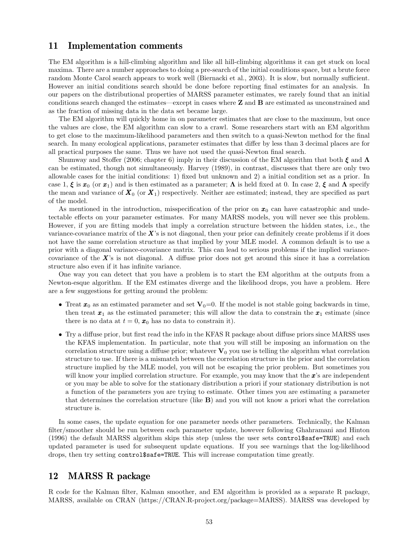### 11 Implementation comments

The EM algorithm is a hill-climbing algorithm and like all hill-climbing algorithms it can get stuck on local maxima. There are a number approaches to doing a pre-search of the initial conditions space, but a brute force random Monte Carol search appears to work well (Biernacki et al., 2003). It is slow, but normally sufficient. However an initial conditions search should be done before reporting final estimates for an analysis. In our papers on the distributional properties of MARSS parameter estimates, we rarely found that an initial conditions search changed the estimates—except in cases where Z and B are estimated as unconstrained and as the fraction of missing data in the data set became large.

The EM algorithm will quickly home in on parameter estimates that are close to the maximum, but once the values are close, the EM algorithm can slow to a crawl. Some researchers start with an EM algorithm to get close to the maximum-likelihood parameters and then switch to a quasi-Newton method for the final search. In many ecological applications, parameter estimates that differ by less than 3 decimal places are for all practical purposes the same. Thus we have not used the quasi-Newton final search.

Shumway and Stoffer (2006; chapter 6) imply in their discussion of the EM algorithm that both  $\xi$  and  $\Lambda$ can be estimated, though not simultaneously. Harvey (1989), in contrast, discusses that there are only two allowable cases for the initial conditions: 1) fixed but unknown and 2) a initial condition set as a prior. In case 1,  $\xi$  is  $x_0$  (or  $x_1$ ) and is then estimated as a parameter;  $\Lambda$  is held fixed at 0. In case 2,  $\xi$  and  $\Lambda$  specify the mean and variance of  $X_0$  (or  $X_1$ ) respectively. Neither are estimated; instead, they are specified as part of the model.

As mentioned in the introduction, misspecification of the prior on  $x_0$  can have catastrophic and undetectable effects on your parameter estimates. For many MARSS models, you will never see this problem. However, if you are fitting models that imply a correlation structure between the hidden states, i.e., the variance-covariance matrix of the  $X$ 's is not diagonal, then your prior can definitely create problems if it does not have the same correlation structure as that implied by your MLE model. A common default is to use a prior with a diagonal variance-covariance matrix. This can lead to serious problems if the implied variancecovariance of the  $X$ 's is not diagonal. A diffuse prior does not get around this since it has a correlation structure also even if it has infinite variance.

One way you can detect that you have a problem is to start the EM algorithm at the outputs from a Newton-esque algorithm. If the EM estimates diverge and the likelihood drops, you have a problem. Here are a few suggestions for getting around the problem:

- Treat  $x_0$  as an estimated parameter and set  $V_0=0$ . If the model is not stable going backwards in time, then treat  $x_1$  as the estimated parameter; this will allow the data to constrain the  $x_1$  estimate (since there is no data at  $t = 0$ ,  $x_0$  has no data to constrain it).
- Try a diffuse prior, but first read the info in the KFAS R package about diffuse priors since MARSS uses the KFAS implementation. In particular, note that you will still be imposing an information on the correlation structure using a diffuse prior; whatever  $V_0$  you use is telling the algorithm what correlation structure to use. If there is a mismatch between the correlation structure in the prior and the correlation structure implied by the MLE model, you will not be escaping the prior problem. But sometimes you will know your implied correlation structure. For example, you may know that the  $x$ 's are independent or you may be able to solve for the stationary distribution a priori if your stationary distribution is not a function of the parameters you are trying to estimate. Other times you are estimating a parameter that determines the correlation structure (like B) and you will not know a priori what the correlation structure is.

In some cases, the update equation for one parameter needs other parameters. Technically, the Kalman filter/smoother should be run between each parameter update, however following Ghahramani and Hinton (1996) the default MARSS algorithm skips this step (unless the user sets control\$safe=TRUE) and each updated parameter is used for subsequent update equations. If you see warnings that the log-likelihood drops, then try setting control\$safe=TRUE. This will increase computation time greatly.

## 12 MARSS R package

R code for the Kalman filter, Kalman smoother, and EM algorithm is provided as a separate R package, MARSS, available on CRAN (https://CRAN.R-project.org/package=MARSS). MARSS was developed by